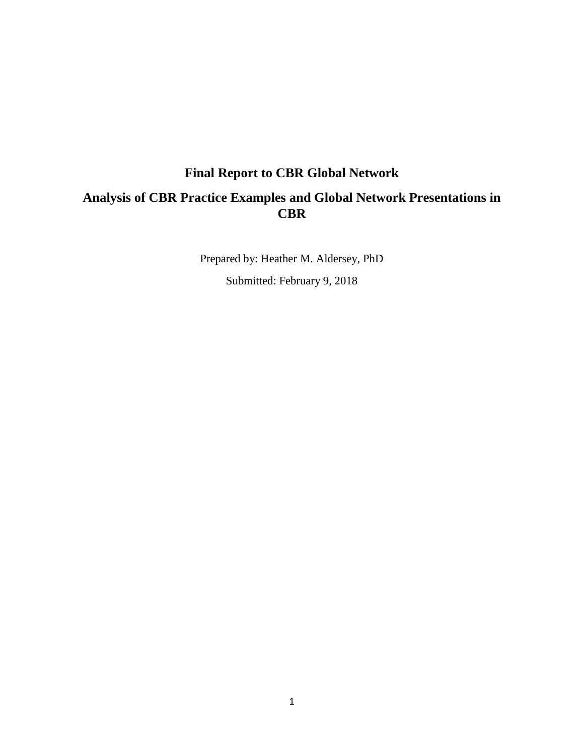# **Final Report to CBR Global Network Analysis of CBR Practice Examples and Global Network Presentations in CBR**

Prepared by: Heather M. Aldersey, PhD Submitted: February 9, 2018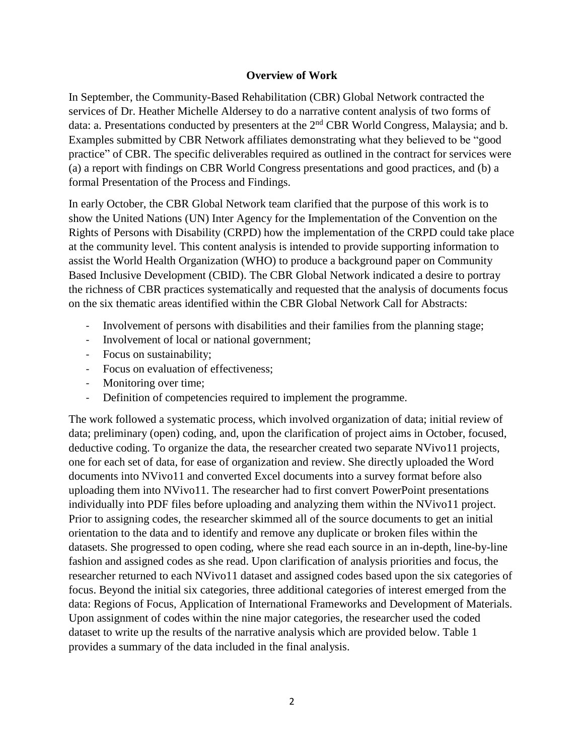## **Overview of Work**

In September, the Community-Based Rehabilitation (CBR) Global Network contracted the services of Dr. Heather Michelle Aldersey to do a narrative content analysis of two forms of data: a. Presentations conducted by presenters at the  $2<sup>nd</sup>$  CBR World Congress, Malaysia; and b. Examples submitted by CBR Network affiliates demonstrating what they believed to be "good practice" of CBR. The specific deliverables required as outlined in the contract for services were (a) a report with findings on CBR World Congress presentations and good practices, and (b) a formal Presentation of the Process and Findings.

In early October, the CBR Global Network team clarified that the purpose of this work is to show the United Nations (UN) Inter Agency for the Implementation of the Convention on the Rights of Persons with Disability (CRPD) how the implementation of the CRPD could take place at the community level. This content analysis is intended to provide supporting information to assist the World Health Organization (WHO) to produce a background paper on Community Based Inclusive Development (CBID). The CBR Global Network indicated a desire to portray the richness of CBR practices systematically and requested that the analysis of documents focus on the six thematic areas identified within the CBR Global Network Call for Abstracts:

- Involvement of persons with disabilities and their families from the planning stage;
- Involvement of local or national government;
- Focus on sustainability;
- Focus on evaluation of effectiveness;
- Monitoring over time;
- Definition of competencies required to implement the programme.

The work followed a systematic process, which involved organization of data; initial review of data; preliminary (open) coding, and, upon the clarification of project aims in October, focused, deductive coding. To organize the data, the researcher created two separate NVivo11 projects, one for each set of data, for ease of organization and review. She directly uploaded the Word documents into NVivo11 and converted Excel documents into a survey format before also uploading them into NVivo11. The researcher had to first convert PowerPoint presentations individually into PDF files before uploading and analyzing them within the NVivo11 project. Prior to assigning codes, the researcher skimmed all of the source documents to get an initial orientation to the data and to identify and remove any duplicate or broken files within the datasets. She progressed to open coding, where she read each source in an in-depth, line-by-line fashion and assigned codes as she read. Upon clarification of analysis priorities and focus, the researcher returned to each NVivo11 dataset and assigned codes based upon the six categories of focus. Beyond the initial six categories, three additional categories of interest emerged from the data: Regions of Focus, Application of International Frameworks and Development of Materials. Upon assignment of codes within the nine major categories, the researcher used the coded dataset to write up the results of the narrative analysis which are provided below. Table 1 provides a summary of the data included in the final analysis.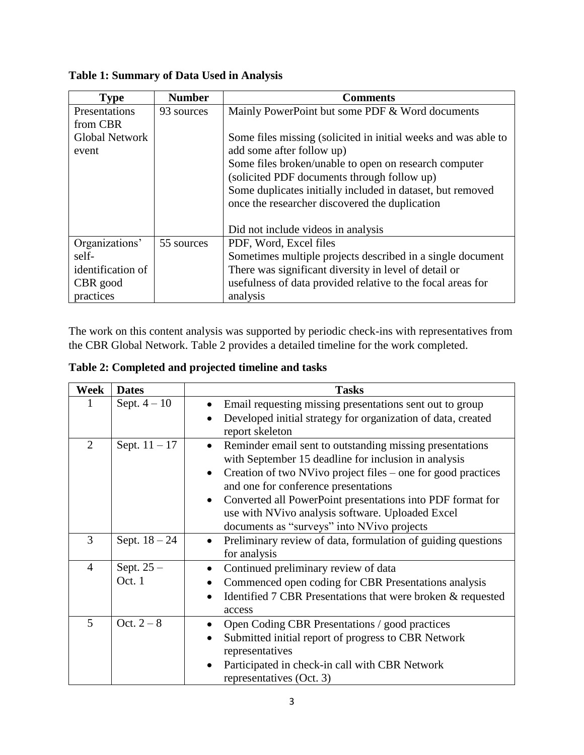| <b>Type</b>           | <b>Number</b> | <b>Comments</b>                                                |
|-----------------------|---------------|----------------------------------------------------------------|
| Presentations         | 93 sources    | Mainly PowerPoint but some PDF & Word documents                |
| from CBR              |               |                                                                |
| <b>Global Network</b> |               | Some files missing (solicited in initial weeks and was able to |
| event                 |               | add some after follow up)                                      |
|                       |               | Some files broken/unable to open on research computer          |
|                       |               | (solicited PDF documents through follow up)                    |
|                       |               | Some duplicates initially included in dataset, but removed     |
|                       |               | once the researcher discovered the duplication                 |
|                       |               |                                                                |
|                       |               | Did not include videos in analysis                             |
| Organizations'        | 55 sources    | PDF, Word, Excel files                                         |
| self-                 |               | Sometimes multiple projects described in a single document     |
| identification of     |               | There was significant diversity in level of detail or          |
| CBR good              |               | usefulness of data provided relative to the focal areas for    |
| practices             |               | analysis                                                       |

**Table 1: Summary of Data Used in Analysis**

The work on this content analysis was supported by periodic check-ins with representatives from the CBR Global Network. Table 2 provides a detailed timeline for the work completed.

**Table 2: Completed and projected timeline and tasks**

| Week           | <b>Dates</b>    | <b>Tasks</b>                                                              |
|----------------|-----------------|---------------------------------------------------------------------------|
|                | Sept. $4-10$    | Email requesting missing presentations sent out to group                  |
|                |                 | Developed initial strategy for organization of data, created<br>$\bullet$ |
|                |                 | report skeleton                                                           |
| $\overline{2}$ | Sept. $11 - 17$ | Reminder email sent to outstanding missing presentations<br>$\bullet$     |
|                |                 | with September 15 deadline for inclusion in analysis                      |
|                |                 | Creation of two NVivo project files – one for good practices<br>$\bullet$ |
|                |                 | and one for conference presentations                                      |
|                |                 | Converted all PowerPoint presentations into PDF format for<br>$\bullet$   |
|                |                 | use with NVivo analysis software. Uploaded Excel                          |
|                |                 | documents as "surveys" into NVivo projects                                |
| 3              | Sept. $18 - 24$ | Preliminary review of data, formulation of guiding questions<br>$\bullet$ |
|                |                 | for analysis                                                              |
| $\overline{4}$ | Sept. $25-$     | Continued preliminary review of data                                      |
|                | Oct. 1          | Commenced open coding for CBR Presentations analysis                      |
|                |                 | Identified 7 CBR Presentations that were broken & requested               |
|                |                 | access                                                                    |
| 5              | Oct. $2-8$      | Open Coding CBR Presentations / good practices                            |
|                |                 | Submitted initial report of progress to CBR Network                       |
|                |                 | representatives                                                           |
|                |                 | Participated in check-in call with CBR Network                            |
|                |                 | representatives (Oct. 3)                                                  |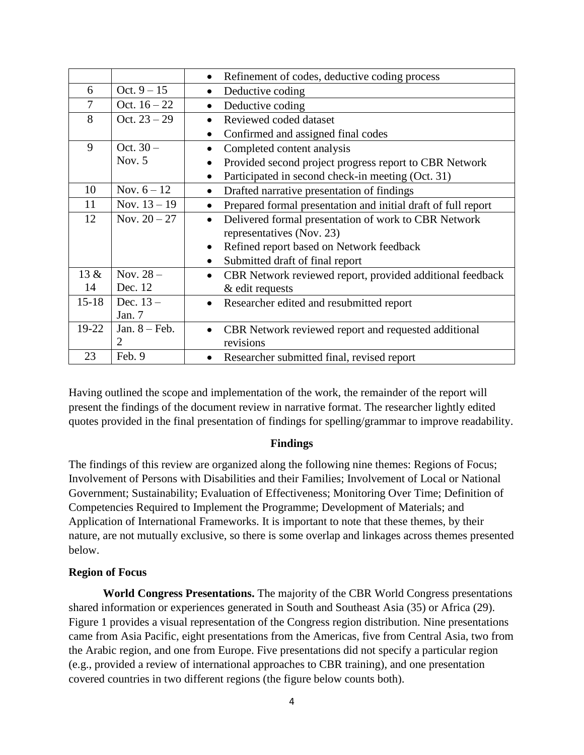|           |                        | Refinement of codes, deductive coding process<br>$\bullet$                 |  |
|-----------|------------------------|----------------------------------------------------------------------------|--|
| 6         | Oct. $9 - 15$          | Deductive coding<br>$\bullet$                                              |  |
| 7         | Oct. $16 - 22$         | Deductive coding<br>$\bullet$                                              |  |
| 8         | Oct. $23 - 29$         | Reviewed coded dataset                                                     |  |
|           |                        | Confirmed and assigned final codes<br>$\bullet$                            |  |
| 9         | Oct. $30 -$            | Completed content analysis<br>$\bullet$                                    |  |
|           | Nov. $5$               | Provided second project progress report to CBR Network<br>$\bullet$        |  |
|           |                        | Participated in second check-in meeting (Oct. 31)<br>$\bullet$             |  |
| 10        | Nov. $6 - 12$          | Drafted narrative presentation of findings<br>٠                            |  |
| 11        | Nov. $13 - 19$         | Prepared formal presentation and initial draft of full report<br>$\bullet$ |  |
| 12        | Nov. $20 - 27$         | Delivered formal presentation of work to CBR Network<br>$\bullet$          |  |
|           |                        | representatives (Nov. 23)                                                  |  |
|           |                        | Refined report based on Network feedback<br>٠                              |  |
|           |                        | Submitted draft of final report<br>$\bullet$                               |  |
| 13 &      | Nov. $28-$             | CBR Network reviewed report, provided additional feedback<br>$\bullet$     |  |
| 14        | Dec. 12                | & edit requests                                                            |  |
| $15 - 18$ | Dec. $13-$             | Researcher edited and resubmitted report<br>$\bullet$                      |  |
|           | Jan. 7                 |                                                                            |  |
| 19-22     | Jan. $8 - \text{Feb.}$ | CBR Network reviewed report and requested additional<br>$\bullet$          |  |
|           | 2                      | revisions                                                                  |  |
| 23        | Feb. 9                 | Researcher submitted final, revised report                                 |  |

Having outlined the scope and implementation of the work, the remainder of the report will present the findings of the document review in narrative format. The researcher lightly edited quotes provided in the final presentation of findings for spelling/grammar to improve readability.

## **Findings**

The findings of this review are organized along the following nine themes: Regions of Focus; Involvement of Persons with Disabilities and their Families; Involvement of Local or National Government; Sustainability; Evaluation of Effectiveness; Monitoring Over Time; Definition of Competencies Required to Implement the Programme; Development of Materials; and Application of International Frameworks. It is important to note that these themes, by their nature, are not mutually exclusive, so there is some overlap and linkages across themes presented below.

## **Region of Focus**

**World Congress Presentations.** The majority of the CBR World Congress presentations shared information or experiences generated in South and Southeast Asia (35) or Africa (29). Figure 1 provides a visual representation of the Congress region distribution. Nine presentations came from Asia Pacific, eight presentations from the Americas, five from Central Asia, two from the Arabic region, and one from Europe. Five presentations did not specify a particular region (e.g., provided a review of international approaches to CBR training), and one presentation covered countries in two different regions (the figure below counts both).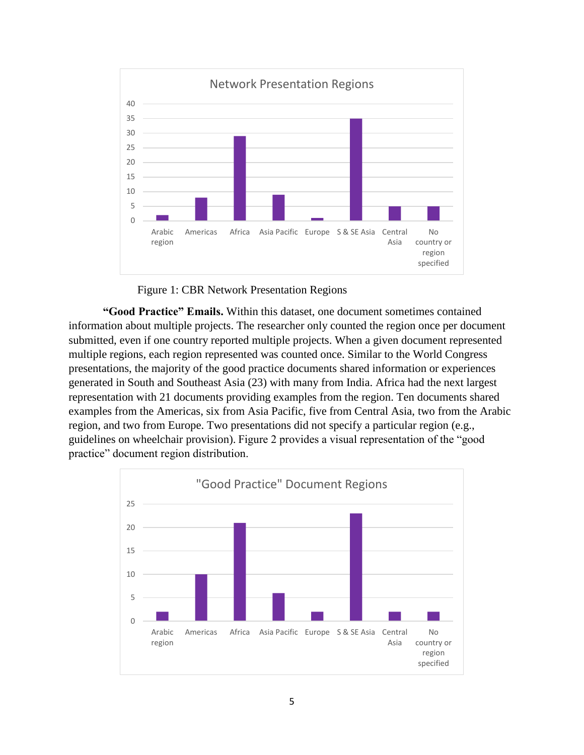



**"Good Practice" Emails.** Within this dataset, one document sometimes contained information about multiple projects. The researcher only counted the region once per document submitted, even if one country reported multiple projects. When a given document represented multiple regions, each region represented was counted once. Similar to the World Congress presentations, the majority of the good practice documents shared information or experiences generated in South and Southeast Asia (23) with many from India. Africa had the next largest representation with 21 documents providing examples from the region. Ten documents shared examples from the Americas, six from Asia Pacific, five from Central Asia, two from the Arabic region, and two from Europe. Two presentations did not specify a particular region (e.g., guidelines on wheelchair provision). Figure 2 provides a visual representation of the "good practice" document region distribution.

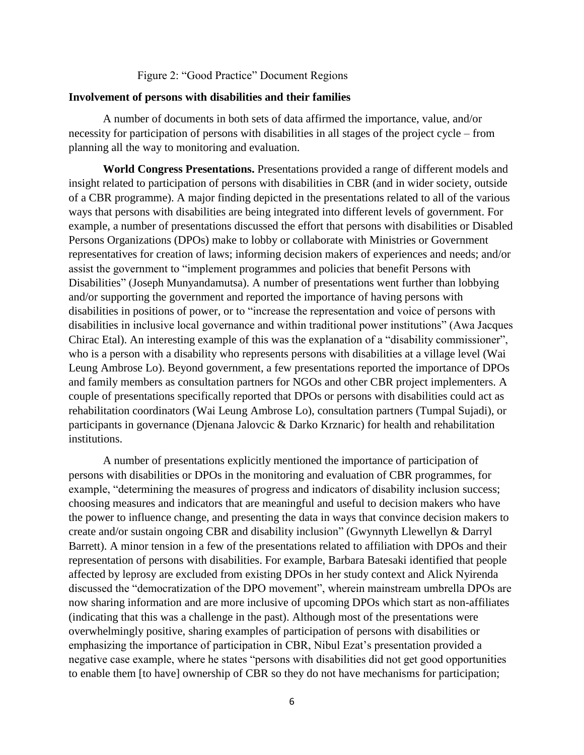## Figure 2: "Good Practice" Document Regions

## **Involvement of persons with disabilities and their families**

A number of documents in both sets of data affirmed the importance, value, and/or necessity for participation of persons with disabilities in all stages of the project cycle – from planning all the way to monitoring and evaluation.

**World Congress Presentations.** Presentations provided a range of different models and insight related to participation of persons with disabilities in CBR (and in wider society, outside of a CBR programme). A major finding depicted in the presentations related to all of the various ways that persons with disabilities are being integrated into different levels of government. For example, a number of presentations discussed the effort that persons with disabilities or Disabled Persons Organizations (DPOs) make to lobby or collaborate with Ministries or Government representatives for creation of laws; informing decision makers of experiences and needs; and/or assist the government to "implement programmes and policies that benefit Persons with Disabilities" (Joseph Munyandamutsa). A number of presentations went further than lobbying and/or supporting the government and reported the importance of having persons with disabilities in positions of power, or to "increase the representation and voice of persons with disabilities in inclusive local governance and within traditional power institutions" (Awa Jacques Chirac Etal). An interesting example of this was the explanation of a "disability commissioner", who is a person with a disability who represents persons with disabilities at a village level (Wai Leung Ambrose Lo). Beyond government, a few presentations reported the importance of DPOs and family members as consultation partners for NGOs and other CBR project implementers. A couple of presentations specifically reported that DPOs or persons with disabilities could act as rehabilitation coordinators (Wai Leung Ambrose Lo), consultation partners (Tumpal Sujadi), or participants in governance (Djenana Jalovcic & Darko Krznaric) for health and rehabilitation institutions.

A number of presentations explicitly mentioned the importance of participation of persons with disabilities or DPOs in the monitoring and evaluation of CBR programmes, for example, "determining the measures of progress and indicators of disability inclusion success; choosing measures and indicators that are meaningful and useful to decision makers who have the power to influence change, and presenting the data in ways that convince decision makers to create and/or sustain ongoing CBR and disability inclusion" (Gwynnyth Llewellyn & Darryl Barrett). A minor tension in a few of the presentations related to affiliation with DPOs and their representation of persons with disabilities. For example, Barbara Batesaki identified that people affected by leprosy are excluded from existing DPOs in her study context and Alick Nyirenda discussed the "democratization of the DPO movement", wherein mainstream umbrella DPOs are now sharing information and are more inclusive of upcoming DPOs which start as non-affiliates (indicating that this was a challenge in the past). Although most of the presentations were overwhelmingly positive, sharing examples of participation of persons with disabilities or emphasizing the importance of participation in CBR, Nibul Ezat's presentation provided a negative case example, where he states "persons with disabilities did not get good opportunities to enable them [to have] ownership of CBR so they do not have mechanisms for participation;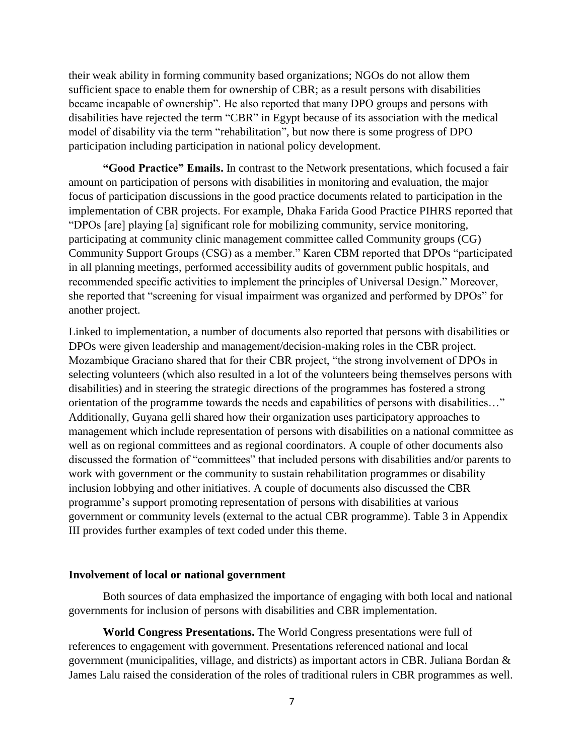their weak ability in forming community based organizations; NGOs do not allow them sufficient space to enable them for ownership of CBR; as a result persons with disabilities became incapable of ownership". He also reported that many DPO groups and persons with disabilities have rejected the term "CBR" in Egypt because of its association with the medical model of disability via the term "rehabilitation", but now there is some progress of DPO participation including participation in national policy development.

**"Good Practice" Emails.** In contrast to the Network presentations, which focused a fair amount on participation of persons with disabilities in monitoring and evaluation, the major focus of participation discussions in the good practice documents related to participation in the implementation of CBR projects. For example, Dhaka Farida Good Practice PIHRS reported that "DPOs [are] playing [a] significant role for mobilizing community, service monitoring, participating at community clinic management committee called Community groups (CG) Community Support Groups (CSG) as a member." Karen CBM reported that DPOs "participated in all planning meetings, performed accessibility audits of government public hospitals, and recommended specific activities to implement the principles of Universal Design." Moreover, she reported that "screening for visual impairment was organized and performed by DPOs" for another project.

Linked to implementation, a number of documents also reported that persons with disabilities or DPOs were given leadership and management/decision-making roles in the CBR project. Mozambique Graciano shared that for their CBR project, "the strong involvement of DPOs in selecting volunteers (which also resulted in a lot of the volunteers being themselves persons with disabilities) and in steering the strategic directions of the programmes has fostered a strong orientation of the programme towards the needs and capabilities of persons with disabilities…" Additionally, Guyana gelli shared how their organization uses participatory approaches to management which include representation of persons with disabilities on a national committee as well as on regional committees and as regional coordinators. A couple of other documents also discussed the formation of "committees" that included persons with disabilities and/or parents to work with government or the community to sustain rehabilitation programmes or disability inclusion lobbying and other initiatives. A couple of documents also discussed the CBR programme's support promoting representation of persons with disabilities at various government or community levels (external to the actual CBR programme). Table 3 in Appendix III provides further examples of text coded under this theme.

## **Involvement of local or national government**

Both sources of data emphasized the importance of engaging with both local and national governments for inclusion of persons with disabilities and CBR implementation.

**World Congress Presentations.** The World Congress presentations were full of references to engagement with government. Presentations referenced national and local government (municipalities, village, and districts) as important actors in CBR. Juliana Bordan & James Lalu raised the consideration of the roles of traditional rulers in CBR programmes as well.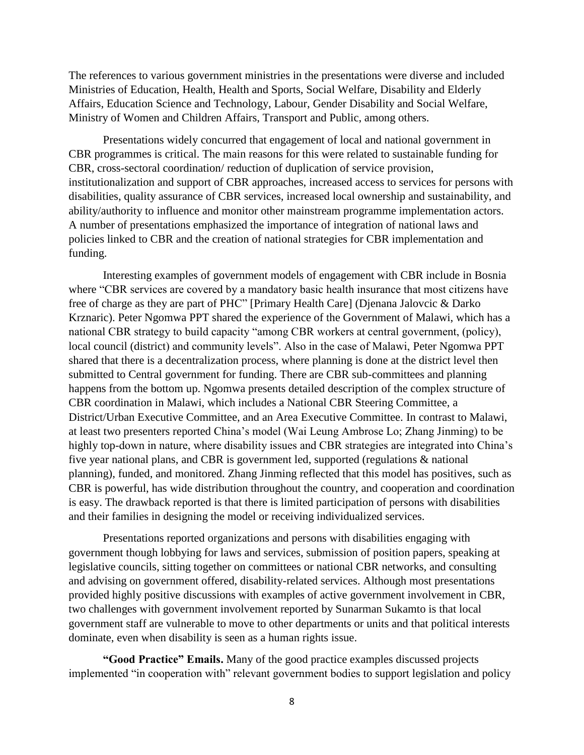The references to various government ministries in the presentations were diverse and included Ministries of Education, Health, Health and Sports, Social Welfare, Disability and Elderly Affairs, Education Science and Technology, Labour, Gender Disability and Social Welfare, Ministry of Women and Children Affairs, Transport and Public, among others.

Presentations widely concurred that engagement of local and national government in CBR programmes is critical. The main reasons for this were related to sustainable funding for CBR, cross-sectoral coordination/ reduction of duplication of service provision, institutionalization and support of CBR approaches, increased access to services for persons with disabilities, quality assurance of CBR services, increased local ownership and sustainability, and ability/authority to influence and monitor other mainstream programme implementation actors. A number of presentations emphasized the importance of integration of national laws and policies linked to CBR and the creation of national strategies for CBR implementation and funding.

Interesting examples of government models of engagement with CBR include in Bosnia where "CBR services are covered by a mandatory basic health insurance that most citizens have free of charge as they are part of PHC" [Primary Health Care] (Djenana Jalovcic & Darko Krznaric). Peter Ngomwa PPT shared the experience of the Government of Malawi, which has a national CBR strategy to build capacity "among CBR workers at central government, (policy), local council (district) and community levels". Also in the case of Malawi, Peter Ngomwa PPT shared that there is a decentralization process, where planning is done at the district level then submitted to Central government for funding. There are CBR sub-committees and planning happens from the bottom up. Ngomwa presents detailed description of the complex structure of CBR coordination in Malawi, which includes a National CBR Steering Committee, a District/Urban Executive Committee, and an Area Executive Committee. In contrast to Malawi, at least two presenters reported China's model (Wai Leung Ambrose Lo; Zhang Jinming) to be highly top-down in nature, where disability issues and CBR strategies are integrated into China's five year national plans, and CBR is government led, supported (regulations & national planning), funded, and monitored. Zhang Jinming reflected that this model has positives, such as CBR is powerful, has wide distribution throughout the country, and cooperation and coordination is easy. The drawback reported is that there is limited participation of persons with disabilities and their families in designing the model or receiving individualized services.

Presentations reported organizations and persons with disabilities engaging with government though lobbying for laws and services, submission of position papers, speaking at legislative councils, sitting together on committees or national CBR networks, and consulting and advising on government offered, disability-related services. Although most presentations provided highly positive discussions with examples of active government involvement in CBR, two challenges with government involvement reported by Sunarman Sukamto is that local government staff are vulnerable to move to other departments or units and that political interests dominate, even when disability is seen as a human rights issue.

**"Good Practice" Emails.** Many of the good practice examples discussed projects implemented "in cooperation with" relevant government bodies to support legislation and policy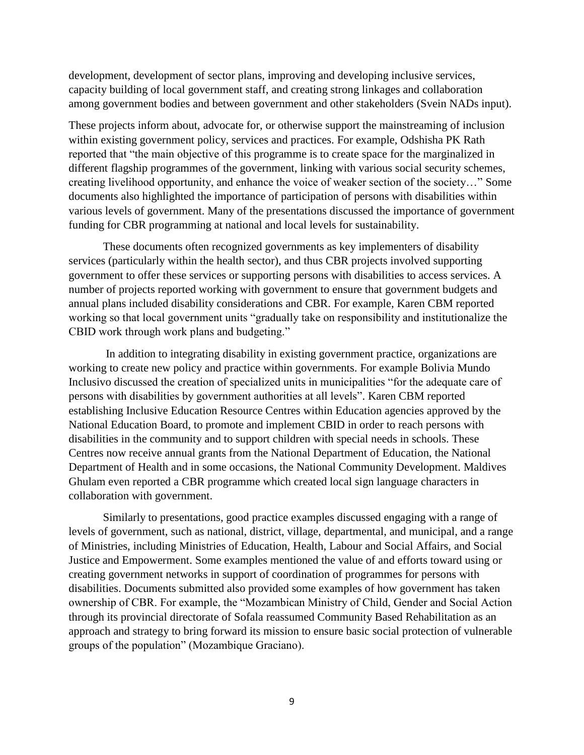development, development of sector plans, improving and developing inclusive services, capacity building of local government staff, and creating strong linkages and collaboration among government bodies and between government and other stakeholders (Svein NADs input).

These projects inform about, advocate for, or otherwise support the mainstreaming of inclusion within existing government policy, services and practices. For example, Odshisha PK Rath reported that "the main objective of this programme is to create space for the marginalized in different flagship programmes of the government, linking with various social security schemes, creating livelihood opportunity, and enhance the voice of weaker section of the society…" Some documents also highlighted the importance of participation of persons with disabilities within various levels of government. Many of the presentations discussed the importance of government funding for CBR programming at national and local levels for sustainability.

These documents often recognized governments as key implementers of disability services (particularly within the health sector), and thus CBR projects involved supporting government to offer these services or supporting persons with disabilities to access services. A number of projects reported working with government to ensure that government budgets and annual plans included disability considerations and CBR. For example, Karen CBM reported working so that local government units "gradually take on responsibility and institutionalize the CBID work through work plans and budgeting."

In addition to integrating disability in existing government practice, organizations are working to create new policy and practice within governments. For example Bolivia Mundo Inclusivo discussed the creation of specialized units in municipalities "for the adequate care of persons with disabilities by government authorities at all levels". Karen CBM reported establishing Inclusive Education Resource Centres within Education agencies approved by the National Education Board, to promote and implement CBID in order to reach persons with disabilities in the community and to support children with special needs in schools. These Centres now receive annual grants from the National Department of Education, the National Department of Health and in some occasions, the National Community Development. Maldives Ghulam even reported a CBR programme which created local sign language characters in collaboration with government.

Similarly to presentations, good practice examples discussed engaging with a range of levels of government, such as national, district, village, departmental, and municipal, and a range of Ministries, including Ministries of Education, Health, Labour and Social Affairs, and Social Justice and Empowerment. Some examples mentioned the value of and efforts toward using or creating government networks in support of coordination of programmes for persons with disabilities. Documents submitted also provided some examples of how government has taken ownership of CBR. For example, the "Mozambican Ministry of Child, Gender and Social Action through its provincial directorate of Sofala reassumed Community Based Rehabilitation as an approach and strategy to bring forward its mission to ensure basic social protection of vulnerable groups of the population" (Mozambique Graciano).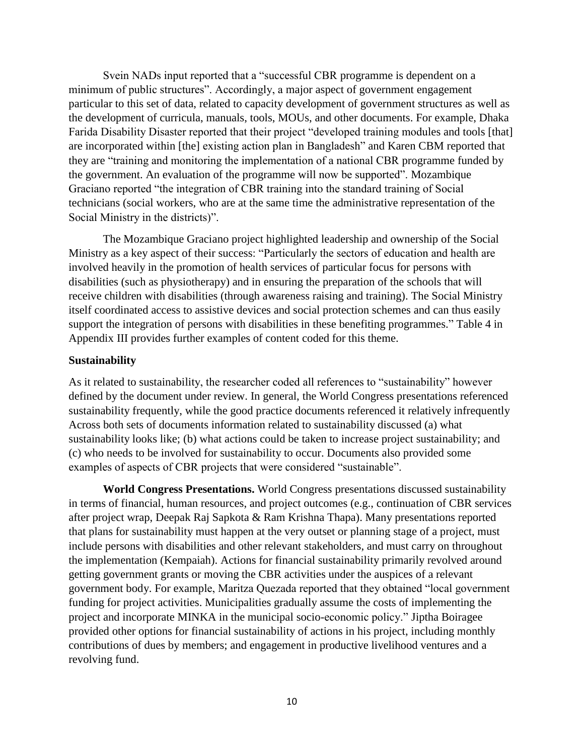Svein NADs input reported that a "successful CBR programme is dependent on a minimum of public structures". Accordingly, a major aspect of government engagement particular to this set of data, related to capacity development of government structures as well as the development of curricula, manuals, tools, MOUs, and other documents. For example, Dhaka Farida Disability Disaster reported that their project "developed training modules and tools [that] are incorporated within [the] existing action plan in Bangladesh" and Karen CBM reported that they are "training and monitoring the implementation of a national CBR programme funded by the government. An evaluation of the programme will now be supported". Mozambique Graciano reported "the integration of CBR training into the standard training of Social technicians (social workers, who are at the same time the administrative representation of the Social Ministry in the districts)".

The Mozambique Graciano project highlighted leadership and ownership of the Social Ministry as a key aspect of their success: "Particularly the sectors of education and health are involved heavily in the promotion of health services of particular focus for persons with disabilities (such as physiotherapy) and in ensuring the preparation of the schools that will receive children with disabilities (through awareness raising and training). The Social Ministry itself coordinated access to assistive devices and social protection schemes and can thus easily support the integration of persons with disabilities in these benefiting programmes." Table 4 in Appendix III provides further examples of content coded for this theme.

## **Sustainability**

As it related to sustainability, the researcher coded all references to "sustainability" however defined by the document under review. In general, the World Congress presentations referenced sustainability frequently, while the good practice documents referenced it relatively infrequently Across both sets of documents information related to sustainability discussed (a) what sustainability looks like; (b) what actions could be taken to increase project sustainability; and (c) who needs to be involved for sustainability to occur. Documents also provided some examples of aspects of CBR projects that were considered "sustainable".

**World Congress Presentations.** World Congress presentations discussed sustainability in terms of financial, human resources, and project outcomes (e.g., continuation of CBR services after project wrap, Deepak Raj Sapkota & Ram Krishna Thapa). Many presentations reported that plans for sustainability must happen at the very outset or planning stage of a project, must include persons with disabilities and other relevant stakeholders, and must carry on throughout the implementation (Kempaiah). Actions for financial sustainability primarily revolved around getting government grants or moving the CBR activities under the auspices of a relevant government body. For example, Maritza Quezada reported that they obtained "local government funding for project activities. Municipalities gradually assume the costs of implementing the project and incorporate MINKA in the municipal socio-economic policy." Jiptha Boiragee provided other options for financial sustainability of actions in his project, including monthly contributions of dues by members; and engagement in productive livelihood ventures and a revolving fund.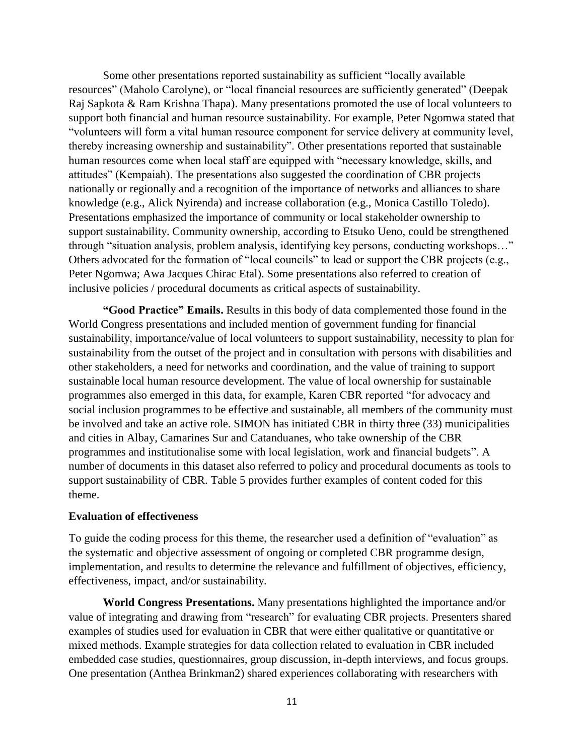Some other presentations reported sustainability as sufficient "locally available resources" (Maholo Carolyne), or "local financial resources are sufficiently generated" (Deepak Raj Sapkota & Ram Krishna Thapa). Many presentations promoted the use of local volunteers to support both financial and human resource sustainability. For example, Peter Ngomwa stated that "volunteers will form a vital human resource component for service delivery at community level, thereby increasing ownership and sustainability". Other presentations reported that sustainable human resources come when local staff are equipped with "necessary knowledge, skills, and attitudes" (Kempaiah). The presentations also suggested the coordination of CBR projects nationally or regionally and a recognition of the importance of networks and alliances to share knowledge (e.g., Alick Nyirenda) and increase collaboration (e.g., Monica Castillo Toledo). Presentations emphasized the importance of community or local stakeholder ownership to support sustainability. Community ownership, according to Etsuko Ueno, could be strengthened through "situation analysis, problem analysis, identifying key persons, conducting workshops…" Others advocated for the formation of "local councils" to lead or support the CBR projects (e.g., Peter Ngomwa; Awa Jacques Chirac Etal). Some presentations also referred to creation of inclusive policies / procedural documents as critical aspects of sustainability.

**"Good Practice" Emails.** Results in this body of data complemented those found in the World Congress presentations and included mention of government funding for financial sustainability, importance/value of local volunteers to support sustainability, necessity to plan for sustainability from the outset of the project and in consultation with persons with disabilities and other stakeholders, a need for networks and coordination, and the value of training to support sustainable local human resource development. The value of local ownership for sustainable programmes also emerged in this data, for example, Karen CBR reported "for advocacy and social inclusion programmes to be effective and sustainable, all members of the community must be involved and take an active role. SIMON has initiated CBR in thirty three (33) municipalities and cities in Albay, Camarines Sur and Catanduanes, who take ownership of the CBR programmes and institutionalise some with local legislation, work and financial budgets". A number of documents in this dataset also referred to policy and procedural documents as tools to support sustainability of CBR. Table 5 provides further examples of content coded for this theme.

## **Evaluation of effectiveness**

To guide the coding process for this theme, the researcher used a definition of "evaluation" as the systematic and objective assessment of ongoing or completed CBR programme design, implementation, and results to determine the relevance and fulfillment of objectives, efficiency, effectiveness, impact, and/or sustainability.

**World Congress Presentations.** Many presentations highlighted the importance and/or value of integrating and drawing from "research" for evaluating CBR projects. Presenters shared examples of studies used for evaluation in CBR that were either qualitative or quantitative or mixed methods. Example strategies for data collection related to evaluation in CBR included embedded case studies, questionnaires, group discussion, in-depth interviews, and focus groups. One presentation (Anthea Brinkman2) shared experiences collaborating with researchers with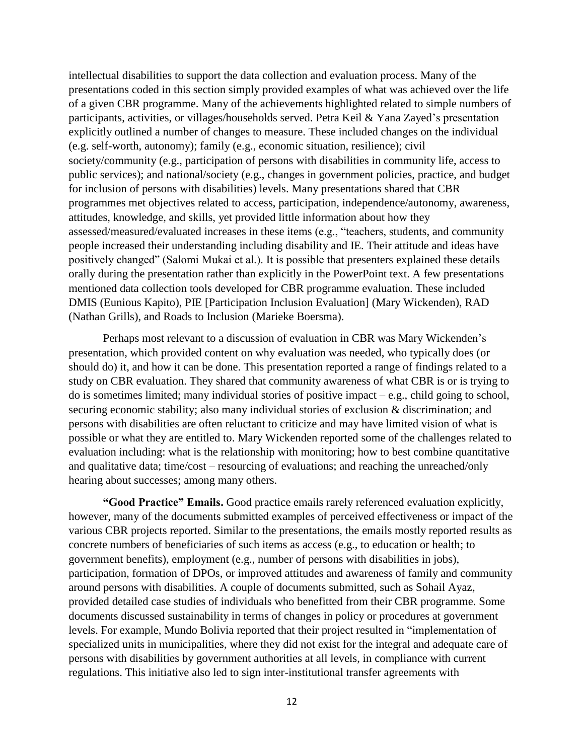intellectual disabilities to support the data collection and evaluation process. Many of the presentations coded in this section simply provided examples of what was achieved over the life of a given CBR programme. Many of the achievements highlighted related to simple numbers of participants, activities, or villages/households served. Petra Keil & Yana Zayed's presentation explicitly outlined a number of changes to measure. These included changes on the individual (e.g. self-worth, autonomy); family (e.g., economic situation, resilience); civil society/community (e.g., participation of persons with disabilities in community life, access to public services); and national/society (e.g., changes in government policies, practice, and budget for inclusion of persons with disabilities) levels. Many presentations shared that CBR programmes met objectives related to access, participation, independence/autonomy, awareness, attitudes, knowledge, and skills, yet provided little information about how they assessed/measured/evaluated increases in these items (e.g., "teachers, students, and community people increased their understanding including disability and IE. Their attitude and ideas have positively changed" (Salomi Mukai et al.). It is possible that presenters explained these details orally during the presentation rather than explicitly in the PowerPoint text. A few presentations mentioned data collection tools developed for CBR programme evaluation. These included DMIS (Eunious Kapito), PIE [Participation Inclusion Evaluation] (Mary Wickenden), RAD (Nathan Grills), and Roads to Inclusion (Marieke Boersma).

Perhaps most relevant to a discussion of evaluation in CBR was Mary Wickenden's presentation, which provided content on why evaluation was needed, who typically does (or should do) it, and how it can be done. This presentation reported a range of findings related to a study on CBR evaluation. They shared that community awareness of what CBR is or is trying to do is sometimes limited; many individual stories of positive impact – e.g., child going to school, securing economic stability; also many individual stories of exclusion & discrimination; and persons with disabilities are often reluctant to criticize and may have limited vision of what is possible or what they are entitled to. Mary Wickenden reported some of the challenges related to evaluation including: what is the relationship with monitoring; how to best combine quantitative and qualitative data; time/cost – resourcing of evaluations; and reaching the unreached/only hearing about successes; among many others.

**"Good Practice" Emails.** Good practice emails rarely referenced evaluation explicitly, however, many of the documents submitted examples of perceived effectiveness or impact of the various CBR projects reported. Similar to the presentations, the emails mostly reported results as concrete numbers of beneficiaries of such items as access (e.g., to education or health; to government benefits), employment (e.g., number of persons with disabilities in jobs), participation, formation of DPOs, or improved attitudes and awareness of family and community around persons with disabilities. A couple of documents submitted, such as Sohail Ayaz, provided detailed case studies of individuals who benefitted from their CBR programme. Some documents discussed sustainability in terms of changes in policy or procedures at government levels. For example, Mundo Bolivia reported that their project resulted in "implementation of specialized units in municipalities, where they did not exist for the integral and adequate care of persons with disabilities by government authorities at all levels, in compliance with current regulations. This initiative also led to sign inter-institutional transfer agreements with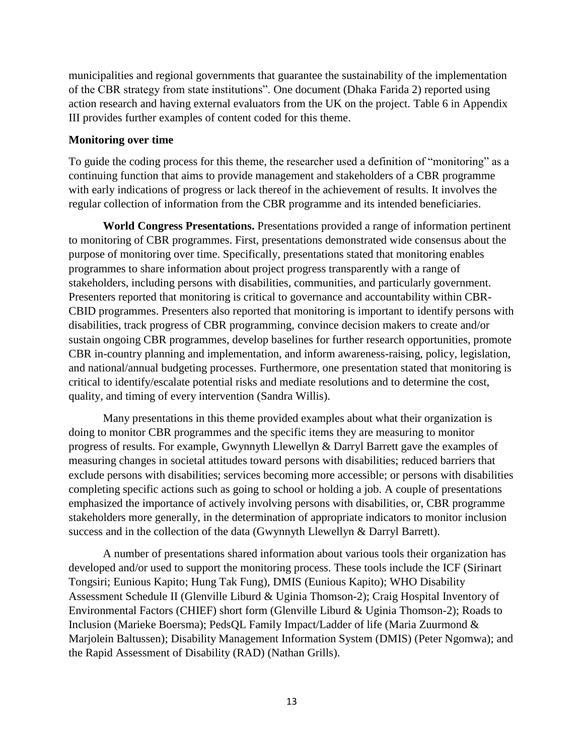municipalities and regional governments that guarantee the sustainability of the implementation of the CBR strategy from state institutions". One document (Dhaka Farida 2) reported using action research and having external evaluators from the UK on the project. Table 6 in Appendix III provides further examples of content coded for this theme.

## **Monitoring over time**

To guide the coding process for this theme, the researcher used a definition of "monitoring" as a continuing function that aims to provide management and stakeholders of a CBR programme with early indications of progress or lack thereof in the achievement of results. It involves the regular collection of information from the CBR programme and its intended beneficiaries.

**World Congress Presentations.** Presentations provided a range of information pertinent to monitoring of CBR programmes. First, presentations demonstrated wide consensus about the purpose of monitoring over time. Specifically, presentations stated that monitoring enables programmes to share information about project progress transparently with a range of stakeholders, including persons with disabilities, communities, and particularly government. Presenters reported that monitoring is critical to governance and accountability within CBR-CBID programmes. Presenters also reported that monitoring is important to identify persons with disabilities, track progress of CBR programming, convince decision makers to create and/or sustain ongoing CBR programmes, develop baselines for further research opportunities, promote CBR in-country planning and implementation, and inform awareness-raising, policy, legislation, and national/annual budgeting processes. Furthermore, one presentation stated that monitoring is critical to identify/escalate potential risks and mediate resolutions and to determine the cost, quality, and timing of every intervention (Sandra Willis).

Many presentations in this theme provided examples about what their organization is doing to monitor CBR programmes and the specific items they are measuring to monitor progress of results. For example, Gwynnyth Llewellyn & Darryl Barrett gave the examples of measuring changes in societal attitudes toward persons with disabilities; reduced barriers that exclude persons with disabilities; services becoming more accessible; or persons with disabilities completing specific actions such as going to school or holding a job. A couple of presentations emphasized the importance of actively involving persons with disabilities, or, CBR programme stakeholders more generally, in the determination of appropriate indicators to monitor inclusion success and in the collection of the data (Gwynnyth Llewellyn & Darryl Barrett).

A number of presentations shared information about various tools their organization has developed and/or used to support the monitoring process. These tools include the ICF (Sirinart Tongsiri; Eunious Kapito; Hung Tak Fung), DMIS (Eunious Kapito); WHO Disability Assessment Schedule II (Glenville Liburd & Uginia Thomson-2); Craig Hospital Inventory of Environmental Factors (CHIEF) short form (Glenville Liburd & Uginia Thomson-2); Roads to Inclusion (Marieke Boersma); PedsQL Family Impact/Ladder of life (Maria Zuurmond & Marjolein Baltussen); Disability Management Information System (DMIS) (Peter Ngomwa); and the Rapid Assessment of Disability (RAD) (Nathan Grills).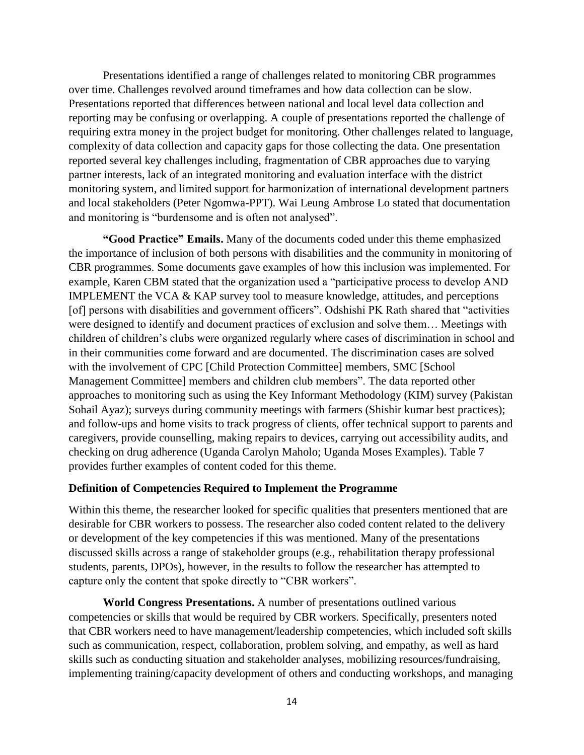Presentations identified a range of challenges related to monitoring CBR programmes over time. Challenges revolved around timeframes and how data collection can be slow. Presentations reported that differences between national and local level data collection and reporting may be confusing or overlapping. A couple of presentations reported the challenge of requiring extra money in the project budget for monitoring. Other challenges related to language, complexity of data collection and capacity gaps for those collecting the data. One presentation reported several key challenges including, fragmentation of CBR approaches due to varying partner interests, lack of an integrated monitoring and evaluation interface with the district monitoring system, and limited support for harmonization of international development partners and local stakeholders (Peter Ngomwa-PPT). Wai Leung Ambrose Lo stated that documentation and monitoring is "burdensome and is often not analysed".

**"Good Practice" Emails.** Many of the documents coded under this theme emphasized the importance of inclusion of both persons with disabilities and the community in monitoring of CBR programmes. Some documents gave examples of how this inclusion was implemented. For example, Karen CBM stated that the organization used a "participative process to develop AND IMPLEMENT the VCA & KAP survey tool to measure knowledge, attitudes, and perceptions [of] persons with disabilities and government officers". Odshishi PK Rath shared that "activities" were designed to identify and document practices of exclusion and solve them… Meetings with children of children's clubs were organized regularly where cases of discrimination in school and in their communities come forward and are documented. The discrimination cases are solved with the involvement of CPC [Child Protection Committee] members, SMC [School Management Committee] members and children club members". The data reported other approaches to monitoring such as using the Key Informant Methodology (KIM) survey (Pakistan Sohail Ayaz); surveys during community meetings with farmers (Shishir kumar best practices); and follow-ups and home visits to track progress of clients, offer technical support to parents and caregivers, provide counselling, making repairs to devices, carrying out accessibility audits, and checking on drug adherence (Uganda Carolyn Maholo; Uganda Moses Examples). Table 7 provides further examples of content coded for this theme.

## **Definition of Competencies Required to Implement the Programme**

Within this theme, the researcher looked for specific qualities that presenters mentioned that are desirable for CBR workers to possess. The researcher also coded content related to the delivery or development of the key competencies if this was mentioned. Many of the presentations discussed skills across a range of stakeholder groups (e.g., rehabilitation therapy professional students, parents, DPOs), however, in the results to follow the researcher has attempted to capture only the content that spoke directly to "CBR workers".

**World Congress Presentations.** A number of presentations outlined various competencies or skills that would be required by CBR workers. Specifically, presenters noted that CBR workers need to have management/leadership competencies, which included soft skills such as communication, respect, collaboration, problem solving, and empathy, as well as hard skills such as conducting situation and stakeholder analyses, mobilizing resources/fundraising, implementing training/capacity development of others and conducting workshops, and managing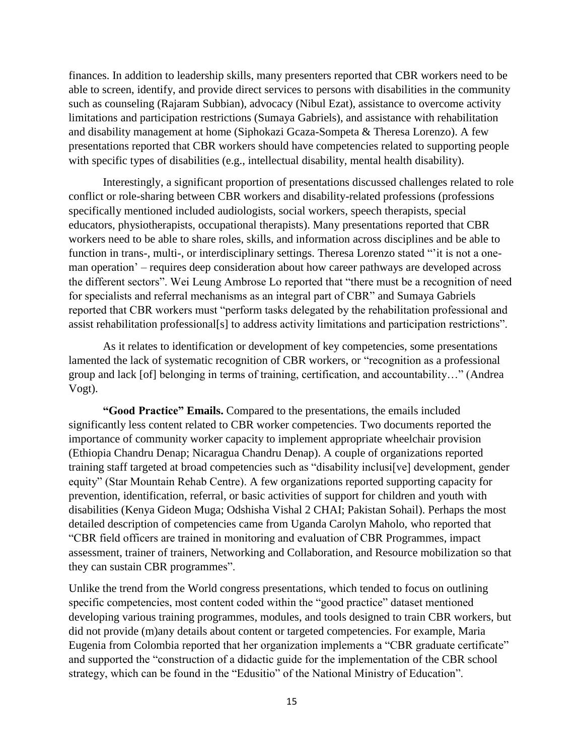finances. In addition to leadership skills, many presenters reported that CBR workers need to be able to screen, identify, and provide direct services to persons with disabilities in the community such as counseling (Rajaram Subbian), advocacy (Nibul Ezat), assistance to overcome activity limitations and participation restrictions (Sumaya Gabriels), and assistance with rehabilitation and disability management at home (Siphokazi Gcaza-Sompeta & Theresa Lorenzo). A few presentations reported that CBR workers should have competencies related to supporting people with specific types of disabilities (e.g., intellectual disability, mental health disability).

Interestingly, a significant proportion of presentations discussed challenges related to role conflict or role-sharing between CBR workers and disability-related professions (professions specifically mentioned included audiologists, social workers, speech therapists, special educators, physiotherapists, occupational therapists). Many presentations reported that CBR workers need to be able to share roles, skills, and information across disciplines and be able to function in trans-, multi-, or interdisciplinary settings. Theresa Lorenzo stated "'it is not a oneman operation' – requires deep consideration about how career pathways are developed across the different sectors". Wei Leung Ambrose Lo reported that "there must be a recognition of need for specialists and referral mechanisms as an integral part of CBR" and Sumaya Gabriels reported that CBR workers must "perform tasks delegated by the rehabilitation professional and assist rehabilitation professional[s] to address activity limitations and participation restrictions".

As it relates to identification or development of key competencies, some presentations lamented the lack of systematic recognition of CBR workers, or "recognition as a professional group and lack [of] belonging in terms of training, certification, and accountability…" (Andrea Vogt).

**"Good Practice" Emails.** Compared to the presentations, the emails included significantly less content related to CBR worker competencies. Two documents reported the importance of community worker capacity to implement appropriate wheelchair provision (Ethiopia Chandru Denap; Nicaragua Chandru Denap). A couple of organizations reported training staff targeted at broad competencies such as "disability inclusi[ve] development, gender equity" (Star Mountain Rehab Centre). A few organizations reported supporting capacity for prevention, identification, referral, or basic activities of support for children and youth with disabilities (Kenya Gideon Muga; Odshisha Vishal 2 CHAI; Pakistan Sohail). Perhaps the most detailed description of competencies came from Uganda Carolyn Maholo, who reported that "CBR field officers are trained in monitoring and evaluation of CBR Programmes, impact assessment, trainer of trainers, Networking and Collaboration, and Resource mobilization so that they can sustain CBR programmes".

Unlike the trend from the World congress presentations, which tended to focus on outlining specific competencies, most content coded within the "good practice" dataset mentioned developing various training programmes, modules, and tools designed to train CBR workers, but did not provide (m)any details about content or targeted competencies. For example, Maria Eugenia from Colombia reported that her organization implements a "CBR graduate certificate" and supported the "construction of a didactic guide for the implementation of the CBR school strategy, which can be found in the "Edusitio" of the National Ministry of Education".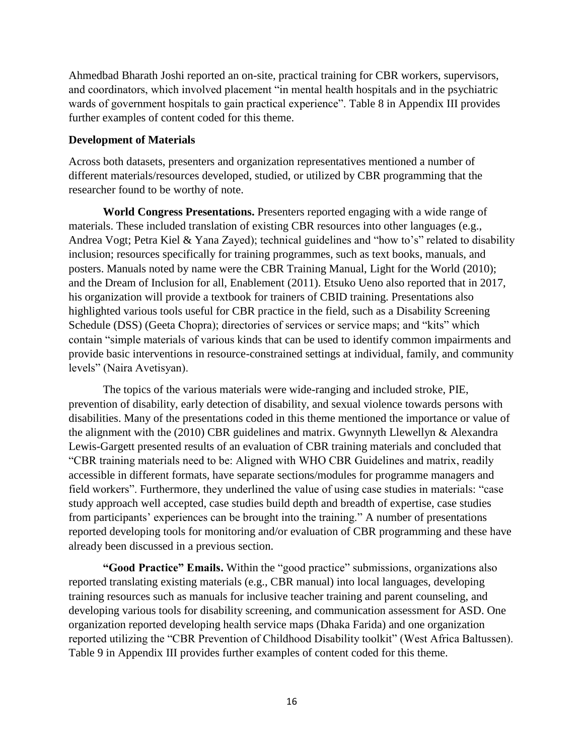Ahmedbad Bharath Joshi reported an on-site, practical training for CBR workers, supervisors, and coordinators, which involved placement "in mental health hospitals and in the psychiatric wards of government hospitals to gain practical experience". Table 8 in Appendix III provides further examples of content coded for this theme.

## **Development of Materials**

Across both datasets, presenters and organization representatives mentioned a number of different materials/resources developed, studied, or utilized by CBR programming that the researcher found to be worthy of note.

**World Congress Presentations.** Presenters reported engaging with a wide range of materials. These included translation of existing CBR resources into other languages (e.g., Andrea Vogt; Petra Kiel & Yana Zayed); technical guidelines and "how to's" related to disability inclusion; resources specifically for training programmes, such as text books, manuals, and posters. Manuals noted by name were the CBR Training Manual, Light for the World (2010); and the Dream of Inclusion for all, Enablement (2011). Etsuko Ueno also reported that in 2017, his organization will provide a textbook for trainers of CBID training. Presentations also highlighted various tools useful for CBR practice in the field, such as a Disability Screening Schedule (DSS) (Geeta Chopra); directories of services or service maps; and "kits" which contain "simple materials of various kinds that can be used to identify common impairments and provide basic interventions in resource-constrained settings at individual, family, and community levels" (Naira Avetisyan).

The topics of the various materials were wide-ranging and included stroke, PIE, prevention of disability, early detection of disability, and sexual violence towards persons with disabilities. Many of the presentations coded in this theme mentioned the importance or value of the alignment with the (2010) CBR guidelines and matrix. Gwynnyth Llewellyn & Alexandra Lewis-Gargett presented results of an evaluation of CBR training materials and concluded that "CBR training materials need to be: Aligned with WHO CBR Guidelines and matrix, readily accessible in different formats, have separate sections/modules for programme managers and field workers". Furthermore, they underlined the value of using case studies in materials: "case study approach well accepted, case studies build depth and breadth of expertise, case studies from participants' experiences can be brought into the training." A number of presentations reported developing tools for monitoring and/or evaluation of CBR programming and these have already been discussed in a previous section.

**"Good Practice" Emails.** Within the "good practice" submissions, organizations also reported translating existing materials (e.g., CBR manual) into local languages, developing training resources such as manuals for inclusive teacher training and parent counseling, and developing various tools for disability screening, and communication assessment for ASD. One organization reported developing health service maps (Dhaka Farida) and one organization reported utilizing the "CBR Prevention of Childhood Disability toolkit" (West Africa Baltussen). Table 9 in Appendix III provides further examples of content coded for this theme.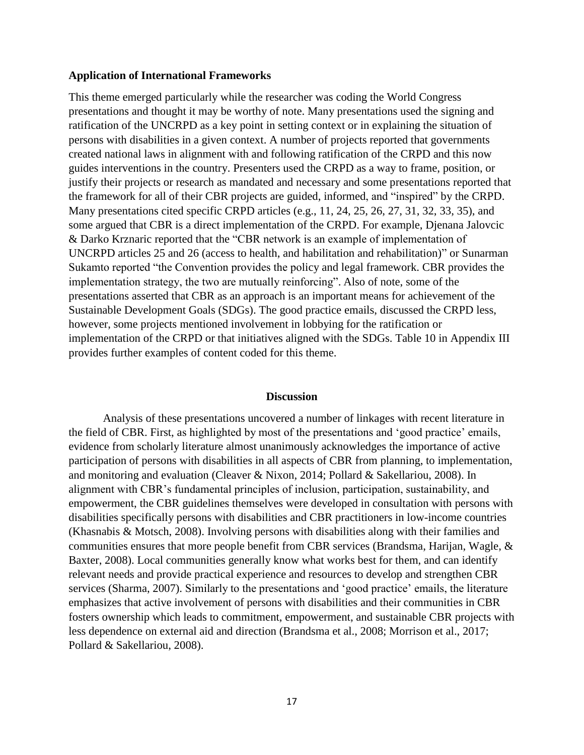## **Application of International Frameworks**

This theme emerged particularly while the researcher was coding the World Congress presentations and thought it may be worthy of note. Many presentations used the signing and ratification of the UNCRPD as a key point in setting context or in explaining the situation of persons with disabilities in a given context. A number of projects reported that governments created national laws in alignment with and following ratification of the CRPD and this now guides interventions in the country. Presenters used the CRPD as a way to frame, position, or justify their projects or research as mandated and necessary and some presentations reported that the framework for all of their CBR projects are guided, informed, and "inspired" by the CRPD. Many presentations cited specific CRPD articles (e.g., 11, 24, 25, 26, 27, 31, 32, 33, 35), and some argued that CBR is a direct implementation of the CRPD. For example, Djenana Jalovcic & Darko Krznaric reported that the "CBR network is an example of implementation of UNCRPD articles 25 and 26 (access to health, and habilitation and rehabilitation)" or Sunarman Sukamto reported "the Convention provides the policy and legal framework. CBR provides the implementation strategy, the two are mutually reinforcing". Also of note, some of the presentations asserted that CBR as an approach is an important means for achievement of the Sustainable Development Goals (SDGs). The good practice emails, discussed the CRPD less, however, some projects mentioned involvement in lobbying for the ratification or implementation of the CRPD or that initiatives aligned with the SDGs. Table 10 in Appendix III provides further examples of content coded for this theme.

### **Discussion**

Analysis of these presentations uncovered a number of linkages with recent literature in the field of CBR. First, as highlighted by most of the presentations and 'good practice' emails, evidence from scholarly literature almost unanimously acknowledges the importance of active participation of persons with disabilities in all aspects of CBR from planning, to implementation, and monitoring and evaluation (Cleaver & Nixon, 2014; Pollard & Sakellariou, 2008). In alignment with CBR's fundamental principles of inclusion, participation, sustainability, and empowerment, the CBR guidelines themselves were developed in consultation with persons with disabilities specifically persons with disabilities and CBR practitioners in low-income countries (Khasnabis & Motsch, 2008). Involving persons with disabilities along with their families and communities ensures that more people benefit from CBR services (Brandsma, Harijan, Wagle, & Baxter, 2008). Local communities generally know what works best for them, and can identify relevant needs and provide practical experience and resources to develop and strengthen CBR services (Sharma, 2007). Similarly to the presentations and 'good practice' emails, the literature emphasizes that active involvement of persons with disabilities and their communities in CBR fosters ownership which leads to commitment, empowerment, and sustainable CBR projects with less dependence on external aid and direction (Brandsma et al., 2008; Morrison et al., 2017; Pollard & Sakellariou, 2008).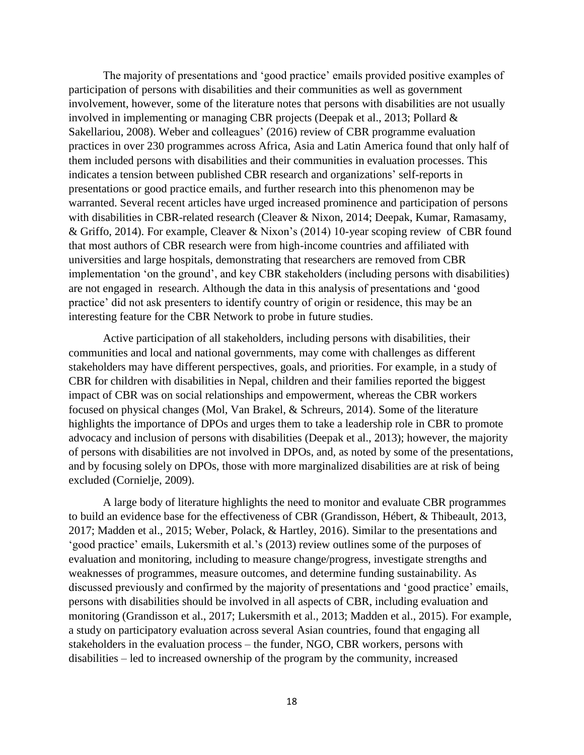The majority of presentations and 'good practice' emails provided positive examples of participation of persons with disabilities and their communities as well as government involvement, however, some of the literature notes that persons with disabilities are not usually involved in implementing or managing CBR projects (Deepak et al., 2013; Pollard & Sakellariou, 2008). Weber and colleagues' (2016) review of CBR programme evaluation practices in over 230 programmes across Africa, Asia and Latin America found that only half of them included persons with disabilities and their communities in evaluation processes. This indicates a tension between published CBR research and organizations' self-reports in presentations or good practice emails, and further research into this phenomenon may be warranted. Several recent articles have urged increased prominence and participation of persons with disabilities in CBR-related research (Cleaver & Nixon, 2014; Deepak, Kumar, Ramasamy, & Griffo, 2014). For example, Cleaver & Nixon's (2014) 10-year scoping review of CBR found that most authors of CBR research were from high-income countries and affiliated with universities and large hospitals, demonstrating that researchers are removed from CBR implementation 'on the ground', and key CBR stakeholders (including persons with disabilities) are not engaged in research. Although the data in this analysis of presentations and 'good practice' did not ask presenters to identify country of origin or residence, this may be an interesting feature for the CBR Network to probe in future studies.

Active participation of all stakeholders, including persons with disabilities, their communities and local and national governments, may come with challenges as different stakeholders may have different perspectives, goals, and priorities. For example, in a study of CBR for children with disabilities in Nepal, children and their families reported the biggest impact of CBR was on social relationships and empowerment, whereas the CBR workers focused on physical changes (Mol, Van Brakel, & Schreurs, 2014). Some of the literature highlights the importance of DPOs and urges them to take a leadership role in CBR to promote advocacy and inclusion of persons with disabilities (Deepak et al., 2013); however, the majority of persons with disabilities are not involved in DPOs, and, as noted by some of the presentations, and by focusing solely on DPOs, those with more marginalized disabilities are at risk of being excluded (Cornielje, 2009).

A large body of literature highlights the need to monitor and evaluate CBR programmes to build an evidence base for the effectiveness of CBR (Grandisson, Hébert, & Thibeault, 2013, 2017; Madden et al., 2015; Weber, Polack, & Hartley, 2016). Similar to the presentations and 'good practice' emails, Lukersmith et al.'s (2013) review outlines some of the purposes of evaluation and monitoring, including to measure change/progress, investigate strengths and weaknesses of programmes, measure outcomes, and determine funding sustainability. As discussed previously and confirmed by the majority of presentations and 'good practice' emails, persons with disabilities should be involved in all aspects of CBR, including evaluation and monitoring (Grandisson et al., 2017; Lukersmith et al., 2013; Madden et al., 2015). For example, a study on participatory evaluation across several Asian countries, found that engaging all stakeholders in the evaluation process – the funder, NGO, CBR workers, persons with disabilities – led to increased ownership of the program by the community, increased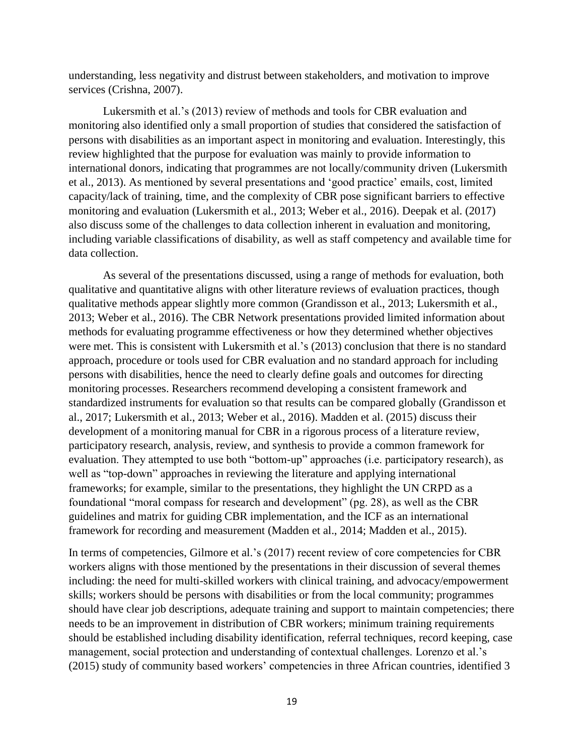understanding, less negativity and distrust between stakeholders, and motivation to improve services (Crishna, 2007).

Lukersmith et al.'s (2013) review of methods and tools for CBR evaluation and monitoring also identified only a small proportion of studies that considered the satisfaction of persons with disabilities as an important aspect in monitoring and evaluation. Interestingly, this review highlighted that the purpose for evaluation was mainly to provide information to international donors, indicating that programmes are not locally/community driven (Lukersmith et al., 2013). As mentioned by several presentations and 'good practice' emails, cost, limited capacity/lack of training, time, and the complexity of CBR pose significant barriers to effective monitoring and evaluation (Lukersmith et al., 2013; Weber et al., 2016). Deepak et al. (2017) also discuss some of the challenges to data collection inherent in evaluation and monitoring, including variable classifications of disability, as well as staff competency and available time for data collection.

As several of the presentations discussed, using a range of methods for evaluation, both qualitative and quantitative aligns with other literature reviews of evaluation practices, though qualitative methods appear slightly more common (Grandisson et al., 2013; Lukersmith et al., 2013; Weber et al., 2016). The CBR Network presentations provided limited information about methods for evaluating programme effectiveness or how they determined whether objectives were met. This is consistent with Lukersmith et al.'s (2013) conclusion that there is no standard approach, procedure or tools used for CBR evaluation and no standard approach for including persons with disabilities, hence the need to clearly define goals and outcomes for directing monitoring processes. Researchers recommend developing a consistent framework and standardized instruments for evaluation so that results can be compared globally (Grandisson et al., 2017; Lukersmith et al., 2013; Weber et al., 2016). Madden et al. (2015) discuss their development of a monitoring manual for CBR in a rigorous process of a literature review, participatory research, analysis, review, and synthesis to provide a common framework for evaluation. They attempted to use both "bottom-up" approaches (i.e. participatory research), as well as "top-down" approaches in reviewing the literature and applying international frameworks; for example, similar to the presentations, they highlight the UN CRPD as a foundational "moral compass for research and development" (pg. 28), as well as the CBR guidelines and matrix for guiding CBR implementation, and the ICF as an international framework for recording and measurement (Madden et al., 2014; Madden et al., 2015).

In terms of competencies, Gilmore et al.'s (2017) recent review of core competencies for CBR workers aligns with those mentioned by the presentations in their discussion of several themes including: the need for multi-skilled workers with clinical training, and advocacy/empowerment skills; workers should be persons with disabilities or from the local community; programmes should have clear job descriptions, adequate training and support to maintain competencies; there needs to be an improvement in distribution of CBR workers; minimum training requirements should be established including disability identification, referral techniques, record keeping, case management, social protection and understanding of contextual challenges. Lorenzo et al.'s (2015) study of community based workers' competencies in three African countries, identified 3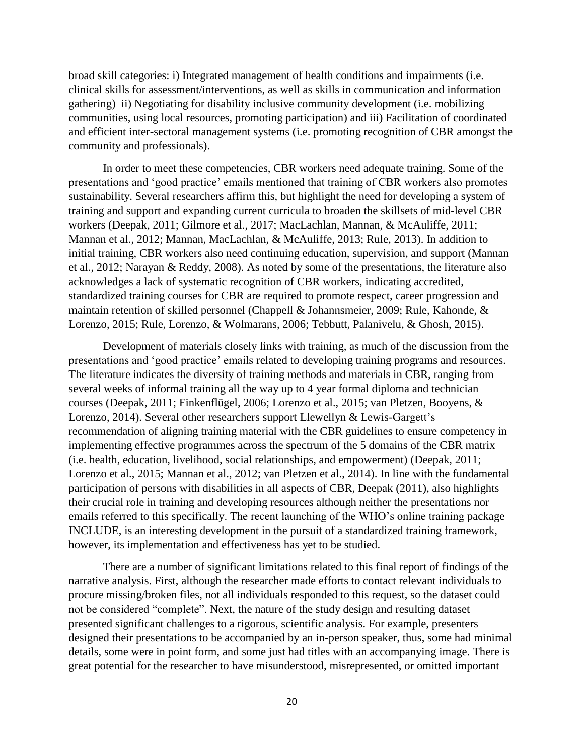broad skill categories: i) Integrated management of health conditions and impairments (i.e. clinical skills for assessment/interventions, as well as skills in communication and information gathering) ii) Negotiating for disability inclusive community development (i.e. mobilizing communities, using local resources, promoting participation) and iii) Facilitation of coordinated and efficient inter-sectoral management systems (i.e. promoting recognition of CBR amongst the community and professionals).

In order to meet these competencies, CBR workers need adequate training. Some of the presentations and 'good practice' emails mentioned that training of CBR workers also promotes sustainability. Several researchers affirm this, but highlight the need for developing a system of training and support and expanding current curricula to broaden the skillsets of mid-level CBR workers (Deepak, 2011; Gilmore et al., 2017; MacLachlan, Mannan, & McAuliffe, 2011; Mannan et al., 2012; Mannan, MacLachlan, & McAuliffe, 2013; Rule, 2013). In addition to initial training, CBR workers also need continuing education, supervision, and support (Mannan et al., 2012; Narayan & Reddy, 2008). As noted by some of the presentations, the literature also acknowledges a lack of systematic recognition of CBR workers, indicating accredited, standardized training courses for CBR are required to promote respect, career progression and maintain retention of skilled personnel (Chappell & Johannsmeier, 2009; Rule, Kahonde, & Lorenzo, 2015; Rule, Lorenzo, & Wolmarans, 2006; Tebbutt, Palanivelu, & Ghosh, 2015).

Development of materials closely links with training, as much of the discussion from the presentations and 'good practice' emails related to developing training programs and resources. The literature indicates the diversity of training methods and materials in CBR, ranging from several weeks of informal training all the way up to 4 year formal diploma and technician courses (Deepak, 2011; Finkenflügel, 2006; Lorenzo et al., 2015; van Pletzen, Booyens, & Lorenzo, 2014). Several other researchers support Llewellyn & Lewis-Gargett's recommendation of aligning training material with the CBR guidelines to ensure competency in implementing effective programmes across the spectrum of the 5 domains of the CBR matrix (i.e. health, education, livelihood, social relationships, and empowerment) (Deepak, 2011; Lorenzo et al., 2015; Mannan et al., 2012; van Pletzen et al., 2014). In line with the fundamental participation of persons with disabilities in all aspects of CBR, Deepak (2011), also highlights their crucial role in training and developing resources although neither the presentations nor emails referred to this specifically. The recent launching of the WHO's online training package INCLUDE, is an interesting development in the pursuit of a standardized training framework, however, its implementation and effectiveness has yet to be studied.

There are a number of significant limitations related to this final report of findings of the narrative analysis. First, although the researcher made efforts to contact relevant individuals to procure missing/broken files, not all individuals responded to this request, so the dataset could not be considered "complete". Next, the nature of the study design and resulting dataset presented significant challenges to a rigorous, scientific analysis. For example, presenters designed their presentations to be accompanied by an in-person speaker, thus, some had minimal details, some were in point form, and some just had titles with an accompanying image. There is great potential for the researcher to have misunderstood, misrepresented, or omitted important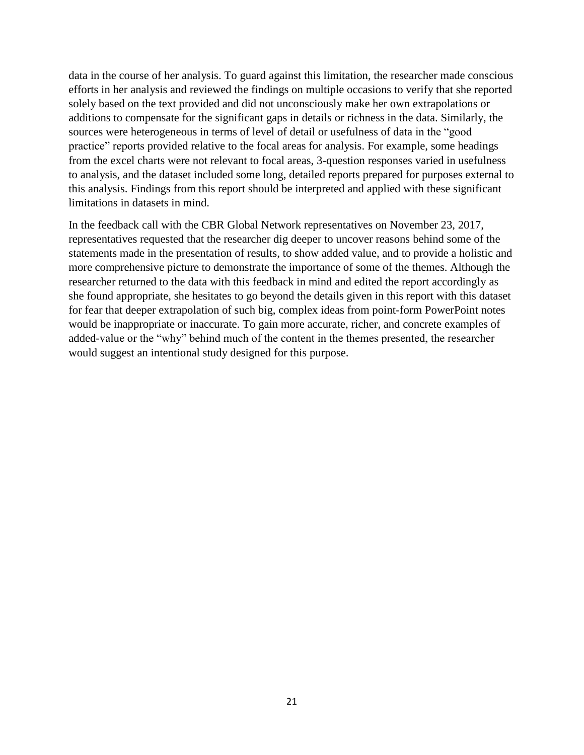data in the course of her analysis. To guard against this limitation, the researcher made conscious efforts in her analysis and reviewed the findings on multiple occasions to verify that she reported solely based on the text provided and did not unconsciously make her own extrapolations or additions to compensate for the significant gaps in details or richness in the data. Similarly, the sources were heterogeneous in terms of level of detail or usefulness of data in the "good practice" reports provided relative to the focal areas for analysis. For example, some headings from the excel charts were not relevant to focal areas, 3-question responses varied in usefulness to analysis, and the dataset included some long, detailed reports prepared for purposes external to this analysis. Findings from this report should be interpreted and applied with these significant limitations in datasets in mind.

In the feedback call with the CBR Global Network representatives on November 23, 2017, representatives requested that the researcher dig deeper to uncover reasons behind some of the statements made in the presentation of results, to show added value, and to provide a holistic and more comprehensive picture to demonstrate the importance of some of the themes. Although the researcher returned to the data with this feedback in mind and edited the report accordingly as she found appropriate, she hesitates to go beyond the details given in this report with this dataset for fear that deeper extrapolation of such big, complex ideas from point-form PowerPoint notes would be inappropriate or inaccurate. To gain more accurate, richer, and concrete examples of added-value or the "why" behind much of the content in the themes presented, the researcher would suggest an intentional study designed for this purpose.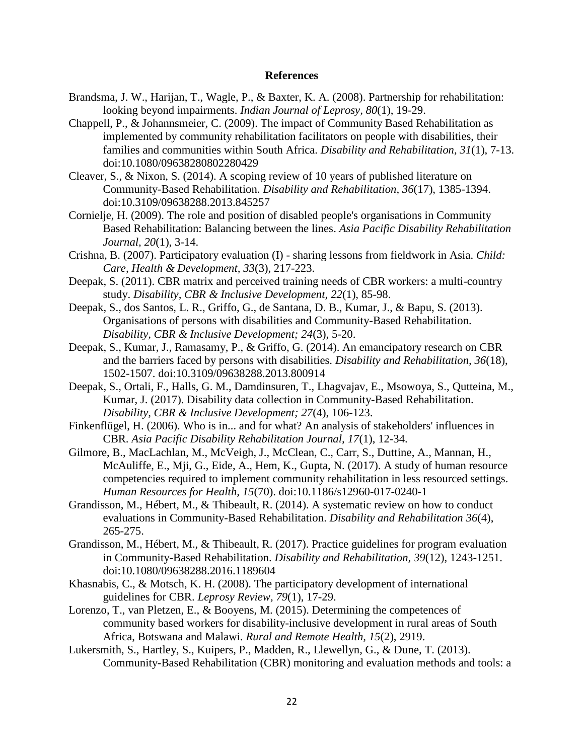### **References**

- Brandsma, J. W., Harijan, T., Wagle, P., & Baxter, K. A. (2008). Partnership for rehabilitation: looking beyond impairments. *Indian Journal of Leprosy, 80*(1), 19-29.
- Chappell, P., & Johannsmeier, C. (2009). The impact of Community Based Rehabilitation as implemented by community rehabilitation facilitators on people with disabilities, their families and communities within South Africa. *Disability and Rehabilitation, 31*(1), 7-13. doi:10.1080/09638280802280429
- Cleaver, S., & Nixon, S. (2014). A scoping review of 10 years of published literature on Community-Based Rehabilitation. *Disability and Rehabilitation, 36*(17), 1385-1394. doi:10.3109/09638288.2013.845257
- Cornielje, H. (2009). The role and position of disabled people's organisations in Community Based Rehabilitation: Balancing between the lines. *Asia Pacific Disability Rehabilitation Journal, 20*(1), 3-14.
- Crishna, B. (2007). Participatory evaluation (I) sharing lessons from fieldwork in Asia. *Child: Care, Health & Development, 33*(3), 217-223.
- Deepak, S. (2011). CBR matrix and perceived training needs of CBR workers: a multi-country study. *Disability, CBR & Inclusive Development, 22*(1), 85-98.
- Deepak, S., dos Santos, L. R., Griffo, G., de Santana, D. B., Kumar, J., & Bapu, S. (2013). Organisations of persons with disabilities and Community-Based Rehabilitation. *Disability, CBR & Inclusive Development; 24*(3), 5-20.
- Deepak, S., Kumar, J., Ramasamy, P., & Griffo, G. (2014). An emancipatory research on CBR and the barriers faced by persons with disabilities. *Disability and Rehabilitation, 36*(18), 1502-1507. doi:10.3109/09638288.2013.800914
- Deepak, S., Ortali, F., Halls, G. M., Damdinsuren, T., Lhagvajav, E., Msowoya, S., Qutteina, M., Kumar, J. (2017). Disability data collection in Community-Based Rehabilitation. *Disability, CBR & Inclusive Development; 27*(4), 106-123.
- Finkenflügel, H. (2006). Who is in... and for what? An analysis of stakeholders' influences in CBR. *Asia Pacific Disability Rehabilitation Journal, 17*(1), 12-34.
- Gilmore, B., MacLachlan, M., McVeigh, J., McClean, C., Carr, S., Duttine, A., Mannan, H., McAuliffe, E., Mji, G., Eide, A., Hem, K., Gupta, N. (2017). A study of human resource competencies required to implement community rehabilitation in less resourced settings. *Human Resources for Health, 15*(70). doi:10.1186/s12960-017-0240-1
- Grandisson, M., Hébert, M., & Thibeault, R. (2014). A systematic review on how to conduct evaluations in Community-Based Rehabilitation. *Disability and Rehabilitation 36*(4), 265-275.
- Grandisson, M., Hébert, M., & Thibeault, R. (2017). Practice guidelines for program evaluation in Community-Based Rehabilitation. *Disability and Rehabilitation, 39*(12), 1243-1251. doi:10.1080/09638288.2016.1189604
- Khasnabis, C., & Motsch, K. H. (2008). The participatory development of international guidelines for CBR. *Leprosy Review, 79*(1), 17-29.
- Lorenzo, T., van Pletzen, E., & Booyens, M. (2015). Determining the competences of community based workers for disability-inclusive development in rural areas of South Africa, Botswana and Malawi. *Rural and Remote Health, 15*(2), 2919.
- Lukersmith, S., Hartley, S., Kuipers, P., Madden, R., Llewellyn, G., & Dune, T. (2013). Community-Based Rehabilitation (CBR) monitoring and evaluation methods and tools: a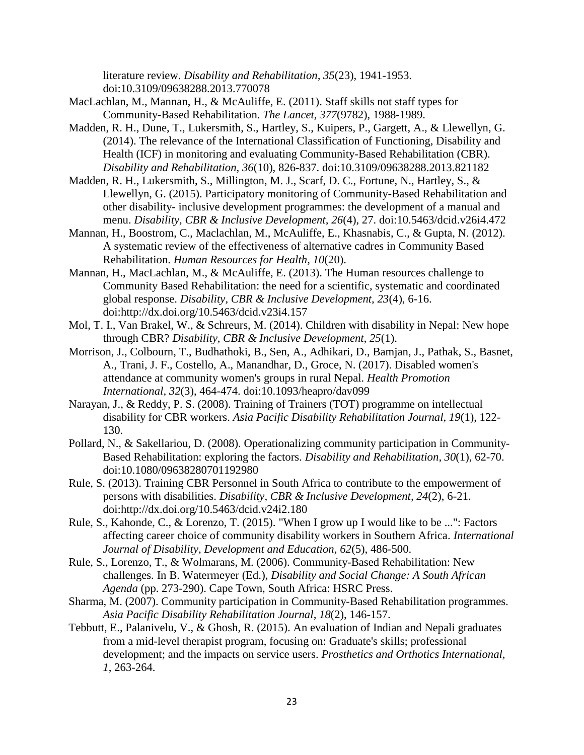literature review. *Disability and Rehabilitation, 35*(23), 1941-1953. doi:10.3109/09638288.2013.770078

- MacLachlan, M., Mannan, H., & McAuliffe, E. (2011). Staff skills not staff types for Community-Based Rehabilitation. *The Lancet, 377*(9782), 1988-1989.
- Madden, R. H., Dune, T., Lukersmith, S., Hartley, S., Kuipers, P., Gargett, A., & Llewellyn, G. (2014). The relevance of the International Classification of Functioning, Disability and Health (ICF) in monitoring and evaluating Community-Based Rehabilitation (CBR). *Disability and Rehabilitation, 36*(10), 826-837. doi:10.3109/09638288.2013.821182
- Madden, R. H., Lukersmith, S., Millington, M. J., Scarf, D. C., Fortune, N., Hartley, S., & Llewellyn, G. (2015). Participatory monitoring of Community-Based Rehabilitation and other disability- inclusive development programmes: the development of a manual and menu. *Disability, CBR & Inclusive Development, 26*(4), 27. doi:10.5463/dcid.v26i4.472
- Mannan, H., Boostrom, C., Maclachlan, M., McAuliffe, E., Khasnabis, C., & Gupta, N. (2012). A systematic review of the effectiveness of alternative cadres in Community Based Rehabilitation. *Human Resources for Health, 10*(20).
- Mannan, H., MacLachlan, M., & McAuliffe, E. (2013). The Human resources challenge to Community Based Rehabilitation: the need for a scientific, systematic and coordinated global response. *Disability, CBR & Inclusive Development, 23*(4), 6-16. doi:http://dx.doi.org/10.5463/dcid.v23i4.157
- Mol, T. I., Van Brakel, W., & Schreurs, M. (2014). Children with disability in Nepal: New hope through CBR? *Disability, CBR & Inclusive Development, 25*(1).
- Morrison, J., Colbourn, T., Budhathoki, B., Sen, A., Adhikari, D., Bamjan, J., Pathak, S., Basnet, A., Trani, J. F., Costello, A., Manandhar, D., Groce, N. (2017). Disabled women's attendance at community women's groups in rural Nepal. *Health Promotion International, 32*(3), 464-474. doi:10.1093/heapro/dav099
- Narayan, J., & Reddy, P. S. (2008). Training of Trainers (TOT) programme on intellectual disability for CBR workers. *Asia Pacific Disability Rehabilitation Journal, 19*(1), 122- 130.
- Pollard, N., & Sakellariou, D. (2008). Operationalizing community participation in Community-Based Rehabilitation: exploring the factors. *Disability and Rehabilitation, 30*(1), 62-70. doi:10.1080/09638280701192980
- Rule, S. (2013). Training CBR Personnel in South Africa to contribute to the empowerment of persons with disabilities. *Disability, CBR & Inclusive Development, 24*(2), 6-21. doi:http://dx.doi.org/10.5463/dcid.v24i2.180
- Rule, S., Kahonde, C., & Lorenzo, T. (2015). "When I grow up I would like to be ...": Factors affecting career choice of community disability workers in Southern Africa. *International Journal of Disability, Development and Education, 62*(5), 486-500.
- Rule, S., Lorenzo, T., & Wolmarans, M. (2006). Community-Based Rehabilitation: New challenges. In B. Watermeyer (Ed.), *Disability and Social Change: A South African Agenda* (pp. 273-290). Cape Town, South Africa: HSRC Press.
- Sharma, M. (2007). Community participation in Community-Based Rehabilitation programmes. *Asia Pacific Disability Rehabilitation Journal, 18*(2), 146-157.
- Tebbutt, E., Palanivelu, V., & Ghosh, R. (2015). An evaluation of Indian and Nepali graduates from a mid-level therapist program, focusing on: Graduate's skills; professional development; and the impacts on service users. *Prosthetics and Orthotics International, 1*, 263-264.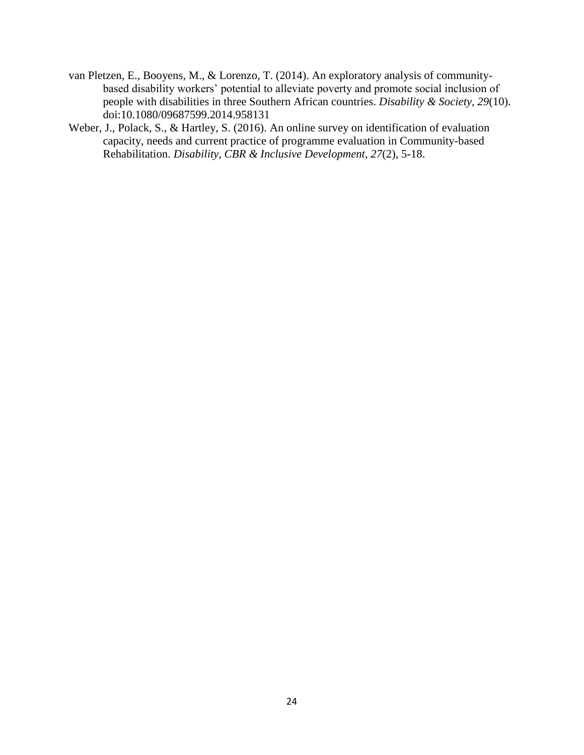- van Pletzen, E., Booyens, M., & Lorenzo, T. (2014). An exploratory analysis of communitybased disability workers' potential to alleviate poverty and promote social inclusion of people with disabilities in three Southern African countries. *Disability & Society, 29*(10). doi:10.1080/09687599.2014.958131
- Weber, J., Polack, S., & Hartley, S. (2016). An online survey on identification of evaluation capacity, needs and current practice of programme evaluation in Community-based Rehabilitation. *Disability, CBR & Inclusive Development, 27*(2), 5-18.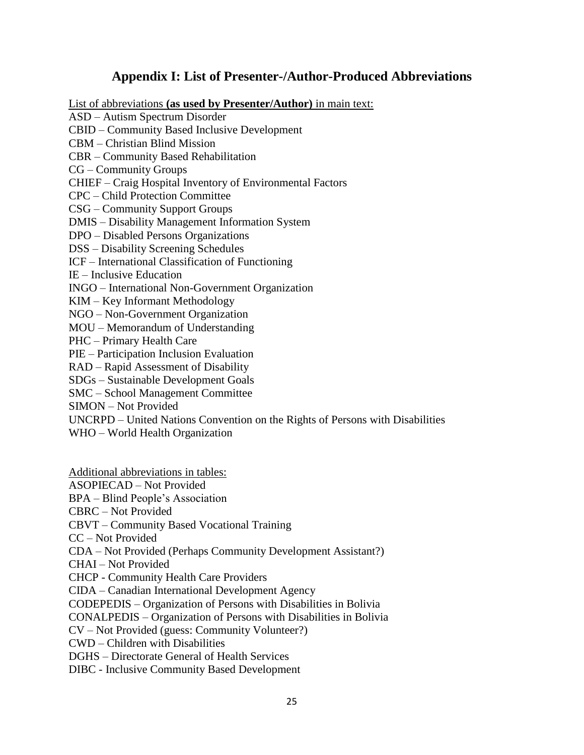## **Appendix I: List of Presenter-/Author-Produced Abbreviations**

List of abbreviations **(as used by Presenter/Author)** in main text: ASD – Autism Spectrum Disorder CBID – Community Based Inclusive Development CBM – Christian Blind Mission CBR – Community Based Rehabilitation CG – Community Groups CHIEF – Craig Hospital Inventory of Environmental Factors CPC – Child Protection Committee CSG – Community Support Groups DMIS – Disability Management Information System DPO – Disabled Persons Organizations DSS – Disability Screening Schedules ICF – International Classification of Functioning IE – Inclusive Education INGO – International Non-Government Organization KIM – Key Informant Methodology NGO – Non-Government Organization MOU – Memorandum of Understanding PHC – Primary Health Care PIE – Participation Inclusion Evaluation RAD – Rapid Assessment of Disability SDGs – Sustainable Development Goals SMC – School Management Committee SIMON – Not Provided UNCRPD – United Nations Convention on the Rights of Persons with Disabilities WHO – World Health Organization Additional abbreviations in tables:

ASOPIECAD – Not Provided

BPA – Blind People's Association

CBRC – Not Provided

CBVT – Community Based Vocational Training

CC – Not Provided

CDA – Not Provided (Perhaps Community Development Assistant?)

CHAI – Not Provided

CHCP - Community Health Care Providers

CIDA – Canadian International Development Agency

CODEPEDIS – Organization of Persons with Disabilities in Bolivia

CONALPEDIS – Organization of Persons with Disabilities in Bolivia

CV – Not Provided (guess: Community Volunteer?)

CWD – Children with Disabilities

DGHS – Directorate General of Health Services

DIBC - Inclusive Community Based Development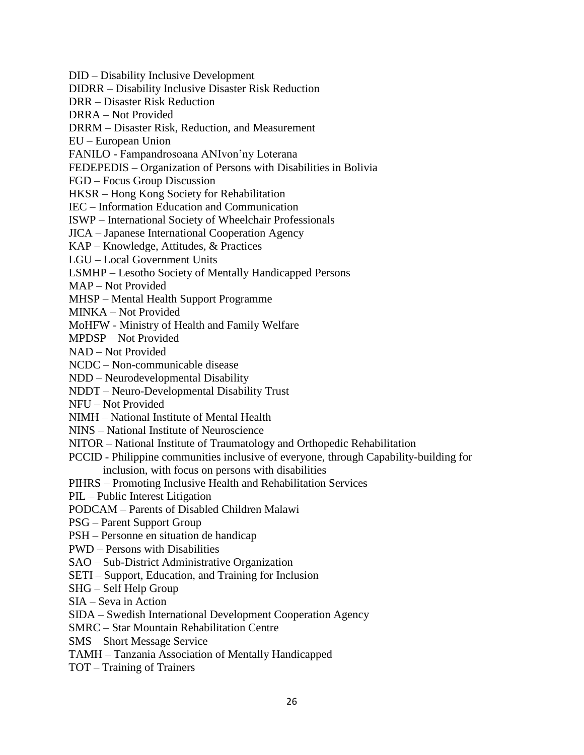DID – Disability Inclusive Development

DIDRR – Disability Inclusive Disaster Risk Reduction

DRR – Disaster Risk Reduction

DRRA – Not Provided

DRRM – Disaster Risk, Reduction, and Measurement

EU – European Union

FANILO - Fampandrosoana ANIvon'ny Loterana

FEDEPEDIS – Organization of Persons with Disabilities in Bolivia

FGD – Focus Group Discussion

HKSR – Hong Kong Society for Rehabilitation

IEC – Information Education and Communication

ISWP – International Society of Wheelchair Professionals

JICA – Japanese International Cooperation Agency

KAP – Knowledge, Attitudes, & Practices

LGU – Local Government Units

LSMHP – Lesotho Society of Mentally Handicapped Persons

MAP – Not Provided

MHSP – Mental Health Support Programme

MINKA – Not Provided

MoHFW - Ministry of Health and Family Welfare

MPDSP – Not Provided

NAD – Not Provided

NCDC – Non-communicable disease

NDD – Neurodevelopmental Disability

NDDT – Neuro-Developmental Disability Trust

NFU – Not Provided

NIMH – National Institute of Mental Health

NINS – National Institute of Neuroscience

NITOR – National Institute of Traumatology and Orthopedic Rehabilitation

PCCID - Philippine communities inclusive of everyone, through Capability-building for inclusion, with focus on persons with disabilities

PIHRS – Promoting Inclusive Health and Rehabilitation Services

PIL – Public Interest Litigation

PODCAM – Parents of Disabled Children Malawi

PSG – Parent Support Group

PSH – Personne en situation de handicap

PWD – Persons with Disabilities

SAO – Sub-District Administrative Organization

SETI – Support, Education, and Training for Inclusion

SHG – Self Help Group

SIA – Seva in Action

SIDA – Swedish International Development Cooperation Agency

SMRC – Star Mountain Rehabilitation Centre

SMS – Short Message Service

TAMH – Tanzania Association of Mentally Handicapped

TOT – Training of Trainers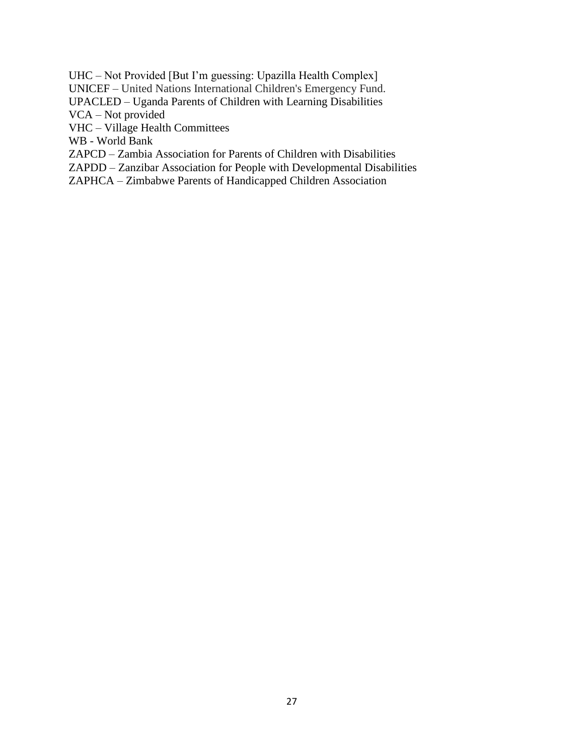UHC – Not Provided [But I'm guessing: Upazilla Health Complex]

UNICEF – United Nations International Children's Emergency Fund.

UPACLED – Uganda Parents of Children with Learning Disabilities

VCA – Not provided

VHC – Village Health Committees

WB - World Bank

ZAPCD – Zambia Association for Parents of Children with Disabilities

ZAPDD – Zanzibar Association for People with Developmental Disabilities

ZAPHCA – Zimbabwe Parents of Handicapped Children Association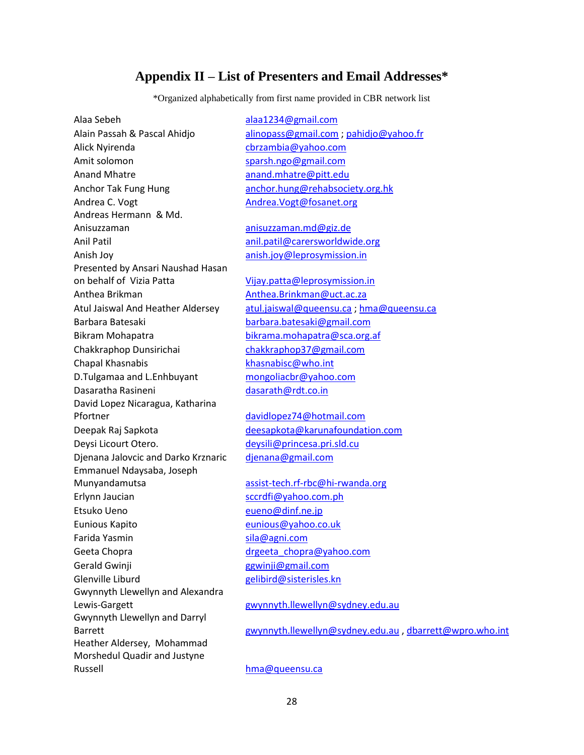## **Appendix II – List of Presenters and Email Addresses\***

\*Organized alphabetically from first name provided in CBR network list

Alaa Sebeh alaa 1234@gmail.com Alain Passah & Pascal Ahidjo [alinopass@gmail.com](mailto:alinopass@gmail.com) ; [pahidjo@yahoo.fr](mailto:pahidjo@yahoo.fr) Alick Nyirenda [cbrzambia@yahoo.com](mailto:cbrzambia@yahoo.com) Amit solomon [sparsh.ngo@gmail.com](mailto:sparsh.ngo@gmail.com) Anand Mhatre **anand** Mhatre [anand.mhatre@pitt.edu](mailto:anand.mhatre@pitt.edu) Anchor Tak Fung Hung [anchor.hung@rehabsociety.org.hk](mailto:anchor.hung@rehabsociety.org.hk) Andrea C. Vogt [Andrea.Vogt@fosanet.org](mailto:Andrea.Vogt@fosanet.org) Andreas Hermann & Md. Anisuzzaman [anisuzzaman.md@giz.de](mailto:anisuzzaman.md@giz.de) Anil Patil [anil.patil@carersworldwide.org](mailto:anil.patil@carersworldwide.org) Anish Joy [anish.joy@leprosymission.in](mailto:anish.joy@leprosymission.in) Presented by Ansari Naushad Hasan on behalf of Vizia Patta [Vijay.patta@leprosymission.in](mailto:Vijay.patta@leprosymission.in) Anthea Brikman **Anthea**.Brinkman@uct.ac.za Barbara Batesaki [barbara.batesaki@gmail.com](mailto:barbara.batesaki@gmail.com) Bikram Mohapatra [bikrama.mohapatra@sca.org.af](mailto:bikrama.mohapatra@sca.org.af) Chakkraphop Dunsirichai [chakkraphop37@gmail.com](mailto:chakkraphop37@gmail.com) Chapal Khasnabis [khasnabisc@who.int](mailto:khasnabisc@who.int) D.Tulgamaa and L.Enhbuyant [mongoliacbr@yahoo.com](mailto:mongoliacbr@yahoo.com) Dasaratha Rasineni [dasarath@rdt.co.in](mailto:dasarath@rdt.co.in) David Lopez Nicaragua, Katharina Pfortner [davidlopez74@hotmail.com](mailto:davidlopez74@hotmail.com) Deepak Raj Sapkota [deesapkota@karunafoundation.com](mailto:deesapkota@karunafoundation.com) Deysi Licourt Otero. [deysili@princesa.pri.sld.cu](mailto:deysili@princesa.pri.sld.cu) Djenana Jalovcic and Darko Krznaric [djenana@gmail.com](mailto:djenana@gmail.com) Emmanuel Ndaysaba, Joseph Munyandamutsa [assist-tech.rf-rbc@hi-rwanda.org](mailto:assist-tech.rf-rbc@hi-rwanda.org) Erlynn Jaucian [sccrdfi@yahoo.com.ph](mailto:sccrdfi@yahoo.com.ph) Etsuko Ueno [eueno@dinf.ne.jp](mailto:eueno@dinf.ne.jp) Eunious Kapito **eunious** eunious @yahoo.co.uk Farida Yasmin Sanda Yasmin [sila@agni.com](mailto:sila@agni.com) Geeta Chopra drageeta chopra@yahoo.com Gerald Gwinji **Guide Community** gawinji@gmail.com Glenville Liburd and Glenville Liburd [gelibird@sisterisles.kn](mailto:gelibird@sisterisles.kn) Gwynnyth Llewellyn and Alexandra Lewis-Gargett example and the [gwynnyth.llewellyn@sydney.edu.au](mailto:gwynnyth.llewellyn@sydney.edu.au) Gwynnyth Llewellyn and Darryl Heather Aldersey, Mohammad Morshedul Quadir and Justyne Russell **[hma@queensu.ca](mailto:hma@queensu.ca)** 

Atul Jaiswal And Heather Aldersey [atul.jaiswal@queensu.ca](mailto:atul.jaiswal@queensu.ca) ; [hma@queensu.ca](mailto:hma@queensu.ca)

Barrett [gwynnyth.llewellyn@sydney.edu.au](mailto:gwynnyth.llewellyn@sydney.edu.au) [, dbarrett@wpro.who.int](mailto:dbarrett@wpro.who.int)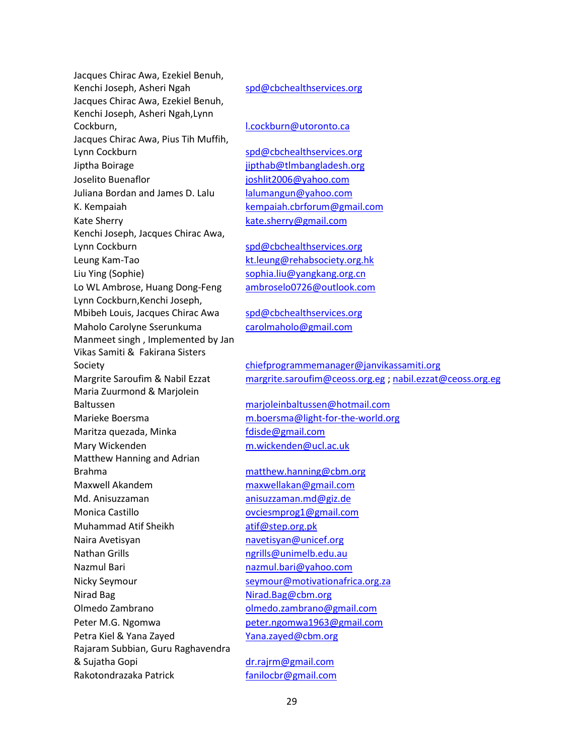Jacques Chirac Awa, Ezekiel Benuh, Kenchi Joseph, Asheri Ngah [spd@cbchealthservices.org](mailto:spd@cbchealthservices.org) Jacques Chirac Awa, Ezekiel Benuh, Kenchi Joseph, Asheri Ngah,Lynn Cockburn, and the cockburn and the [l.cockburn@utoronto.ca](mailto:l.cockburn@utoronto.ca) Jacques Chirac Awa, Pius Tih Muffih, Lynn Cockburn [spd@cbchealthservices.org](mailto:spd@cbchealthservices.org) Jiptha Boirage [jipthab@tlmbangladesh.org](mailto:jipthab@tlmbangladesh.org) Joselito Buenaflor in the interest in the [joshlit2006@yahoo.com](mailto:joshlit2006@yahoo.com) Juliana Bordan and James D. Lalu [lalumangun@yahoo.com](mailto:lalumangun@yahoo.com) K. Kempaiah [kempaiah.cbrforum@gmail.com](mailto:kempaiah.cbrforum@gmail.com) Kate Sherry **Kate.sherry@gmail.com** Kenchi Joseph, Jacques Chirac Awa, Lynn Cockburn [spd@cbchealthservices.org](mailto:spd@cbchealthservices.org) Leung Kam-Tao [kt.leung@rehabsociety.org.hk](mailto:kt.leung@rehabsociety.org.hk) Liu Ying (Sophie) [sophia.liu@yangkang.org.cn](mailto:sophia.liu@yangkang.org.cn) Lo WL Ambrose, Huang Dong-Feng [ambroselo0726@outlook.com](mailto:ambroselo0726@outlook.com) Lynn Cockburn,Kenchi Joseph, Mbibeh Louis, Jacques Chirac Awa [spd@cbchealthservices.org](mailto:spd@cbchealthservices.org) Maholo Carolyne Sserunkuma [carolmaholo@gmail.com](mailto:carolmaholo@gmail.com) Manmeet singh , Implemented by Jan Vikas Samiti & Fakirana Sisters Maria Zuurmond & Marjolein Baltussen [marjoleinbaltussen@hotmail.com](mailto:marjoleinbaltussen@hotmail.com) Marieke Boersma [m.boersma@light-for-the-world.org](mailto:m.boersma@light-for-the-world.org) Maritza quezada, Minka [fdisde@gmail.com](mailto:fdisde@gmail.com) Mary Wickenden material manufacture [m.wickenden@ucl.ac.uk](mailto:m.wickenden@ucl.ac.uk) Matthew Hanning and Adrian Brahma [matthew.hanning@cbm.org](mailto:matthew.hanning@cbm.org) Maxwell Akandem [maxwellakan@gmail.com](mailto:maxwellakan@gmail.com) Md. Anisuzzaman [anisuzzaman.md@giz.de](mailto:anisuzzaman.md@giz.de) Monica Castillo **Castillo Castillo [ovciesmprog1@gmail.com](mailto:ovciesmprog1@gmail.com)** Muhammad Atif Sheikh [atif@step.org.pk](mailto:atif@step.org.pk) Naira Avetisyan [navetisyan@unicef.org](mailto:navetisyan@unicef.org) Nathan Grills [ngrills@unimelb.edu.au](mailto:ngrills@unimelb.edu.au) Nazmul Bari **[nazmul.bari@yahoo.com](mailto:nazmul.bari@yahoo.com)** Nicky Seymour [seymour@motivationafrica.org.za](mailto:seymour@motivationafrica.org.za) Nirad Bag [Nirad.Bag@cbm.org](mailto:Nirad.Bag@cbm.org) Olmedo Zambrano **blue alternation** [olmedo.zambrano@gmail.com](mailto:olmedo.zambrano@gmail.com) Peter M.G. Ngomwa meter.ngomwa1963@gmail.com Petra Kiel & Yana Zayed [Yana.zayed@cbm.org](mailto:Yana.zayed@cbm.org) Rajaram Subbian, Guru Raghavendra & Sujatha Gopi [dr.rajrm@gmail.com](mailto:dr.rajrm@gmail.com) Rakotondrazaka Patrick [fanilocbr@gmail.com](mailto:fanilocbr@gmail.com)

Society [chiefprogrammemanager@janvikassamiti.org](mailto:chiefprogrammemanager@janvikassamiti.org) Margrite Saroufim & Nabil Ezzat [margrite.saroufim@ceoss.org.eg](mailto:margrite.saroufim@ceoss.org.eg) [; nabil.ezzat@ceoss.org.eg](mailto:nabil.ezzat@ceoss.org.eg)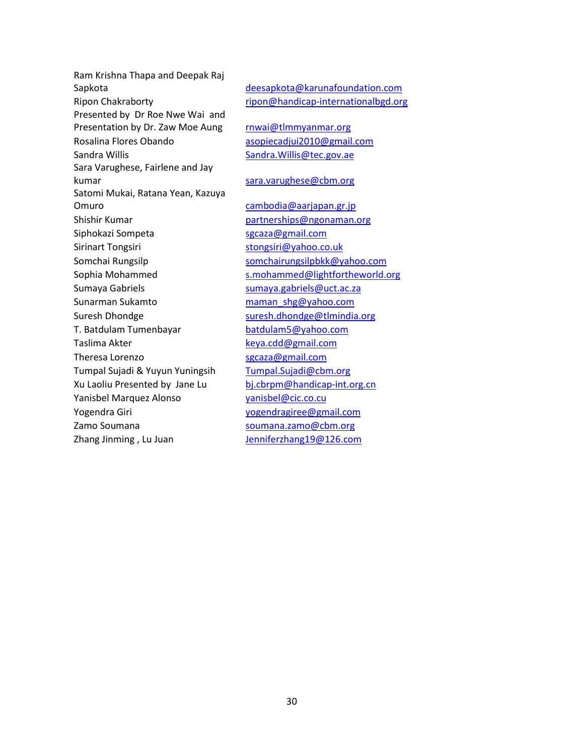Ram Krishna Thapa and Deepak Raj Presented by Dr Roe Nwe Wai and Presentation by Dr. Zaw Moe Aung [rnwai@tlmmyanmar.org](mailto:rnwai@tlmmyanmar.org) Rosalina Flores Obando **[asopiecadjui2010@gmail.com](mailto:asopiecadjui2010@gmail.com)** Sandra Willis [Sandra.Willis@tec.gov.ae](mailto:Sandra.Willis@tec.gov.ae) Sara Varughese, Fairlene and Jay kumar [sara.varughese@cbm.org](mailto:sara.varughese@cbm.org) Satomi Mukai, Ratana Yean, Kazuya Omuro [cambodia@aarjapan.gr.jp](mailto:cambodia@aarjapan.gr.jp) Shishir Kumar **[partnerships@ngonaman.org](mailto:partnerships@ngonaman.org)** Siphokazi Sompeta [sgcaza@gmail.com](mailto:sgcaza@gmail.com) Sirinart Tongsiri Sirinart Tongsiri [stongsiri@yahoo.co.uk](mailto:stongsiri@yahoo.co.uk) Somchai Rungsilp [somchairungsilpbkk@yahoo.com](mailto:somchairungsilpbkk@yahoo.com) Sophia Mohammed [s.mohammed@lightfortheworld.org](mailto:s.mohammed@lightfortheworld.org) Sumaya Gabriels [sumaya.gabriels@uct.ac.za](mailto:sumaya.gabriels@uct.ac.za) Sunarman Sukamto mamanang mamang shg@yahoo.com Suresh Dhondge [suresh.dhondge@tlmindia.org](mailto:suresh.dhondge@tlmindia.org) T. Batdulam Tumenbayar [batdulam5@yahoo.com](mailto:batdulam5@yahoo.com) Taslima Akter **Keya.cdd@gmail.com** Theresa Lorenzo [sgcaza@gmail.com](mailto:sgcaza@gmail.com) Tumpal Sujadi & Yuyun Yuningsih [Tumpal.Sujadi@cbm.org](mailto:Tumpal.Sujadi@cbm.org) Xu Laoliu Presented by Jane Lu [bj.cbrpm@handicap-int.org.cn](mailto:bj.cbrpm@handicap-int.org.cn) Yanisbel Marquez Alonso **[yanisbel@cic.co.cu](mailto:yanisbel@cic.co.cu)** Yogendra Giri [yogendragiree@gmail.com](mailto:yogendragiree@gmail.com) Zamo Soumana [soumana.zamo@cbm.org](mailto:soumana.zamo@cbm.org) Zhang Jinming, Lu Juan [Jenniferzhang19@126.com](mailto:Jenniferzhang19@126.com)

Sapkota [deesapkota@karunafoundation.com](mailto:deesapkota@karunafoundation.com) Ripon Chakraborty [ripon@handicap-internationalbgd.org](mailto:ripon@handicap-internationalbgd.org)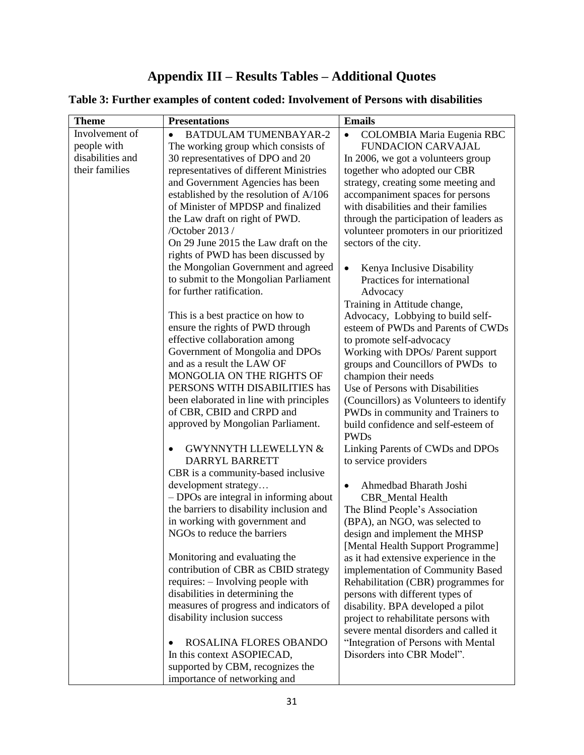# **Appendix III – Results Tables – Additional Quotes**

**Table 3: Further examples of content coded: Involvement of Persons with disabilities**

| <b>Theme</b>     | <b>Presentations</b>                                                       | <b>Emails</b>                                                      |
|------------------|----------------------------------------------------------------------------|--------------------------------------------------------------------|
| Involvement of   | <b>BATDULAM TUMENBAYAR-2</b>                                               | COLOMBIA Maria Eugenia RBC<br>$\bullet$                            |
| people with      | The working group which consists of                                        | <b>FUNDACION CARVAJAL</b>                                          |
| disabilities and | 30 representatives of DPO and 20                                           | In 2006, we got a volunteers group                                 |
| their families   | representatives of different Ministries                                    | together who adopted our CBR                                       |
|                  | and Government Agencies has been                                           | strategy, creating some meeting and                                |
|                  | established by the resolution of A/106                                     | accompaniment spaces for persons                                   |
|                  | of Minister of MPDSP and finalized                                         | with disabilities and their families                               |
|                  | the Law draft on right of PWD.                                             | through the participation of leaders as                            |
|                  | /October 2013 /                                                            | volunteer promoters in our prioritized                             |
|                  | On 29 June 2015 the Law draft on the                                       | sectors of the city.                                               |
|                  | rights of PWD has been discussed by                                        |                                                                    |
|                  | the Mongolian Government and agreed                                        | Kenya Inclusive Disability<br>$\bullet$                            |
|                  | to submit to the Mongolian Parliament<br>for further ratification.         | Practices for international                                        |
|                  |                                                                            | Advocacy<br>Training in Attitude change,                           |
|                  | This is a best practice on how to                                          | Advocacy, Lobbying to build self-                                  |
|                  | ensure the rights of PWD through                                           | esteem of PWDs and Parents of CWDs                                 |
|                  | effective collaboration among                                              | to promote self-advocacy                                           |
|                  | Government of Mongolia and DPOs                                            | Working with DPOs/ Parent support                                  |
|                  | and as a result the LAW OF                                                 | groups and Councillors of PWDs to                                  |
|                  | MONGOLIA ON THE RIGHTS OF                                                  | champion their needs                                               |
|                  | PERSONS WITH DISABILITIES has                                              | Use of Persons with Disabilities                                   |
|                  | been elaborated in line with principles                                    | (Councillors) as Volunteers to identify                            |
|                  | of CBR, CBID and CRPD and                                                  | PWDs in community and Trainers to                                  |
|                  | approved by Mongolian Parliament.                                          | build confidence and self-esteem of                                |
|                  |                                                                            | <b>PWDs</b>                                                        |
|                  | <b>GWYNNYTH LLEWELLYN &amp;</b>                                            | Linking Parents of CWDs and DPOs                                   |
|                  | DARRYL BARRETT                                                             | to service providers                                               |
|                  | CBR is a community-based inclusive                                         |                                                                    |
|                  | development strategy                                                       | Ahmedbad Bharath Joshi<br>٠                                        |
|                  | - DPOs are integral in informing about                                     | <b>CBR_Mental Health</b>                                           |
|                  | the barriers to disability inclusion and<br>in working with government and | The Blind People's Association                                     |
|                  | NGOs to reduce the barriers                                                | (BPA), an NGO, was selected to                                     |
|                  |                                                                            | design and implement the MHSP<br>[Mental Health Support Programme] |
|                  | Monitoring and evaluating the                                              | as it had extensive experience in the                              |
|                  | contribution of CBR as CBID strategy                                       | implementation of Community Based                                  |
|                  | requires: - Involving people with                                          | Rehabilitation (CBR) programmes for                                |
|                  | disabilities in determining the                                            | persons with different types of                                    |
|                  | measures of progress and indicators of                                     | disability. BPA developed a pilot                                  |
|                  | disability inclusion success                                               | project to rehabilitate persons with                               |
|                  |                                                                            | severe mental disorders and called it                              |
|                  | ROSALINA FLORES OBANDO                                                     | "Integration of Persons with Mental                                |
|                  | In this context ASOPIECAD,                                                 | Disorders into CBR Model".                                         |
|                  | supported by CBM, recognizes the                                           |                                                                    |
|                  | importance of networking and                                               |                                                                    |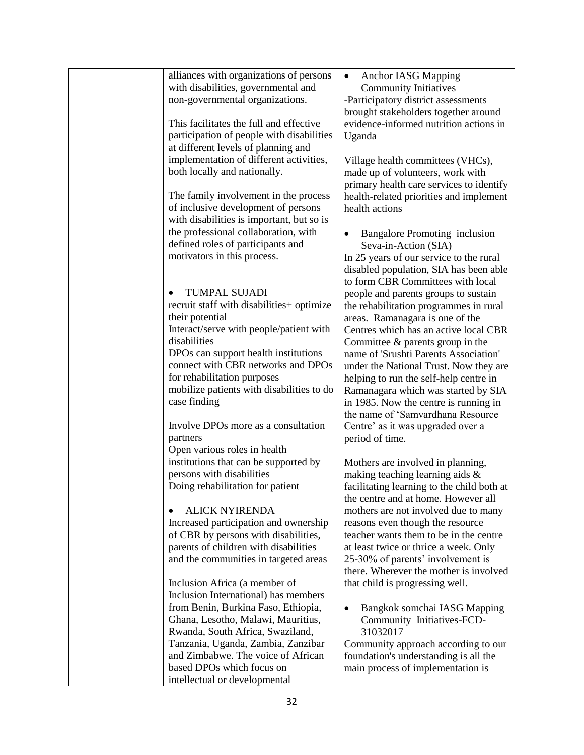| alliances with organizations of persons                                  | <b>Anchor IASG Mapping</b><br>$\bullet$                                      |
|--------------------------------------------------------------------------|------------------------------------------------------------------------------|
| with disabilities, governmental and                                      | <b>Community Initiatives</b>                                                 |
| non-governmental organizations.                                          | -Participatory district assessments                                          |
|                                                                          | brought stakeholders together around                                         |
| This facilitates the full and effective                                  | evidence-informed nutrition actions in                                       |
| participation of people with disabilities                                | Uganda                                                                       |
| at different levels of planning and                                      |                                                                              |
| implementation of different activities,                                  | Village health committees (VHCs),                                            |
| both locally and nationally.                                             | made up of volunteers, work with                                             |
|                                                                          | primary health care services to identify                                     |
| The family involvement in the process                                    | health-related priorities and implement                                      |
| of inclusive development of persons                                      | health actions                                                               |
| with disabilities is important, but so is                                |                                                                              |
| the professional collaboration, with                                     | <b>Bangalore Promoting inclusion</b><br>٠                                    |
| defined roles of participants and                                        | Seva-in-Action (SIA)                                                         |
| motivators in this process.                                              | In 25 years of our service to the rural                                      |
|                                                                          | disabled population, SIA has been able                                       |
|                                                                          | to form CBR Committees with local                                            |
| <b>TUMPAL SUJADI</b>                                                     | people and parents groups to sustain                                         |
| recruit staff with disabilities+ optimize                                | the rehabilitation programmes in rural                                       |
| their potential                                                          | areas. Ramanagara is one of the                                              |
| Interact/serve with people/patient with                                  | Centres which has an active local CBR                                        |
| disabilities                                                             | Committee $\&$ parents group in the                                          |
| DPOs can support health institutions                                     | name of 'Srushti Parents Association'                                        |
| connect with CBR networks and DPOs                                       | under the National Trust. Now they are                                       |
| for rehabilitation purposes<br>mobilize patients with disabilities to do | helping to run the self-help centre in                                       |
| case finding                                                             | Ramanagara which was started by SIA<br>in 1985. Now the centre is running in |
|                                                                          | the name of 'Samvardhana Resource                                            |
| Involve DPOs more as a consultation                                      | Centre' as it was upgraded over a                                            |
| partners                                                                 | period of time.                                                              |
| Open various roles in health                                             |                                                                              |
| institutions that can be supported by                                    | Mothers are involved in planning,                                            |
| persons with disabilities                                                | making teaching learning aids $\&$                                           |
| Doing rehabilitation for patient                                         | facilitating learning to the child both at                                   |
|                                                                          | the centre and at home. However all                                          |
| <b>ALICK NYIRENDA</b>                                                    | mothers are not involved due to many                                         |
| Increased participation and ownership                                    | reasons even though the resource                                             |
| of CBR by persons with disabilities,                                     | teacher wants them to be in the centre                                       |
| parents of children with disabilities                                    | at least twice or thrice a week. Only                                        |
| and the communities in targeted areas                                    | 25-30% of parents' involvement is                                            |
|                                                                          | there. Wherever the mother is involved                                       |
| Inclusion Africa (a member of                                            | that child is progressing well.                                              |
| Inclusion International) has members                                     |                                                                              |
| from Benin, Burkina Faso, Ethiopia,                                      | Bangkok somchai IASG Mapping<br>$\bullet$                                    |
| Ghana, Lesotho, Malawi, Mauritius,                                       | Community Initiatives-FCD-                                                   |
| Rwanda, South Africa, Swaziland,                                         | 31032017                                                                     |
| Tanzania, Uganda, Zambia, Zanzibar                                       | Community approach according to our                                          |
| and Zimbabwe. The voice of African                                       | foundation's understanding is all the                                        |
| based DPOs which focus on                                                | main process of implementation is                                            |
| intellectual or developmental                                            |                                                                              |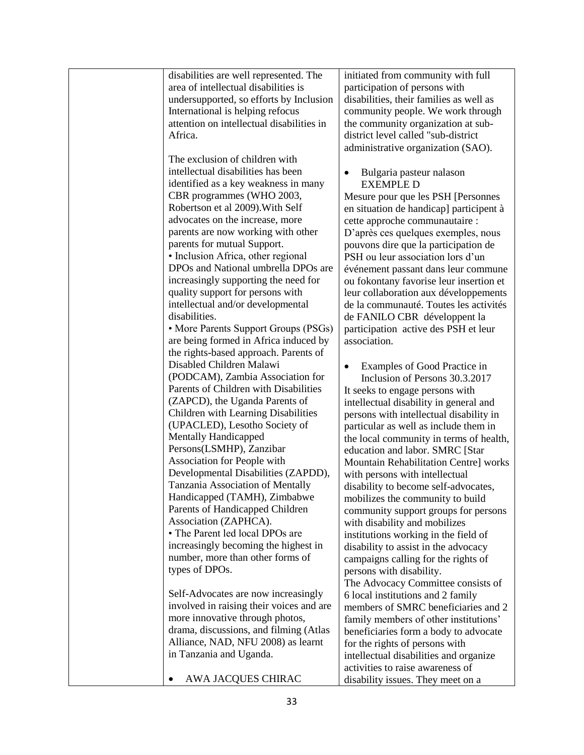|                             | disabilities are well represented. The    | initiated from community with full        |
|-----------------------------|-------------------------------------------|-------------------------------------------|
|                             | area of intellectual disabilities is      | participation of persons with             |
|                             | undersupported, so efforts by Inclusion   | disabilities, their families as well as   |
|                             | International is helping refocus          | community people. We work through         |
|                             | attention on intellectual disabilities in | the community organization at sub-        |
| Africa.                     |                                           | district level called "sub-district       |
|                             |                                           | administrative organization (SAO).        |
|                             | The exclusion of children with            |                                           |
|                             | intellectual disabilities has been        | Bulgaria pasteur nalason<br>$\bullet$     |
|                             | identified as a key weakness in many      | <b>EXEMPLE D</b>                          |
|                             | CBR programmes (WHO 2003,                 | Mesure pour que les PSH [Personnes        |
|                             | Robertson et al 2009). With Self          | en situation de handicap] participent à   |
|                             | advocates on the increase, more           | cette approche communautaire :            |
|                             | parents are now working with other        | D'après ces quelques exemples, nous       |
|                             | parents for mutual Support.               |                                           |
|                             | · Inclusion Africa, other regional        | pouvons dire que la participation de      |
|                             |                                           | PSH ou leur association lors d'un         |
|                             | DPOs and National umbrella DPOs are       | événement passant dans leur commune       |
|                             | increasingly supporting the need for      | ou fokontany favorise leur insertion et   |
|                             | quality support for persons with          | leur collaboration aux développements     |
|                             | intellectual and/or developmental         | de la communauté. Toutes les activités    |
| disabilities.               |                                           | de FANILO CBR développent la              |
|                             | • More Parents Support Groups (PSGs)      | participation active des PSH et leur      |
|                             | are being formed in Africa induced by     | association.                              |
|                             | the rights-based approach. Parents of     |                                           |
|                             | Disabled Children Malawi                  | Examples of Good Practice in<br>$\bullet$ |
|                             | (PODCAM), Zambia Association for          | Inclusion of Persons 30.3.2017            |
|                             | Parents of Children with Disabilities     | It seeks to engage persons with           |
|                             | (ZAPCD), the Uganda Parents of            | intellectual disability in general and    |
|                             | Children with Learning Disabilities       | persons with intellectual disability in   |
|                             | (UPACLED), Lesotho Society of             | particular as well as include them in     |
| <b>Mentally Handicapped</b> |                                           | the local community in terms of health,   |
|                             | Persons(LSMHP), Zanzibar                  | education and labor. SMRC [Star           |
|                             | Association for People with               | Mountain Rehabilitation Centre] works     |
|                             | Developmental Disabilities (ZAPDD),       | with persons with intellectual            |
|                             | Tanzania Association of Mentally          | disability to become self-advocates,      |
|                             | Handicapped (TAMH), Zimbabwe              | mobilizes the community to build          |
|                             | Parents of Handicapped Children           | community support groups for persons      |
| Association (ZAPHCA).       |                                           | with disability and mobilizes             |
|                             | • The Parent led local DPOs are           | institutions working in the field of      |
|                             | increasingly becoming the highest in      | disability to assist in the advocacy      |
|                             | number, more than other forms of          | campaigns calling for the rights of       |
| types of DPOs.              |                                           | persons with disability.                  |
|                             |                                           | The Advocacy Committee consists of        |
|                             | Self-Advocates are now increasingly       | 6 local institutions and 2 family         |
|                             | involved in raising their voices and are  | members of SMRC beneficiaries and 2       |
|                             | more innovative through photos,           | family members of other institutions'     |
|                             | drama, discussions, and filming (Atlas    |                                           |
|                             | Alliance, NAD, NFU 2008) as learnt        | beneficiaries form a body to advocate     |
| in Tanzania and Uganda.     |                                           | for the rights of persons with            |
|                             |                                           | intellectual disabilities and organize    |
|                             |                                           | activities to raise awareness of          |
|                             | AWA JACQUES CHIRAC                        | disability issues. They meet on a         |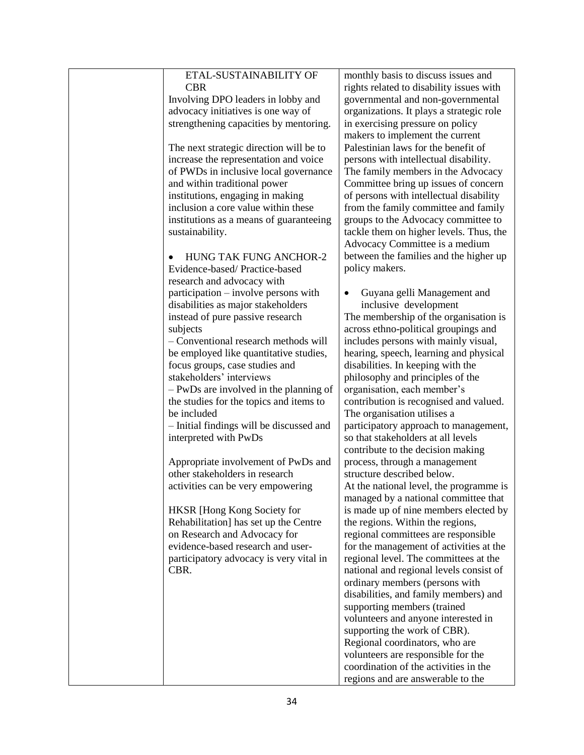| ETAL-SUSTAINABILITY OF                   | monthly basis to discuss issues and      |
|------------------------------------------|------------------------------------------|
| <b>CBR</b>                               | rights related to disability issues with |
| Involving DPO leaders in lobby and       | governmental and non-governmental        |
| advocacy initiatives is one way of       | organizations. It plays a strategic role |
| strengthening capacities by mentoring.   | in exercising pressure on policy         |
|                                          | makers to implement the current          |
| The next strategic direction will be to  | Palestinian laws for the benefit of      |
| increase the representation and voice    | persons with intellectual disability.    |
| of PWDs in inclusive local governance    | The family members in the Advocacy       |
| and within traditional power             | Committee bring up issues of concern     |
| institutions, engaging in making         | of persons with intellectual disability  |
| inclusion a core value within these      | from the family committee and family     |
| institutions as a means of guaranteeing  | groups to the Advocacy committee to      |
| sustainability.                          | tackle them on higher levels. Thus, the  |
|                                          | Advocacy Committee is a medium           |
| <b>HUNG TAK FUNG ANCHOR-2</b>            | between the families and the higher up   |
| Evidence-based/Practice-based            | policy makers.                           |
| research and advocacy with               |                                          |
| participation – involve persons with     | Guyana gelli Management and              |
| disabilities as major stakeholders       | inclusive development                    |
| instead of pure passive research         | The membership of the organisation is    |
| subjects                                 | across ethno-political groupings and     |
| - Conventional research methods will     | includes persons with mainly visual,     |
| be employed like quantitative studies,   | hearing, speech, learning and physical   |
| focus groups, case studies and           | disabilities. In keeping with the        |
| stakeholders' interviews                 | philosophy and principles of the         |
| $-$ PwDs are involved in the planning of | organisation, each member's              |
| the studies for the topics and items to  | contribution is recognised and valued.   |
| be included                              | The organisation utilises a              |
| - Initial findings will be discussed and | participatory approach to management,    |
| interpreted with PwDs                    | so that stakeholders at all levels       |
|                                          | contribute to the decision making        |
| Appropriate involvement of PwDs and      | process, through a management            |
| other stakeholders in research           | structure described below.               |
| activities can be very empowering        | At the national level, the programme is  |
|                                          | managed by a national committee that     |
| HKSR [Hong Kong Society for              | is made up of nine members elected by    |
| Rehabilitation] has set up the Centre    | the regions. Within the regions,         |
| on Research and Advocacy for             | regional committees are responsible      |
| evidence-based research and user-        | for the management of activities at the  |
| participatory advocacy is very vital in  | regional level. The committees at the    |
| CBR.                                     | national and regional levels consist of  |
|                                          | ordinary members (persons with           |
|                                          | disabilities, and family members) and    |
|                                          | supporting members (trained              |
|                                          | volunteers and anyone interested in      |
|                                          | supporting the work of CBR).             |
|                                          | Regional coordinators, who are           |
|                                          | volunteers are responsible for the       |
|                                          | coordination of the activities in the    |
|                                          | regions and are answerable to the        |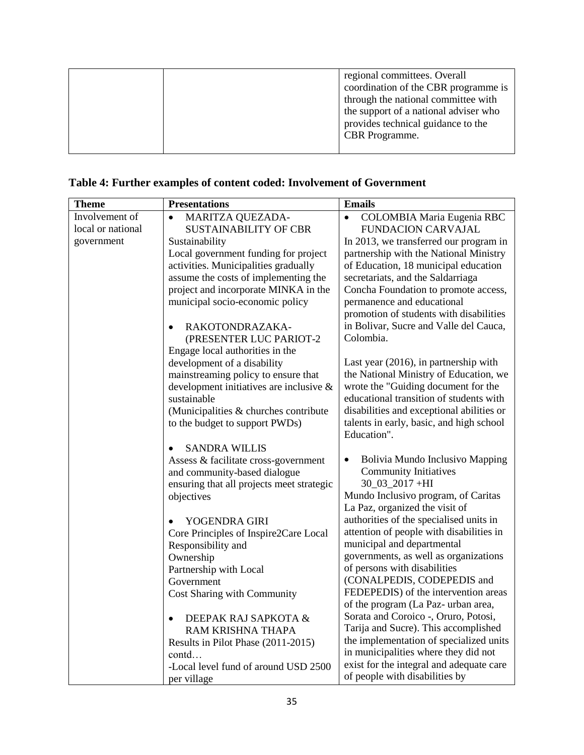|  | regional committees. Overall<br>coordination of the CBR programme is<br>through the national committee with<br>the support of a national adviser who<br>provides technical guidance to the<br><b>CBR</b> Programme. |
|--|---------------------------------------------------------------------------------------------------------------------------------------------------------------------------------------------------------------------|
|  |                                                                                                                                                                                                                     |

## **Table 4: Further examples of content coded: Involvement of Government**

| <b>Theme</b>      | <b>Presentations</b>                       | <b>Emails</b>                              |
|-------------------|--------------------------------------------|--------------------------------------------|
| Involvement of    | MARITZA QUEZADA-<br>$\bullet$              | COLOMBIA Maria Eugenia RBC                 |
| local or national | <b>SUSTAINABILITY OF CBR</b>               | FUNDACION CARVAJAL                         |
| government        | Sustainability                             | In 2013, we transferred our program in     |
|                   | Local government funding for project       | partnership with the National Ministry     |
|                   | activities. Municipalities gradually       | of Education, 18 municipal education       |
|                   | assume the costs of implementing the       | secretariats, and the Saldarriaga          |
|                   | project and incorporate MINKA in the       | Concha Foundation to promote access,       |
|                   | municipal socio-economic policy            | permanence and educational                 |
|                   |                                            | promotion of students with disabilities    |
|                   | RAKOTONDRAZAKA-                            | in Bolivar, Sucre and Valle del Cauca,     |
|                   | (PRESENTER LUC PARIOT-2                    | Colombia.                                  |
|                   | Engage local authorities in the            |                                            |
|                   | development of a disability                | Last year (2016), in partnership with      |
|                   | mainstreaming policy to ensure that        | the National Ministry of Education, we     |
|                   | development initiatives are inclusive $\&$ | wrote the "Guiding document for the        |
|                   | sustainable                                | educational transition of students with    |
|                   | (Municipalities & churches contribute      | disabilities and exceptional abilities or  |
|                   | to the budget to support PWDs)             | talents in early, basic, and high school   |
|                   |                                            | Education".                                |
|                   | <b>SANDRA WILLIS</b><br>$\bullet$          |                                            |
|                   | Assess & facilitate cross-government       | Bolivia Mundo Inclusivo Mapping            |
|                   | and community-based dialogue               | Community Initiatives<br>$30_03_2017 + HI$ |
|                   | ensuring that all projects meet strategic  | Mundo Inclusivo program, of Caritas        |
|                   | objectives                                 | La Paz, organized the visit of             |
|                   | YOGENDRA GIRI                              | authorities of the specialised units in    |
|                   | Core Principles of Inspire2Care Local      | attention of people with disabilities in   |
|                   | Responsibility and                         | municipal and departmental                 |
|                   | Ownership                                  | governments, as well as organizations      |
|                   | Partnership with Local                     | of persons with disabilities               |
|                   | Government                                 | (CONALPEDIS, CODEPEDIS and                 |
|                   | Cost Sharing with Community                | FEDEPEDIS) of the intervention areas       |
|                   |                                            | of the program (La Paz- urban area,        |
|                   | DEEPAK RAJ SAPKOTA &<br>$\bullet$          | Sorata and Coroico -, Oruro, Potosi,       |
|                   | RAM KRISHNA THAPA                          | Tarija and Sucre). This accomplished       |
|                   | Results in Pilot Phase (2011-2015)         | the implementation of specialized units    |
|                   | contd                                      | in municipalities where they did not       |
|                   | -Local level fund of around USD 2500       | exist for the integral and adequate care   |
|                   | per village                                | of people with disabilities by             |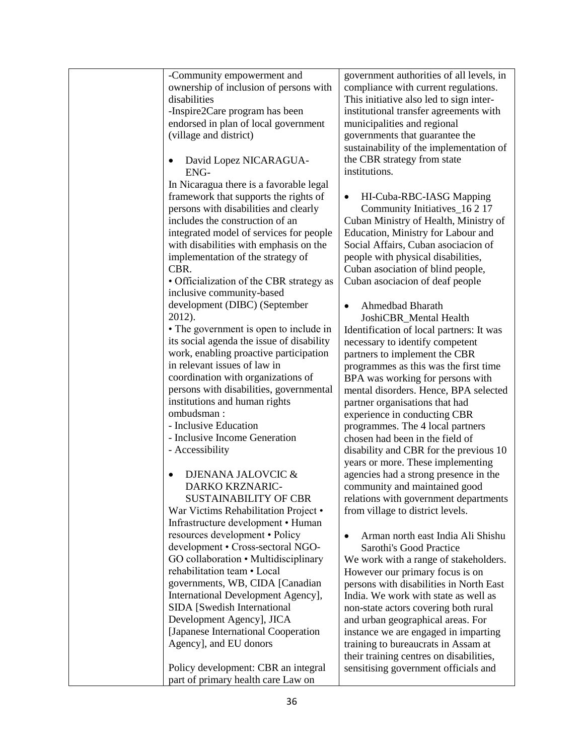| -Community empowerment and                | government authorities of all levels, in |
|-------------------------------------------|------------------------------------------|
| ownership of inclusion of persons with    | compliance with current regulations.     |
| disabilities                              | This initiative also led to sign inter-  |
| -Inspire2Care program has been            | institutional transfer agreements with   |
| endorsed in plan of local government      | municipalities and regional              |
| (village and district)                    | governments that guarantee the           |
|                                           | sustainability of the implementation of  |
| David Lopez NICARAGUA-                    | the CBR strategy from state              |
| ENG-                                      | institutions.                            |
| In Nicaragua there is a favorable legal   |                                          |
| framework that supports the rights of     | HI-Cuba-RBC-IASG Mapping                 |
|                                           | $\bullet$                                |
| persons with disabilities and clearly     | Community Initiatives_16 2 17            |
| includes the construction of an           | Cuban Ministry of Health, Ministry of    |
| integrated model of services for people   | Education, Ministry for Labour and       |
| with disabilities with emphasis on the    | Social Affairs, Cuban asociacion of      |
| implementation of the strategy of         | people with physical disabilities,       |
| CBR.                                      | Cuban asociation of blind people,        |
| • Officialization of the CBR strategy as  | Cuban asociacion of deaf people          |
| inclusive community-based                 |                                          |
| development (DIBC) (September             | Ahmedbad Bharath<br>$\bullet$            |
| 2012).                                    | JoshiCBR_Mental Health                   |
| • The government is open to include in    | Identification of local partners: It was |
| its social agenda the issue of disability | necessary to identify competent          |
| work, enabling proactive participation    | partners to implement the CBR            |
| in relevant issues of law in              |                                          |
|                                           | programmes as this was the first time    |
| coordination with organizations of        | BPA was working for persons with         |
| persons with disabilities, governmental   | mental disorders. Hence, BPA selected    |
| institutions and human rights             | partner organisations that had           |
| ombudsman:                                | experience in conducting CBR             |
| - Inclusive Education                     | programmes. The 4 local partners         |
| - Inclusive Income Generation             | chosen had been in the field of          |
| - Accessibility                           | disability and CBR for the previous 10   |
|                                           | years or more. These implementing        |
| DJENANA JALOVCIC &                        | agencies had a strong presence in the    |
| DARKO KRZNARIC-                           | community and maintained good            |
| <b>SUSTAINABILITY OF CBR</b>              | relations with government departments    |
| War Victims Rehabilitation Project •      | from village to district levels.         |
| Infrastructure development • Human        |                                          |
| resources development . Policy            | Arman north east India Ali Shishu<br>٠   |
| development • Cross-sectoral NGO-         | Sarothi's Good Practice                  |
| GO collaboration • Multidisciplinary      | We work with a range of stakeholders.    |
| rehabilitation team • Local               |                                          |
|                                           | However our primary focus is on          |
| governments, WB, CIDA [Canadian           | persons with disabilities in North East  |
| International Development Agency],        | India. We work with state as well as     |
| <b>SIDA</b> [Swedish International        | non-state actors covering both rural     |
| Development Agency], JICA                 | and urban geographical areas. For        |
| [Japanese International Cooperation       | instance we are engaged in imparting     |
| Agency], and EU donors                    | training to bureaucrats in Assam at      |
|                                           | their training centres on disabilities,  |
| Policy development: CBR an integral       | sensitising government officials and     |
| part of primary health care Law on        |                                          |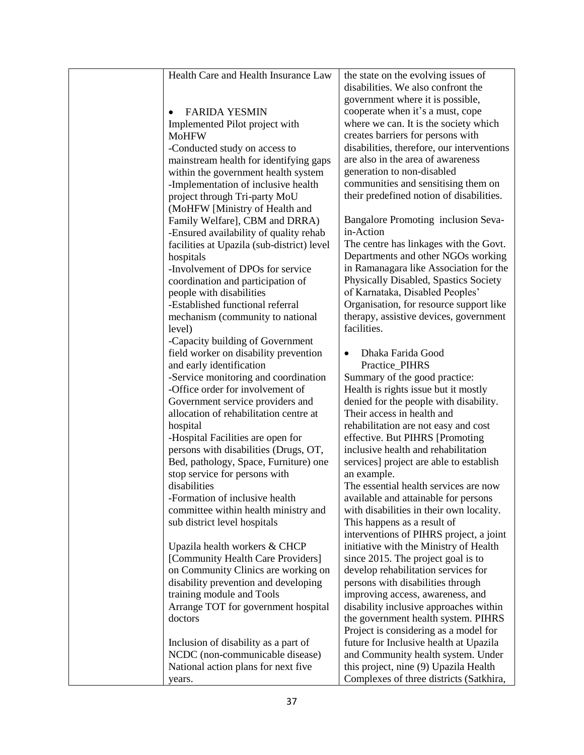| Health Care and Health Insurance Law       | the state on the evolving issues of        |
|--------------------------------------------|--------------------------------------------|
|                                            | disabilities. We also confront the         |
|                                            | government where it is possible,           |
| <b>FARIDA YESMIN</b>                       | cooperate when it's a must, cope           |
| Implemented Pilot project with             | where we can. It is the society which      |
| <b>MoHFW</b>                               | creates barriers for persons with          |
| -Conducted study on access to              | disabilities, therefore, our interventions |
| mainstream health for identifying gaps     | are also in the area of awareness          |
| within the government health system        | generation to non-disabled                 |
| -Implementation of inclusive health        | communities and sensitising them on        |
| project through Tri-party MoU              | their predefined notion of disabilities.   |
| (MoHFW [Ministry of Health and             |                                            |
| Family Welfare], CBM and DRRA)             | Bangalore Promoting inclusion Seva-        |
| -Ensured availability of quality rehab     | in-Action                                  |
| facilities at Upazila (sub-district) level | The centre has linkages with the Govt.     |
| hospitals                                  | Departments and other NGOs working         |
| -Involvement of DPOs for service           | in Ramanagara like Association for the     |
| coordination and participation of          | Physically Disabled, Spastics Society      |
| people with disabilities                   | of Karnataka, Disabled Peoples'            |
| -Established functional referral           | Organisation, for resource support like    |
| mechanism (community to national           | therapy, assistive devices, government     |
| level)                                     | facilities.                                |
| -Capacity building of Government           |                                            |
| field worker on disability prevention      | Dhaka Farida Good<br>$\bullet$             |
| and early identification                   | Practice_PIHRS                             |
| -Service monitoring and coordination       | Summary of the good practice:              |
| -Office order for involvement of           | Health is rights issue but it mostly       |
| Government service providers and           | denied for the people with disability.     |
| allocation of rehabilitation centre at     | Their access in health and                 |
| hospital                                   | rehabilitation are not easy and cost       |
| -Hospital Facilities are open for          | effective. But PIHRS [Promoting            |
| persons with disabilities (Drugs, OT,      | inclusive health and rehabilitation        |
| Bed, pathology, Space, Furniture) one      | services] project are able to establish    |
| stop service for persons with              | an example.                                |
| disabilities                               | The essential health services are now      |
| -Formation of inclusive health             | available and attainable for persons       |
| committee within health ministry and       | with disabilities in their own locality.   |
| sub district level hospitals               | This happens as a result of                |
|                                            | interventions of PIHRS project, a joint    |
| Upazila health workers & CHCP              | initiative with the Ministry of Health     |
| [Community Health Care Providers]          | since 2015. The project goal is to         |
| on Community Clinics are working on        | develop rehabilitation services for        |
| disability prevention and developing       | persons with disabilities through          |
| training module and Tools                  | improving access, awareness, and           |
| Arrange TOT for government hospital        | disability inclusive approaches within     |
| doctors                                    | the government health system. PIHRS        |
|                                            | Project is considering as a model for      |
| Inclusion of disability as a part of       | future for Inclusive health at Upazila     |
| NCDC (non-communicable disease)            | and Community health system. Under         |
| National action plans for next five        | this project, nine (9) Upazila Health      |
| years.                                     | Complexes of three districts (Satkhira,    |
|                                            |                                            |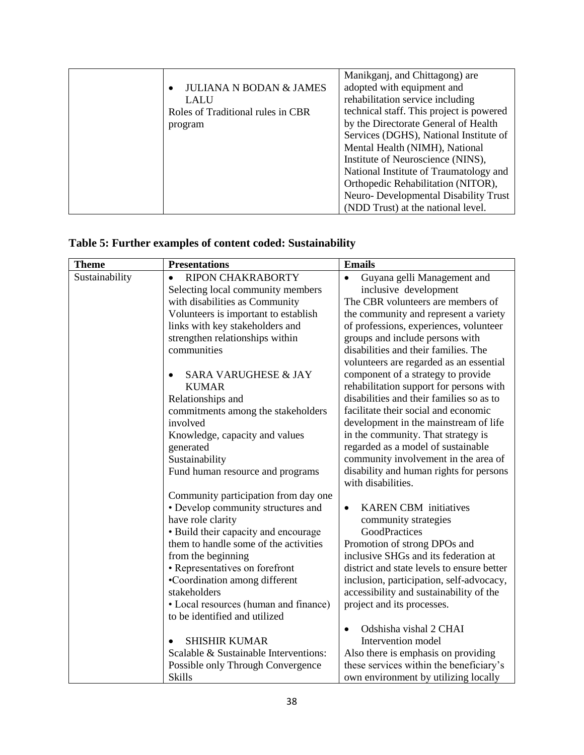|                                                 | Manikganj, and Chittagong) are           |
|-------------------------------------------------|------------------------------------------|
| <b>JULIANA N BODAN &amp; JAMES</b><br>$\bullet$ | adopted with equipment and               |
| LALU                                            | rehabilitation service including         |
| Roles of Traditional rules in CBR               | technical staff. This project is powered |
| program                                         | by the Directorate General of Health     |
|                                                 | Services (DGHS), National Institute of   |
|                                                 | Mental Health (NIMH), National           |
|                                                 | Institute of Neuroscience (NINS),        |
|                                                 | National Institute of Traumatology and   |
|                                                 | Orthopedic Rehabilitation (NITOR),       |
|                                                 | Neuro- Developmental Disability Trust    |
|                                                 | (NDD Trust) at the national level.       |

# **Table 5: Further examples of content coded: Sustainability**

| <b>Theme</b>   | <b>Presentations</b>                  | <b>Emails</b>                                                 |
|----------------|---------------------------------------|---------------------------------------------------------------|
| Sustainability | <b>RIPON CHAKRABORTY</b>              | Guyana gelli Management and                                   |
|                | Selecting local community members     | inclusive development                                         |
|                | with disabilities as Community        | The CBR volunteers are members of                             |
|                | Volunteers is important to establish  | the community and represent a variety                         |
|                | links with key stakeholders and       | of professions, experiences, volunteer                        |
|                | strengthen relationships within       | groups and include persons with                               |
|                | communities                           | disabilities and their families. The                          |
|                |                                       | volunteers are regarded as an essential                       |
|                | SARA VARUGHESE & JAY                  | component of a strategy to provide                            |
|                | <b>KUMAR</b>                          | rehabilitation support for persons with                       |
|                | Relationships and                     | disabilities and their families so as to                      |
|                | commitments among the stakeholders    | facilitate their social and economic                          |
|                | involved                              | development in the mainstream of life                         |
|                | Knowledge, capacity and values        | in the community. That strategy is                            |
|                | generated                             | regarded as a model of sustainable                            |
|                | Sustainability                        | community involvement in the area of                          |
|                | Fund human resource and programs      | disability and human rights for persons<br>with disabilities. |
|                | Community participation from day one  |                                                               |
|                | • Develop community structures and    | <b>KAREN CBM</b> initiatives<br>٠                             |
|                | have role clarity                     | community strategies                                          |
|                | • Build their capacity and encourage  | GoodPractices                                                 |
|                | them to handle some of the activities | Promotion of strong DPOs and                                  |
|                | from the beginning                    | inclusive SHGs and its federation at                          |
|                | • Representatives on forefront        | district and state levels to ensure better                    |
|                | •Coordination among different         | inclusion, participation, self-advocacy,                      |
|                | stakeholders                          | accessibility and sustainability of the                       |
|                | • Local resources (human and finance) | project and its processes.                                    |
|                | to be identified and utilized         |                                                               |
|                |                                       | Odshisha vishal 2 CHAI                                        |
|                | <b>SHISHIR KUMAR</b>                  | Intervention model                                            |
|                | Scalable & Sustainable Interventions: | Also there is emphasis on providing                           |
|                | Possible only Through Convergence     | these services within the beneficiary's                       |
|                | <b>Skills</b>                         | own environment by utilizing locally                          |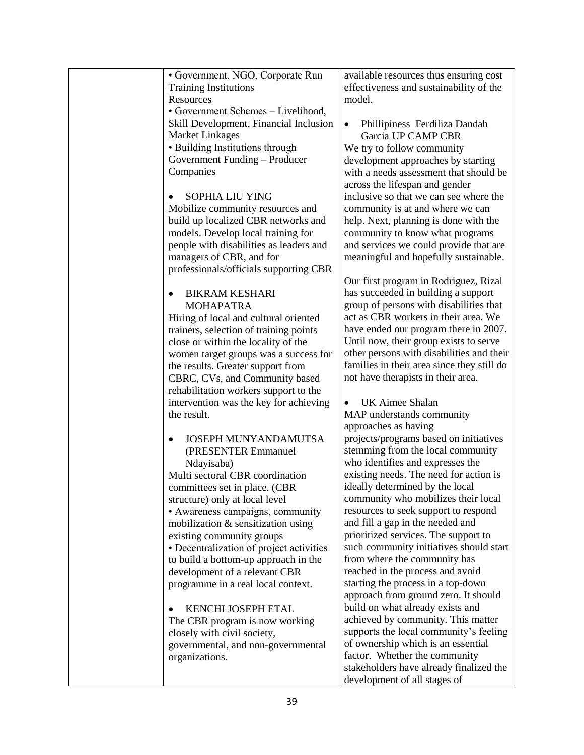| • Government, NGO, Corporate Run         | available resou                  |
|------------------------------------------|----------------------------------|
| <b>Training Institutions</b>             | effectiveness a                  |
| Resources                                | model.                           |
| • Government Schemes - Livelihood,       |                                  |
| Skill Development, Financial Inclusion   | Phillipines                      |
| <b>Market Linkages</b>                   | Garcia UP                        |
| · Building Institutions through          | We try to follo                  |
| Government Funding - Producer            | development a                    |
| Companies                                | with a needs as                  |
|                                          | across the lifes                 |
| <b>SOPHIA LIU YING</b>                   | inclusive so tha                 |
| Mobilize community resources and         | community is a                   |
| build up localized CBR networks and      | help. Next, pla                  |
| models. Develop local training for       | community to 1                   |
| people with disabilities as leaders and  | and services w                   |
| managers of CBR, and for                 | meaningful and                   |
| professionals/officials supporting CBR   |                                  |
|                                          | Our first progra                 |
| <b>BIKRAM KESHARI</b>                    | has succeeded                    |
| <b>MOHAPATRA</b>                         | group of persor                  |
| Hiring of local and cultural oriented    | act as CBR wo                    |
| trainers, selection of training points   | have ended our                   |
| close or within the locality of the      | Until now, thei                  |
| women target groups was a success for    | other persons v                  |
| the results. Greater support from        | families in thei                 |
| CBRC, CVs, and Community based           | not have therap                  |
| rehabilitation workers support to the    |                                  |
| intervention was the key for achieving   | <b>UK</b> Aimee                  |
| the result.                              | MAP understar                    |
|                                          | approaches as l                  |
| <b>JOSEPH MUNYANDAMUTSA</b>              | projects/progra                  |
| (PRESENTER Emmanuel                      | stemming from                    |
| Ndayisaba)                               | who identifies                   |
| Multi sectoral CBR coordination          | existing needs.                  |
| committees set in place. (CBR            | ideally determi                  |
| structure) only at local level           | community wh                     |
| • Awareness campaigns, community         | resources to se                  |
| mobilization & sensitization using       | and fill a gap in                |
| existing community groups                | prioritized serv                 |
| • Decentralization of project activities | such communi                     |
| to build a bottom-up approach in the     | from where the                   |
| development of a relevant CBR            | reached in the                   |
| programme in a real local context.       | starting the pro                 |
|                                          | approach from<br>build on what a |
| <b>KENCHI JOSEPH ETAL</b>                | achieved by co                   |
| The CBR program is now working           | supports the lo                  |
| closely with civil society,              | of ownership w                   |
| governmental, and non-governmental       | factor. Whethe                   |
| organizations.                           | $t$ olsab aldaga be              |

arces thus ensuring cost nd sustainability of the

s Ferdiliza Dandah CAMP CBR w community pproaches by starting ssessment that should be pan and gender at we can see where the at and where we can helphone is done with the know what programs e could provide that are d hopefully sustainable.

am in Rodriguez, Rizal in building a support ns with disabilities that rkers in their area. We r program there in 2007. ir group exists to serve with disabilities and their ir area since they still do bists in their area.

Shalan

nds community having ams based on initiatives n the local community and expresses the The need for action is ined by the local o mobilizes their local ek support to respond n the needed and ices. The support to ty initiatives should start e community has process and avoid starting to process in a top-down ground zero. It should already exists and mmunity. This matter cal community's feeling which is an essential er the community stakeholders have already finalized the development of all stages of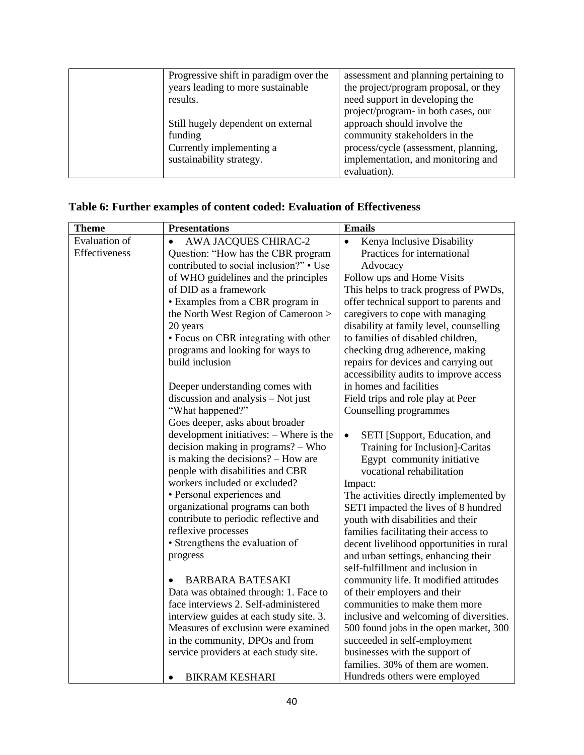| Progressive shift in paradigm over the | assessment and planning pertaining to |
|----------------------------------------|---------------------------------------|
| years leading to more sustainable      | the project/program proposal, or they |
| results.                               | need support in developing the        |
|                                        | project/program- in both cases, our   |
| Still hugely dependent on external     | approach should involve the           |
| funding                                | community stakeholders in the         |
| Currently implementing a               | process/cycle (assessment, planning,  |
| sustainability strategy.               | implementation, and monitoring and    |
|                                        | evaluation).                          |

| <b>Theme</b>  | <b>Presentations</b>                    | <b>Emails</b>                              |
|---------------|-----------------------------------------|--------------------------------------------|
| Evaluation of | <b>AWA JACQUES CHIRAC-2</b>             | Kenya Inclusive Disability                 |
| Effectiveness | Question: "How has the CBR program      | Practices for international                |
|               | contributed to social inclusion?" • Use | Advocacy                                   |
|               | of WHO guidelines and the principles    | Follow ups and Home Visits                 |
|               | of DID as a framework                   | This helps to track progress of PWDs,      |
|               | · Examples from a CBR program in        | offer technical support to parents and     |
|               | the North West Region of Cameroon >     | caregivers to cope with managing           |
|               | 20 years                                | disability at family level, counselling    |
|               | • Focus on CBR integrating with other   | to families of disabled children,          |
|               | programs and looking for ways to        | checking drug adherence, making            |
|               | build inclusion                         | repairs for devices and carrying out       |
|               |                                         | accessibility audits to improve access     |
|               | Deeper understanding comes with         | in homes and facilities                    |
|               | discussion and analysis - Not just      | Field trips and role play at Peer          |
|               | "What happened?"                        | Counselling programmes                     |
|               | Goes deeper, asks about broader         |                                            |
|               | development initiatives: – Where is the | SETI [Support, Education, and<br>$\bullet$ |
|               | decision making in programs? – Who      | Training for Inclusion]-Caritas            |
|               | is making the decisions? – How are      | Egypt community initiative                 |
|               | people with disabilities and CBR        | vocational rehabilitation                  |
|               | workers included or excluded?           | Impact:                                    |
|               | • Personal experiences and              | The activities directly implemented by     |
|               | organizational programs can both        | SETI impacted the lives of 8 hundred       |
|               | contribute to periodic reflective and   | youth with disabilities and their          |
|               | reflexive processes                     | families facilitating their access to      |
|               | · Strengthens the evaluation of         | decent livelihood opportunities in rural   |
|               | progress                                | and urban settings, enhancing their        |
|               |                                         | self-fulfillment and inclusion in          |
|               | <b>BARBARA BATESAKI</b>                 | community life. It modified attitudes      |
|               | Data was obtained through: 1. Face to   | of their employers and their               |
|               | face interviews 2. Self-administered    | communities to make them more              |
|               | interview guides at each study site. 3. | inclusive and welcoming of diversities.    |
|               | Measures of exclusion were examined     | 500 found jobs in the open market, 300     |
|               | in the community, DPOs and from         | succeeded in self-employment               |
|               | service providers at each study site.   | businesses with the support of             |
|               |                                         | families. 30% of them are women.           |
|               | <b>BIKRAM KESHARI</b>                   | Hundreds others were employed              |

# **Table 6: Further examples of content coded: Evaluation of Effectiveness**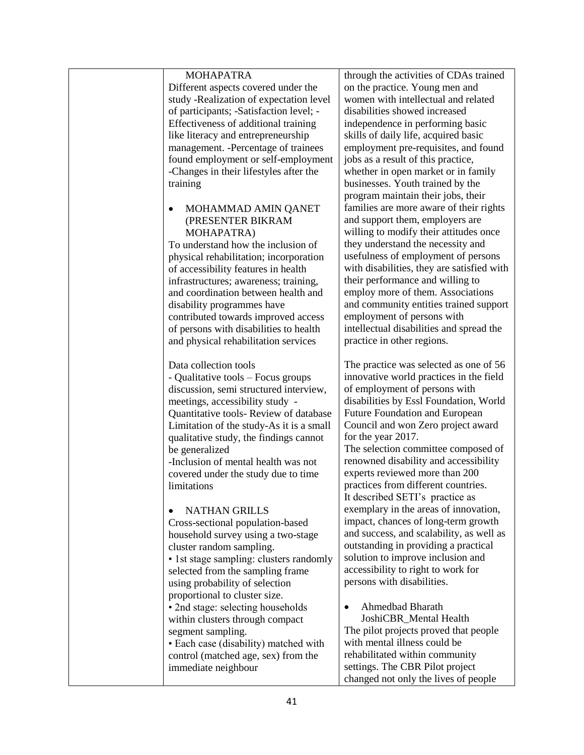## [MOHAPATRA](file:///C:/Users/17jmjv/AppData/Local/Microsoft/Windows/Temporary%20Internet%20Files/Content.IE5/2D0IARLL/4f57a8bb-1e17-4e3d-a3d5-0687c1450c8d)

Different aspects covered under the study -Realization of expectation level of participants; -Satisfaction level; - Effectiveness of additional training like literacy and entrepreneurship management. -Percentage of trainees found employment or self-employment -Changes in their lifestyles after the training

## • MOHAMMAD AMIN QANET [\(PRESENTER BIKRAM](file:///C:/Users/17jmjv/AppData/Local/Microsoft/Windows/Temporary%20Internet%20Files/Content.IE5/2D0IARLL/99a2314f-8e19-4bf8-80d5-0687ae83f136)  [MOHAPATRA\)](file:///C:/Users/17jmjv/AppData/Local/Microsoft/Windows/Temporary%20Internet%20Files/Content.IE5/2D0IARLL/99a2314f-8e19-4bf8-80d5-0687ae83f136)

To understand how the inclusion of physical rehabilitation; incorporation of accessibility features in health infrastructures; awareness; training, and coordination between health and disability programmes have contributed towards improved access of persons with disabilities to health and physical rehabilitation services

Data collection tools

- Qualitative tools – Focus groups discussion, semi structured interview, meetings, accessibility study - Quantitative tools- Review of database Limitation of the study-As it is a small qualitative study, the findings cannot be generalized

-Inclusion of mental health was not covered under the study due to time limitations

## [NATHAN GRILLS](file:///C:/Users/17jmjv/AppData/Local/Microsoft/Windows/Temporary%20Internet%20Files/Content.IE5/2D0IARLL/28e61292-1467-4530-96d5-0687aeebed85)

Cross-sectional population-based household survey using a two-stage cluster random sampling. • 1st stage sampling: clusters randomly selected from the sampling frame using probability of selection proportional to cluster size. • 2nd stage: selecting households

within clusters through compact segment sampling. • Each case (disability) matched with

control (matched age, sex) from the immediate neighbour

through the activities of CDAs trained on the practice. Young men and women with intellectual and related disabilities showed increased independence in performing basic skills of daily life, acquired basic employment pre-requisites, and found jobs as a result of this practice, whether in open market or in family businesses. Youth trained by the program maintain their jobs, their families are more aware of their rights and support them, employers are willing to modify their attitudes once they understand the necessity and usefulness of employment of persons with disabilities, they are satisfied with their performance and willing to employ more of them. Associations and community entities trained support employment of persons with intellectual disabilities and spread the practice in other regions.

The practice was selected as one of 56 innovative world practices in the field of employment of persons with disabilities by Essl Foundation, World Future Foundation and European Council and won Zero project award for the year 2017.

The selection committee composed of renowned disability and accessibility experts reviewed more than 200 practices from different countries. It described SETI's practice as exemplary in the areas of innovation, impact, chances of long-term growth and success, and scalability, as well as outstanding in providing a practical solution to improve inclusion and accessibility to right to work for persons with disabilities.

Ahmedbad Bharath

JoshiCBR\_Mental Health The pilot projects proved that people with mental illness could be rehabilitated within community settings. The CBR Pilot project changed not only the lives of people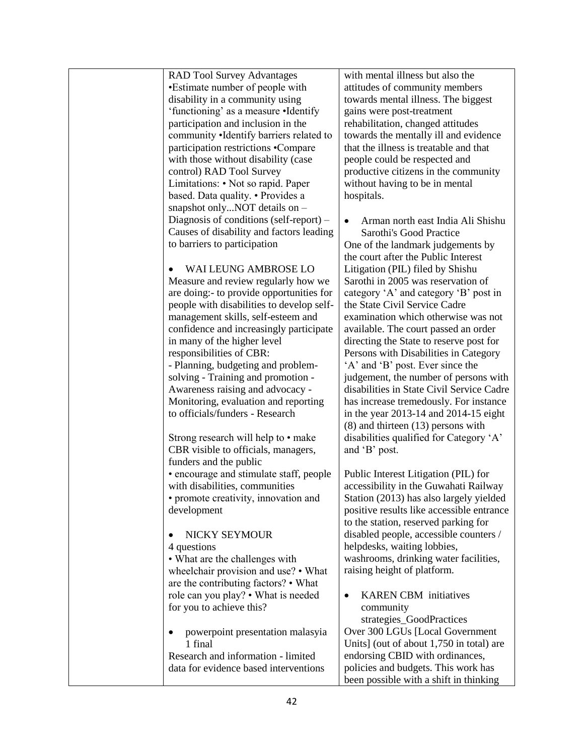RAD Tool Survey Advantages •Estimate number of people with disability in a community using 'functioning' as a measure •Identify participation and inclusion in the community •Identify barriers related to participation restrictions •Compare with those without disability (case control) RAD Tool Survey Limitations: • Not so rapid. Paper based. Data quality. • Provides a snapshot only...NOT details on – Diagnosis of conditions (self-report) – Causes of disability and factors leading to barriers to participation

 [WAI LEUNG AMBROSE LO](file:///C:/Users/17jmjv/AppData/Local/Microsoft/Windows/Temporary%20Internet%20Files/Content.IE5/2D0IARLL/e88116bb-d1a8-416a-a9d5-0687af4a472a) Measure and review regularly how we are doing:- to provide opportunities for people with disabilities to develop selfmanagement skills, self-esteem and confidence and increasingly participate in many of the higher level responsibilities of CBR: - Planning, budgeting and problemsolving - Training and promotion - Awareness raising and advocacy - Monitoring, evaluation and reporting to officials/funders - Research

Strong research will help to • make CBR visible to officials, managers, funders and the public • encourage and stimulate staff, people with disabilities, communities • promote creativity, innovation and development

## • [NICKY SEYMOUR](file:///C:/Users/17jmjv/AppData/Local/Microsoft/Windows/Temporary%20Internet%20Files/Content.IE5/2D0IARLL/2e022707-66e9-4e86-a8d5-097c51b05fbf) 4 questions

• What are the challenges with wheelchair provision and use? • What are the contributing factors? • What role can you play? • What is needed for you to achieve this?

• powerpoint presentation malasyia [1 final](file:///C:/Users/17jmjv/AppData/Local/Microsoft/Windows/Temporary%20Internet%20Files/Content.IE5/2D0IARLL/dbb8c112-7f2d-4542-a2d5-0687c23ed136)

Research and information - limited data for evidence based interventions with mental illness but also the attitudes of community members towards mental illness. The biggest gains were post-treatment rehabilitation, changed attitudes towards the mentally ill and evidence that the illness is treatable and that people could be respected and productive citizens in the community without having to be in mental hospitals.

 Arman north east India Ali Shishu Sarothi's Good Practice One of the landmark judgements by the court after the Public Interest Litigation (PIL) filed by Shishu Sarothi in 2005 was reservation of category 'A' and category 'B' post in the State Civil Service Cadre examination which otherwise was not available. The court passed an order directing the State to reserve post for Persons with Disabilities in Category 'A' and 'B' post. Ever since the judgement, the number of persons with disabilities in State Civil Service Cadre has increase tremedously. For instance in the year 2013-14 and 2014-15 eight (8) and thirteen (13) persons with disabilities qualified for Category 'A' and 'B' post.

Public Interest Litigation (PIL) for accessibility in the Guwahati Railway Station (2013) has also largely yielded positive results like accessible entrance to the station, reserved parking for disabled people, accessible counters / helpdesks, waiting lobbies, washrooms, drinking water facilities, raising height of platform.

• KAREN CBM initiatives community strategies GoodPractices

Over 300 LGUs [Local Government Units] (out of about 1,750 in total) are endorsing CBID with ordinances, policies and budgets. This work has been possible with a shift in thinking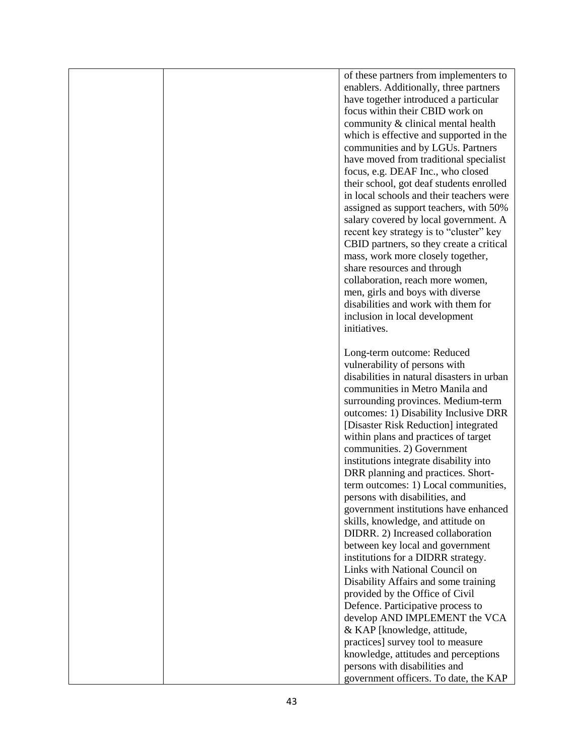| of these partners from implementers to<br>enablers. Additionally, three partners<br>have together introduced a particular<br>focus within their CBID work on<br>community & clinical mental health<br>which is effective and supported in the<br>communities and by LGUs. Partners<br>have moved from traditional specialist<br>focus, e.g. DEAF Inc., who closed<br>their school, got deaf students enrolled<br>in local schools and their teachers were<br>assigned as support teachers, with 50%<br>salary covered by local government. A<br>recent key strategy is to "cluster" key<br>CBID partners, so they create a critical<br>mass, work more closely together,<br>share resources and through<br>collaboration, reach more women,<br>men, girls and boys with diverse<br>disabilities and work with them for<br>inclusion in local development<br>initiatives.<br>Long-term outcome: Reduced<br>vulnerability of persons with<br>disabilities in natural disasters in urban<br>communities in Metro Manila and<br>surrounding provinces. Medium-term<br>outcomes: 1) Disability Inclusive DRR<br>[Disaster Risk Reduction] integrated<br>within plans and practices of target<br>communities. 2) Government<br>institutions integrate disability into<br>DRR planning and practices. Short-<br>term outcomes: 1) Local communities,<br>persons with disabilities, and<br>government institutions have enhanced<br>skills, knowledge, and attitude on<br>DIDRR. 2) Increased collaboration<br>between key local and government<br>institutions for a DIDRR strategy.<br>Links with National Council on<br>Disability Affairs and some training<br>provided by the Office of Civil<br>Defence. Participative process to<br>develop AND IMPLEMENT the VCA<br>& KAP [knowledge, attitude,<br>practices] survey tool to measure<br>knowledge, attitudes and perceptions<br>persons with disabilities and |  |                                       |
|---------------------------------------------------------------------------------------------------------------------------------------------------------------------------------------------------------------------------------------------------------------------------------------------------------------------------------------------------------------------------------------------------------------------------------------------------------------------------------------------------------------------------------------------------------------------------------------------------------------------------------------------------------------------------------------------------------------------------------------------------------------------------------------------------------------------------------------------------------------------------------------------------------------------------------------------------------------------------------------------------------------------------------------------------------------------------------------------------------------------------------------------------------------------------------------------------------------------------------------------------------------------------------------------------------------------------------------------------------------------------------------------------------------------------------------------------------------------------------------------------------------------------------------------------------------------------------------------------------------------------------------------------------------------------------------------------------------------------------------------------------------------------------------------------------------------------------------------------------------------------------------------------------------|--|---------------------------------------|
|                                                                                                                                                                                                                                                                                                                                                                                                                                                                                                                                                                                                                                                                                                                                                                                                                                                                                                                                                                                                                                                                                                                                                                                                                                                                                                                                                                                                                                                                                                                                                                                                                                                                                                                                                                                                                                                                                                               |  |                                       |
|                                                                                                                                                                                                                                                                                                                                                                                                                                                                                                                                                                                                                                                                                                                                                                                                                                                                                                                                                                                                                                                                                                                                                                                                                                                                                                                                                                                                                                                                                                                                                                                                                                                                                                                                                                                                                                                                                                               |  |                                       |
|                                                                                                                                                                                                                                                                                                                                                                                                                                                                                                                                                                                                                                                                                                                                                                                                                                                                                                                                                                                                                                                                                                                                                                                                                                                                                                                                                                                                                                                                                                                                                                                                                                                                                                                                                                                                                                                                                                               |  |                                       |
|                                                                                                                                                                                                                                                                                                                                                                                                                                                                                                                                                                                                                                                                                                                                                                                                                                                                                                                                                                                                                                                                                                                                                                                                                                                                                                                                                                                                                                                                                                                                                                                                                                                                                                                                                                                                                                                                                                               |  |                                       |
|                                                                                                                                                                                                                                                                                                                                                                                                                                                                                                                                                                                                                                                                                                                                                                                                                                                                                                                                                                                                                                                                                                                                                                                                                                                                                                                                                                                                                                                                                                                                                                                                                                                                                                                                                                                                                                                                                                               |  |                                       |
|                                                                                                                                                                                                                                                                                                                                                                                                                                                                                                                                                                                                                                                                                                                                                                                                                                                                                                                                                                                                                                                                                                                                                                                                                                                                                                                                                                                                                                                                                                                                                                                                                                                                                                                                                                                                                                                                                                               |  |                                       |
|                                                                                                                                                                                                                                                                                                                                                                                                                                                                                                                                                                                                                                                                                                                                                                                                                                                                                                                                                                                                                                                                                                                                                                                                                                                                                                                                                                                                                                                                                                                                                                                                                                                                                                                                                                                                                                                                                                               |  |                                       |
|                                                                                                                                                                                                                                                                                                                                                                                                                                                                                                                                                                                                                                                                                                                                                                                                                                                                                                                                                                                                                                                                                                                                                                                                                                                                                                                                                                                                                                                                                                                                                                                                                                                                                                                                                                                                                                                                                                               |  |                                       |
|                                                                                                                                                                                                                                                                                                                                                                                                                                                                                                                                                                                                                                                                                                                                                                                                                                                                                                                                                                                                                                                                                                                                                                                                                                                                                                                                                                                                                                                                                                                                                                                                                                                                                                                                                                                                                                                                                                               |  |                                       |
|                                                                                                                                                                                                                                                                                                                                                                                                                                                                                                                                                                                                                                                                                                                                                                                                                                                                                                                                                                                                                                                                                                                                                                                                                                                                                                                                                                                                                                                                                                                                                                                                                                                                                                                                                                                                                                                                                                               |  |                                       |
|                                                                                                                                                                                                                                                                                                                                                                                                                                                                                                                                                                                                                                                                                                                                                                                                                                                                                                                                                                                                                                                                                                                                                                                                                                                                                                                                                                                                                                                                                                                                                                                                                                                                                                                                                                                                                                                                                                               |  |                                       |
|                                                                                                                                                                                                                                                                                                                                                                                                                                                                                                                                                                                                                                                                                                                                                                                                                                                                                                                                                                                                                                                                                                                                                                                                                                                                                                                                                                                                                                                                                                                                                                                                                                                                                                                                                                                                                                                                                                               |  |                                       |
|                                                                                                                                                                                                                                                                                                                                                                                                                                                                                                                                                                                                                                                                                                                                                                                                                                                                                                                                                                                                                                                                                                                                                                                                                                                                                                                                                                                                                                                                                                                                                                                                                                                                                                                                                                                                                                                                                                               |  |                                       |
|                                                                                                                                                                                                                                                                                                                                                                                                                                                                                                                                                                                                                                                                                                                                                                                                                                                                                                                                                                                                                                                                                                                                                                                                                                                                                                                                                                                                                                                                                                                                                                                                                                                                                                                                                                                                                                                                                                               |  |                                       |
|                                                                                                                                                                                                                                                                                                                                                                                                                                                                                                                                                                                                                                                                                                                                                                                                                                                                                                                                                                                                                                                                                                                                                                                                                                                                                                                                                                                                                                                                                                                                                                                                                                                                                                                                                                                                                                                                                                               |  |                                       |
|                                                                                                                                                                                                                                                                                                                                                                                                                                                                                                                                                                                                                                                                                                                                                                                                                                                                                                                                                                                                                                                                                                                                                                                                                                                                                                                                                                                                                                                                                                                                                                                                                                                                                                                                                                                                                                                                                                               |  |                                       |
|                                                                                                                                                                                                                                                                                                                                                                                                                                                                                                                                                                                                                                                                                                                                                                                                                                                                                                                                                                                                                                                                                                                                                                                                                                                                                                                                                                                                                                                                                                                                                                                                                                                                                                                                                                                                                                                                                                               |  |                                       |
|                                                                                                                                                                                                                                                                                                                                                                                                                                                                                                                                                                                                                                                                                                                                                                                                                                                                                                                                                                                                                                                                                                                                                                                                                                                                                                                                                                                                                                                                                                                                                                                                                                                                                                                                                                                                                                                                                                               |  |                                       |
|                                                                                                                                                                                                                                                                                                                                                                                                                                                                                                                                                                                                                                                                                                                                                                                                                                                                                                                                                                                                                                                                                                                                                                                                                                                                                                                                                                                                                                                                                                                                                                                                                                                                                                                                                                                                                                                                                                               |  |                                       |
|                                                                                                                                                                                                                                                                                                                                                                                                                                                                                                                                                                                                                                                                                                                                                                                                                                                                                                                                                                                                                                                                                                                                                                                                                                                                                                                                                                                                                                                                                                                                                                                                                                                                                                                                                                                                                                                                                                               |  |                                       |
|                                                                                                                                                                                                                                                                                                                                                                                                                                                                                                                                                                                                                                                                                                                                                                                                                                                                                                                                                                                                                                                                                                                                                                                                                                                                                                                                                                                                                                                                                                                                                                                                                                                                                                                                                                                                                                                                                                               |  |                                       |
|                                                                                                                                                                                                                                                                                                                                                                                                                                                                                                                                                                                                                                                                                                                                                                                                                                                                                                                                                                                                                                                                                                                                                                                                                                                                                                                                                                                                                                                                                                                                                                                                                                                                                                                                                                                                                                                                                                               |  |                                       |
|                                                                                                                                                                                                                                                                                                                                                                                                                                                                                                                                                                                                                                                                                                                                                                                                                                                                                                                                                                                                                                                                                                                                                                                                                                                                                                                                                                                                                                                                                                                                                                                                                                                                                                                                                                                                                                                                                                               |  |                                       |
|                                                                                                                                                                                                                                                                                                                                                                                                                                                                                                                                                                                                                                                                                                                                                                                                                                                                                                                                                                                                                                                                                                                                                                                                                                                                                                                                                                                                                                                                                                                                                                                                                                                                                                                                                                                                                                                                                                               |  |                                       |
|                                                                                                                                                                                                                                                                                                                                                                                                                                                                                                                                                                                                                                                                                                                                                                                                                                                                                                                                                                                                                                                                                                                                                                                                                                                                                                                                                                                                                                                                                                                                                                                                                                                                                                                                                                                                                                                                                                               |  |                                       |
|                                                                                                                                                                                                                                                                                                                                                                                                                                                                                                                                                                                                                                                                                                                                                                                                                                                                                                                                                                                                                                                                                                                                                                                                                                                                                                                                                                                                                                                                                                                                                                                                                                                                                                                                                                                                                                                                                                               |  |                                       |
|                                                                                                                                                                                                                                                                                                                                                                                                                                                                                                                                                                                                                                                                                                                                                                                                                                                                                                                                                                                                                                                                                                                                                                                                                                                                                                                                                                                                                                                                                                                                                                                                                                                                                                                                                                                                                                                                                                               |  |                                       |
|                                                                                                                                                                                                                                                                                                                                                                                                                                                                                                                                                                                                                                                                                                                                                                                                                                                                                                                                                                                                                                                                                                                                                                                                                                                                                                                                                                                                                                                                                                                                                                                                                                                                                                                                                                                                                                                                                                               |  |                                       |
|                                                                                                                                                                                                                                                                                                                                                                                                                                                                                                                                                                                                                                                                                                                                                                                                                                                                                                                                                                                                                                                                                                                                                                                                                                                                                                                                                                                                                                                                                                                                                                                                                                                                                                                                                                                                                                                                                                               |  |                                       |
|                                                                                                                                                                                                                                                                                                                                                                                                                                                                                                                                                                                                                                                                                                                                                                                                                                                                                                                                                                                                                                                                                                                                                                                                                                                                                                                                                                                                                                                                                                                                                                                                                                                                                                                                                                                                                                                                                                               |  |                                       |
|                                                                                                                                                                                                                                                                                                                                                                                                                                                                                                                                                                                                                                                                                                                                                                                                                                                                                                                                                                                                                                                                                                                                                                                                                                                                                                                                                                                                                                                                                                                                                                                                                                                                                                                                                                                                                                                                                                               |  |                                       |
|                                                                                                                                                                                                                                                                                                                                                                                                                                                                                                                                                                                                                                                                                                                                                                                                                                                                                                                                                                                                                                                                                                                                                                                                                                                                                                                                                                                                                                                                                                                                                                                                                                                                                                                                                                                                                                                                                                               |  |                                       |
|                                                                                                                                                                                                                                                                                                                                                                                                                                                                                                                                                                                                                                                                                                                                                                                                                                                                                                                                                                                                                                                                                                                                                                                                                                                                                                                                                                                                                                                                                                                                                                                                                                                                                                                                                                                                                                                                                                               |  |                                       |
|                                                                                                                                                                                                                                                                                                                                                                                                                                                                                                                                                                                                                                                                                                                                                                                                                                                                                                                                                                                                                                                                                                                                                                                                                                                                                                                                                                                                                                                                                                                                                                                                                                                                                                                                                                                                                                                                                                               |  |                                       |
|                                                                                                                                                                                                                                                                                                                                                                                                                                                                                                                                                                                                                                                                                                                                                                                                                                                                                                                                                                                                                                                                                                                                                                                                                                                                                                                                                                                                                                                                                                                                                                                                                                                                                                                                                                                                                                                                                                               |  |                                       |
|                                                                                                                                                                                                                                                                                                                                                                                                                                                                                                                                                                                                                                                                                                                                                                                                                                                                                                                                                                                                                                                                                                                                                                                                                                                                                                                                                                                                                                                                                                                                                                                                                                                                                                                                                                                                                                                                                                               |  |                                       |
|                                                                                                                                                                                                                                                                                                                                                                                                                                                                                                                                                                                                                                                                                                                                                                                                                                                                                                                                                                                                                                                                                                                                                                                                                                                                                                                                                                                                                                                                                                                                                                                                                                                                                                                                                                                                                                                                                                               |  |                                       |
|                                                                                                                                                                                                                                                                                                                                                                                                                                                                                                                                                                                                                                                                                                                                                                                                                                                                                                                                                                                                                                                                                                                                                                                                                                                                                                                                                                                                                                                                                                                                                                                                                                                                                                                                                                                                                                                                                                               |  |                                       |
|                                                                                                                                                                                                                                                                                                                                                                                                                                                                                                                                                                                                                                                                                                                                                                                                                                                                                                                                                                                                                                                                                                                                                                                                                                                                                                                                                                                                                                                                                                                                                                                                                                                                                                                                                                                                                                                                                                               |  |                                       |
|                                                                                                                                                                                                                                                                                                                                                                                                                                                                                                                                                                                                                                                                                                                                                                                                                                                                                                                                                                                                                                                                                                                                                                                                                                                                                                                                                                                                                                                                                                                                                                                                                                                                                                                                                                                                                                                                                                               |  |                                       |
|                                                                                                                                                                                                                                                                                                                                                                                                                                                                                                                                                                                                                                                                                                                                                                                                                                                                                                                                                                                                                                                                                                                                                                                                                                                                                                                                                                                                                                                                                                                                                                                                                                                                                                                                                                                                                                                                                                               |  |                                       |
|                                                                                                                                                                                                                                                                                                                                                                                                                                                                                                                                                                                                                                                                                                                                                                                                                                                                                                                                                                                                                                                                                                                                                                                                                                                                                                                                                                                                                                                                                                                                                                                                                                                                                                                                                                                                                                                                                                               |  |                                       |
|                                                                                                                                                                                                                                                                                                                                                                                                                                                                                                                                                                                                                                                                                                                                                                                                                                                                                                                                                                                                                                                                                                                                                                                                                                                                                                                                                                                                                                                                                                                                                                                                                                                                                                                                                                                                                                                                                                               |  |                                       |
|                                                                                                                                                                                                                                                                                                                                                                                                                                                                                                                                                                                                                                                                                                                                                                                                                                                                                                                                                                                                                                                                                                                                                                                                                                                                                                                                                                                                                                                                                                                                                                                                                                                                                                                                                                                                                                                                                                               |  |                                       |
|                                                                                                                                                                                                                                                                                                                                                                                                                                                                                                                                                                                                                                                                                                                                                                                                                                                                                                                                                                                                                                                                                                                                                                                                                                                                                                                                                                                                                                                                                                                                                                                                                                                                                                                                                                                                                                                                                                               |  |                                       |
|                                                                                                                                                                                                                                                                                                                                                                                                                                                                                                                                                                                                                                                                                                                                                                                                                                                                                                                                                                                                                                                                                                                                                                                                                                                                                                                                                                                                                                                                                                                                                                                                                                                                                                                                                                                                                                                                                                               |  |                                       |
|                                                                                                                                                                                                                                                                                                                                                                                                                                                                                                                                                                                                                                                                                                                                                                                                                                                                                                                                                                                                                                                                                                                                                                                                                                                                                                                                                                                                                                                                                                                                                                                                                                                                                                                                                                                                                                                                                                               |  |                                       |
|                                                                                                                                                                                                                                                                                                                                                                                                                                                                                                                                                                                                                                                                                                                                                                                                                                                                                                                                                                                                                                                                                                                                                                                                                                                                                                                                                                                                                                                                                                                                                                                                                                                                                                                                                                                                                                                                                                               |  |                                       |
|                                                                                                                                                                                                                                                                                                                                                                                                                                                                                                                                                                                                                                                                                                                                                                                                                                                                                                                                                                                                                                                                                                                                                                                                                                                                                                                                                                                                                                                                                                                                                                                                                                                                                                                                                                                                                                                                                                               |  |                                       |
|                                                                                                                                                                                                                                                                                                                                                                                                                                                                                                                                                                                                                                                                                                                                                                                                                                                                                                                                                                                                                                                                                                                                                                                                                                                                                                                                                                                                                                                                                                                                                                                                                                                                                                                                                                                                                                                                                                               |  |                                       |
|                                                                                                                                                                                                                                                                                                                                                                                                                                                                                                                                                                                                                                                                                                                                                                                                                                                                                                                                                                                                                                                                                                                                                                                                                                                                                                                                                                                                                                                                                                                                                                                                                                                                                                                                                                                                                                                                                                               |  |                                       |
|                                                                                                                                                                                                                                                                                                                                                                                                                                                                                                                                                                                                                                                                                                                                                                                                                                                                                                                                                                                                                                                                                                                                                                                                                                                                                                                                                                                                                                                                                                                                                                                                                                                                                                                                                                                                                                                                                                               |  | government officers. To date, the KAP |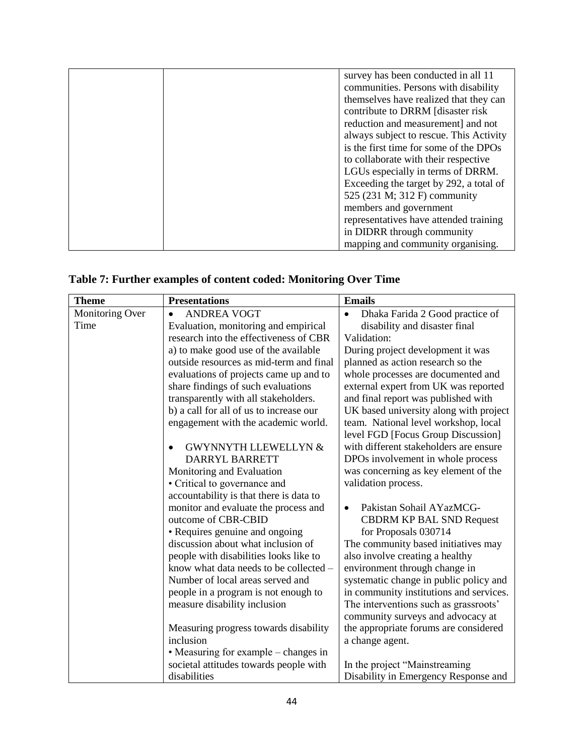| survey has been conducted in all 11     |
|-----------------------------------------|
| communities. Persons with disability    |
| themselves have realized that they can  |
| contribute to DRRM [disaster risk]      |
| reduction and measurement] and not      |
| always subject to rescue. This Activity |
| is the first time for some of the DPOs  |
| to collaborate with their respective    |
| LGUs especially in terms of DRRM.       |
| Exceeding the target by 292, a total of |
| 525 (231 M; 312 F) community            |
| members and government                  |
| representatives have attended training  |
| in DIDRR through community              |
| mapping and community organising.       |

| Table 7: Further examples of content coded: Monitoring Over Time |  |  |  |
|------------------------------------------------------------------|--|--|--|
|------------------------------------------------------------------|--|--|--|

| <b>Theme</b>    | <b>Presentations</b>                         | <b>Emails</b>                                |
|-----------------|----------------------------------------------|----------------------------------------------|
| Monitoring Over | <b>ANDREA VOGT</b><br>$\bullet$              | Dhaka Farida 2 Good practice of<br>$\bullet$ |
| Time            | Evaluation, monitoring and empirical         | disability and disaster final                |
|                 | research into the effectiveness of CBR       | Validation:                                  |
|                 | a) to make good use of the available         | During project development it was            |
|                 | outside resources as mid-term and final      | planned as action research so the            |
|                 | evaluations of projects came up and to       | whole processes are documented and           |
|                 | share findings of such evaluations           | external expert from UK was reported         |
|                 | transparently with all stakeholders.         | and final report was published with          |
|                 | b) a call for all of us to increase our      | UK based university along with project       |
|                 | engagement with the academic world.          | team. National level workshop, local         |
|                 |                                              | level FGD [Focus Group Discussion]           |
|                 | <b>GWYNNYTH LLEWELLYN &amp;</b><br>$\bullet$ | with different stakeholders are ensure       |
|                 | DARRYL BARRETT                               | DPOs involvement in whole process            |
|                 | Monitoring and Evaluation                    | was concerning as key element of the         |
|                 | • Critical to governance and                 | validation process.                          |
|                 | accountability is that there is data to      |                                              |
|                 | monitor and evaluate the process and         | Pakistan Sohail AYazMCG-<br>$\bullet$        |
|                 | outcome of CBR-CBID                          | <b>CBDRM KP BAL SND Request</b>              |
|                 | • Requires genuine and ongoing               | for Proposals 030714                         |
|                 | discussion about what inclusion of           | The community based initiatives may          |
|                 | people with disabilities looks like to       | also involve creating a healthy              |
|                 | know what data needs to be collected -       | environment through change in                |
|                 | Number of local areas served and             | systematic change in public policy and       |
|                 | people in a program is not enough to         | in community institutions and services.      |
|                 | measure disability inclusion                 | The interventions such as grassroots'        |
|                 |                                              | community surveys and advocacy at            |
|                 | Measuring progress towards disability        | the appropriate forums are considered        |
|                 | inclusion                                    | a change agent.                              |
|                 | • Measuring for example – changes in         |                                              |
|                 | societal attitudes towards people with       | In the project "Mainstreaming                |
|                 | disabilities                                 | Disability in Emergency Response and         |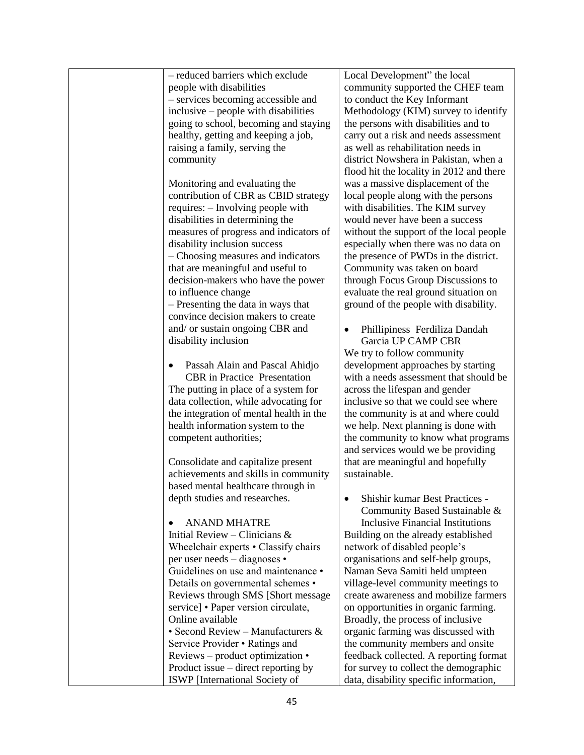– reduced barriers which exclude people with disabilities – services becoming accessible and inclusive – people with disabilities going to school, becoming and staying healthy, getting and keeping a job, raising a family, serving the community

Monitoring and evaluating the contribution of CBR as CBID strategy requires: – Involving people with disabilities in determining the measures of progress and indicators of disability inclusion success – Choosing measures and indicators that are meaningful and useful to decision-makers who have the power to influence change – Presenting the data in ways that convince decision makers to create and/ or sustain ongoing CBR and disability inclusion

• Passah Alain and Pascal Ahidjo [CBR in Practice Presentation](file:///C:/Users/17jmjv/AppData/Local/Microsoft/Windows/Temporary%20Internet%20Files/Content.IE5/2D0IARLL/decadc80-85c8-4e8d-bbd5-0687a5c110a6) The putting in place of a system for data collection, while advocating for the integration of mental health in the health information system to the competent authorities;

Consolidate and capitalize present achievements and skills in community based mental healthcare through in depth studies and researches.

 [ANAND MHATRE](file:///C:/Users/17jmjv/AppData/Local/Microsoft/Windows/Temporary%20Internet%20Files/Content.IE5/2D0IARLL/c19d0d02-e733-4cd8-89d5-0687a7271d3e) Initial Review – Clinicians & Wheelchair experts • Classify chairs per user needs – diagnoses • Guidelines on use and maintenance • Details on governmental schemes • Reviews through SMS [Short message service] • Paper version circulate, Online available • Second Review – Manufacturers & Service Provider • Ratings and Reviews – product optimization • Product issue – direct reporting by ISWP [International Society of

Local Development" the local community supported the CHEF team to conduct the Key Informant Methodology (KIM) survey to identify the persons with disabilities and to carry out a risk and needs assessment as well as rehabilitation needs in district Nowshera in Pakistan, when a flood hit the locality in 2012 and there was a massive displacement of the local people along with the persons with disabilities. The KIM survey would never have been a success without the support of the local people especially when there was no data on the presence of PWDs in the district. Community was taken on board through Focus Group Discussions to evaluate the real ground situation on ground of the people with disability.

- Phillipiness Ferdiliza Dandah Garcia UP CAMP CBR We try to follow community development approaches by starting with a needs assessment that should be across the lifespan and gender inclusive so that we could see where the community is at and where could we help. Next planning is done with the community to know what programs and services would we be providing that are meaningful and hopefully sustainable.
- Shishir kumar Best Practices Community Based Sustainable & Inclusive Financial Institutions Building on the already established network of disabled people's organisations and self-help groups, Naman Seva Samiti held umpteen village-level community meetings to create awareness and mobilize farmers on opportunities in organic farming. Broadly, the process of inclusive organic farming was discussed with the community members and onsite feedback collected. A reporting format for survey to collect the demographic data, disability specific information,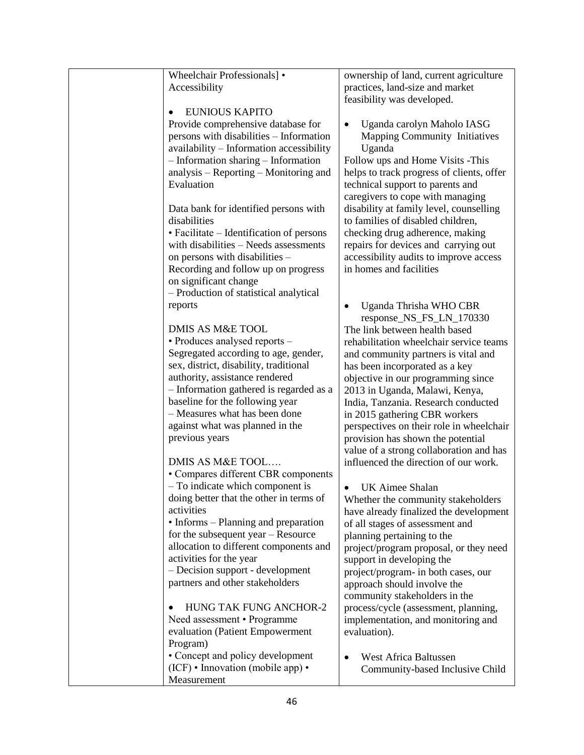| Wheelchair Professionals] •              | ownership of land, current agriculture    |
|------------------------------------------|-------------------------------------------|
| Accessibility                            | practices, land-size and market           |
|                                          | feasibility was developed.                |
| <b>EUNIOUS KAPITO</b>                    |                                           |
| Provide comprehensive database for       | Uganda carolyn Maholo IASG<br>$\bullet$   |
| persons with disabilities - Information  | <b>Mapping Community Initiatives</b>      |
| availability - Information accessibility | Uganda                                    |
| $-$ Information sharing $-$ Information  | Follow ups and Home Visits -This          |
| analysis – Reporting – Monitoring and    | helps to track progress of clients, offer |
| Evaluation                               | technical support to parents and          |
|                                          | caregivers to cope with managing          |
|                                          |                                           |
| Data bank for identified persons with    | disability at family level, counselling   |
| disabilities                             | to families of disabled children,         |
| · Facilitate - Identification of persons | checking drug adherence, making           |
| with disabilities - Needs assessments    | repairs for devices and carrying out      |
| on persons with disabilities –           | accessibility audits to improve access    |
| Recording and follow up on progress      | in homes and facilities                   |
| on significant change                    |                                           |
| - Production of statistical analytical   |                                           |
| reports                                  | Uganda Thrisha WHO CBR<br>$\bullet$       |
|                                          | response_NS_FS_LN_170330                  |
| <b>DMIS AS M&amp;E TOOL</b>              | The link between health based             |
| • Produces analysed reports -            | rehabilitation wheelchair service teams   |
| Segregated according to age, gender,     | and community partners is vital and       |
| sex, district, disability, traditional   | has been incorporated as a key            |
| authority, assistance rendered           | objective in our programming since        |
| - Information gathered is regarded as a  | 2013 in Uganda, Malawi, Kenya,            |
| baseline for the following year          | India, Tanzania. Research conducted       |
| - Measures what has been done            | in 2015 gathering CBR workers             |
| against what was planned in the          | perspectives on their role in wheelchair  |
| previous years                           | provision has shown the potential         |
|                                          | value of a strong collaboration and has   |
| DMIS AS M&E TOOL                         | influenced the direction of our work.     |
| • Compares different CBR components      |                                           |
| - To indicate which component is         | UK Aimee Shalan<br>$\bullet$              |
| doing better that the other in terms of  | Whether the community stakeholders        |
| activities                               | have already finalized the development    |
| • Informs – Planning and preparation     | of all stages of assessment and           |
| for the subsequent year $-$ Resource     | planning pertaining to the                |
| allocation to different components and   | project/program proposal, or they need    |
| activities for the year                  | support in developing the                 |
| - Decision support - development         | project/program- in both cases, our       |
| partners and other stakeholders          | approach should involve the               |
|                                          | community stakeholders in the             |
| HUNG TAK FUNG ANCHOR-2                   | process/cycle (assessment, planning,      |
| Need assessment • Programme              | implementation, and monitoring and        |
| evaluation (Patient Empowerment          | evaluation).                              |
| Program)                                 |                                           |
| • Concept and policy development         | <b>West Africa Baltussen</b><br>$\bullet$ |
| $(ICF)$ • Innovation (mobile app) •      | Community-based Inclusive Child           |
| Measurement                              |                                           |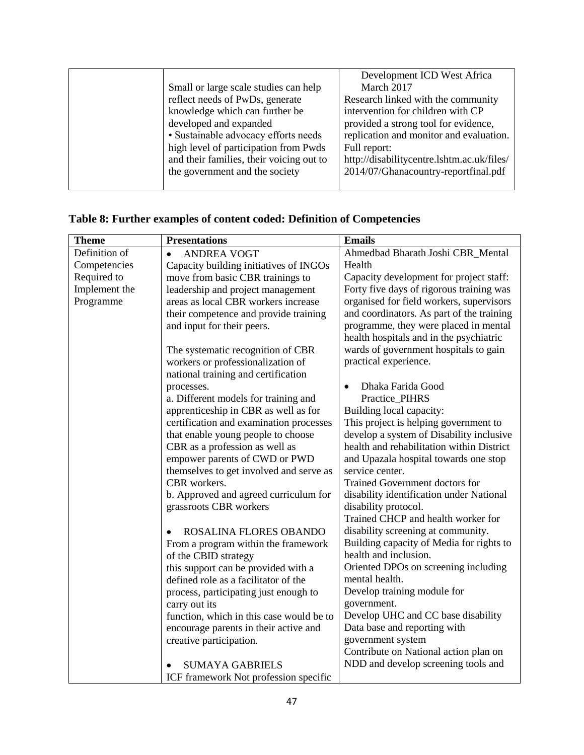|                                          | Development ICD West Africa                |
|------------------------------------------|--------------------------------------------|
| Small or large scale studies can help    | March 2017                                 |
| reflect needs of PwDs, generate          | Research linked with the community         |
| knowledge which can further be           | intervention for children with CP          |
| developed and expanded                   | provided a strong tool for evidence,       |
| • Sustainable advocacy efforts needs     | replication and monitor and evaluation.    |
| high level of participation from Pwds    | Full report:                               |
| and their families, their voicing out to | http://disabilitycentre.lshtm.ac.uk/files/ |
| the government and the society           | 2014/07/Ghanacountry-reportfinal.pdf       |
|                                          |                                            |

| <b>Theme</b>  | <b>Presentations</b>                                                        | <b>Emails</b>                                                     |
|---------------|-----------------------------------------------------------------------------|-------------------------------------------------------------------|
| Definition of | <b>ANDREA VOGT</b>                                                          | Ahmedbad Bharath Joshi CBR_Mental                                 |
| Competencies  | Capacity building initiatives of INGOs                                      | Health                                                            |
| Required to   | move from basic CBR trainings to                                            | Capacity development for project staff:                           |
| Implement the | leadership and project management                                           | Forty five days of rigorous training was                          |
| Programme     | areas as local CBR workers increase                                         | organised for field workers, supervisors                          |
|               | their competence and provide training                                       | and coordinators. As part of the training                         |
|               | and input for their peers.                                                  | programme, they were placed in mental                             |
|               |                                                                             | health hospitals and in the psychiatric                           |
|               | The systematic recognition of CBR                                           | wards of government hospitals to gain                             |
|               | workers or professionalization of                                           | practical experience.                                             |
|               | national training and certification                                         |                                                                   |
|               | processes.                                                                  | Dhaka Farida Good<br>$\bullet$                                    |
|               | a. Different models for training and                                        | Practice_PIHRS                                                    |
|               | apprenticeship in CBR as well as for                                        | Building local capacity:                                          |
|               | certification and examination processes                                     | This project is helping government to                             |
|               | that enable young people to choose                                          | develop a system of Disability inclusive                          |
|               | CBR as a profession as well as                                              | health and rehabilitation within District                         |
|               | empower parents of CWD or PWD                                               | and Upazala hospital towards one stop                             |
|               | themselves to get involved and serve as                                     | service center.                                                   |
|               | CBR workers.                                                                | <b>Trained Government doctors for</b>                             |
|               | b. Approved and agreed curriculum for                                       | disability identification under National                          |
|               | grassroots CBR workers                                                      | disability protocol.                                              |
|               |                                                                             | Trained CHCP and health worker for                                |
|               | ROSALINA FLORES OBANDO                                                      | disability screening at community.                                |
|               | From a program within the framework                                         | Building capacity of Media for rights to<br>health and inclusion. |
|               | of the CBID strategy                                                        |                                                                   |
|               | this support can be provided with a<br>defined role as a facilitator of the | Oriented DPOs on screening including<br>mental health.            |
|               |                                                                             |                                                                   |
|               | process, participating just enough to                                       | Develop training module for<br>government.                        |
|               | carry out its<br>function, which in this case would be to                   | Develop UHC and CC base disability                                |
|               | encourage parents in their active and                                       | Data base and reporting with                                      |
|               | creative participation.                                                     | government system                                                 |
|               |                                                                             | Contribute on National action plan on                             |
|               | <b>SUMAYA GABRIELS</b>                                                      | NDD and develop screening tools and                               |
|               |                                                                             |                                                                   |
|               | ICF framework Not profession specific                                       |                                                                   |

## **Table 8: Further examples of content coded: Definition of Competencies**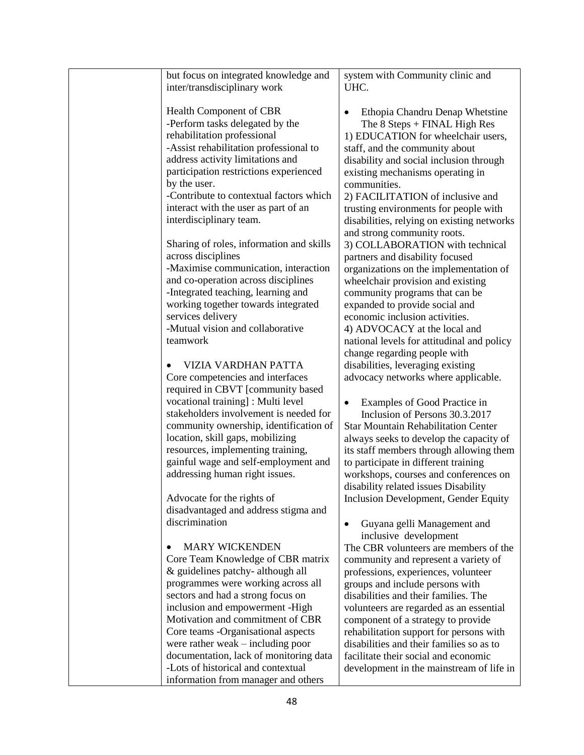| but focus on integrated knowledge and    | system with Community clinic and                               |
|------------------------------------------|----------------------------------------------------------------|
| inter/transdisciplinary work             | UHC.                                                           |
|                                          |                                                                |
|                                          |                                                                |
| Health Component of CBR                  | Ethopia Chandru Denap Whetstine                                |
| -Perform tasks delegated by the          | The $8$ Steps + FINAL High Res                                 |
| rehabilitation professional              | 1) EDUCATION for wheelchair users,                             |
| -Assist rehabilitation professional to   | staff, and the community about                                 |
| address activity limitations and         |                                                                |
|                                          | disability and social inclusion through                        |
| participation restrictions experienced   | existing mechanisms operating in                               |
| by the user.                             | communities.                                                   |
| -Contribute to contextual factors which  | 2) FACILITATION of inclusive and                               |
| interact with the user as part of an     | trusting environments for people with                          |
| interdisciplinary team.                  | disabilities, relying on existing networks                     |
|                                          |                                                                |
|                                          | and strong community roots.                                    |
| Sharing of roles, information and skills | 3) COLLABORATION with technical                                |
| across disciplines                       | partners and disability focused                                |
| -Maximise communication, interaction     | organizations on the implementation of                         |
| and co-operation across disciplines      | wheelchair provision and existing                              |
| -Integrated teaching, learning and       | community programs that can be                                 |
| working together towards integrated      | expanded to provide social and                                 |
| services delivery                        | economic inclusion activities.                                 |
| -Mutual vision and collaborative         | 4) ADVOCACY at the local and                                   |
| teamwork                                 | national levels for attitudinal and policy                     |
|                                          | change regarding people with                                   |
| VIZIA VARDHAN PATTA                      | disabilities, leveraging existing                              |
|                                          |                                                                |
| Core competencies and interfaces         | advocacy networks where applicable.                            |
| required in CBVT [community based        |                                                                |
| vocational training] : Multi level       | Examples of Good Practice in<br>$\bullet$                      |
| stakeholders involvement is needed for   | Inclusion of Persons 30.3.2017                                 |
| community ownership, identification of   | <b>Star Mountain Rehabilitation Center</b>                     |
| location, skill gaps, mobilizing         | always seeks to develop the capacity of                        |
|                                          |                                                                |
| resources, implementing training,        | its staff members through allowing them                        |
| gainful wage and self-employment and     | to participate in different training                           |
| addressing human right issues.           | workshops, courses and conferences on                          |
|                                          | disability related issues Disability                           |
| Advocate for the rights of               | Inclusion Development, Gender Equity                           |
| disadvantaged and address stigma and     |                                                                |
| discrimination                           | Guyana gelli Management and<br>٠                               |
| <b>MARY WICKENDEN</b><br>٠               | inclusive development<br>The CBR volunteers are members of the |
| Core Team Knowledge of CBR matrix        | community and represent a variety of                           |
| & guidelines patchy- although all        |                                                                |
|                                          | professions, experiences, volunteer                            |
| programmes were working across all       | groups and include persons with                                |
| sectors and had a strong focus on        | disabilities and their families. The                           |
| inclusion and empowerment -High          | volunteers are regarded as an essential                        |
| Motivation and commitment of CBR         | component of a strategy to provide                             |
| Core teams -Organisational aspects       | rehabilitation support for persons with                        |
| were rather weak $-$ including poor      | disabilities and their families so as to                       |
| documentation, lack of monitoring data   | facilitate their social and economic                           |
| -Lots of historical and contextual       | development in the mainstream of life in                       |
| information from manager and others      |                                                                |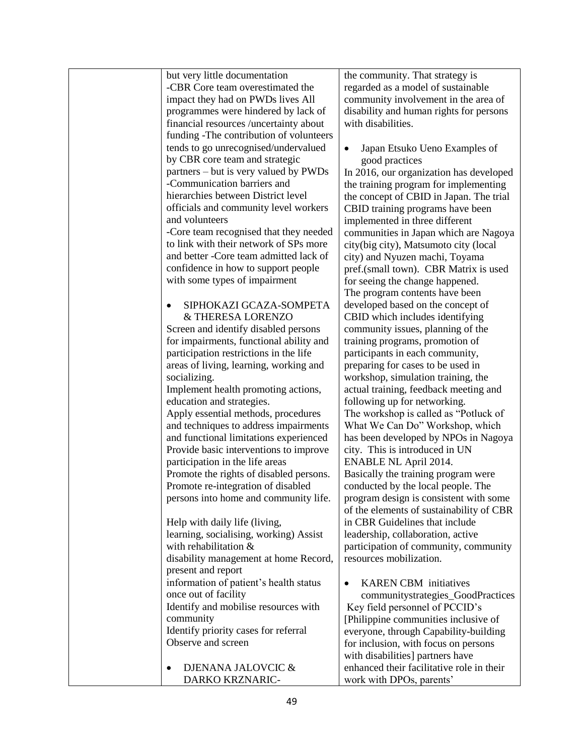| but very little documentation           | the community. That strategy is            |
|-----------------------------------------|--------------------------------------------|
| -CBR Core team overestimated the        | regarded as a model of sustainable         |
| impact they had on PWDs lives All       | community involvement in the area of       |
| programmes were hindered by lack of     | disability and human rights for persons    |
| financial resources /uncertainty about  | with disabilities.                         |
| funding -The contribution of volunteers |                                            |
| tends to go unrecognised/undervalued    | Japan Etsuko Ueno Examples of<br>$\bullet$ |
| by CBR core team and strategic          |                                            |
|                                         | good practices                             |
| partners – but is very valued by PWDs   | In 2016, our organization has developed    |
| -Communication barriers and             | the training program for implementing      |
| hierarchies between District level      | the concept of CBID in Japan. The trial    |
| officials and community level workers   | CBID training programs have been           |
| and volunteers                          | implemented in three different             |
| -Core team recognised that they needed  | communities in Japan which are Nagoya      |
| to link with their network of SPs more  | city(big city), Matsumoto city (local      |
| and better -Core team admitted lack of  | city) and Nyuzen machi, Toyama             |
| confidence in how to support people     | pref.(small town). CBR Matrix is used      |
| with some types of impairment           | for seeing the change happened.            |
|                                         | The program contents have been             |
| SIPHOKAZI GCAZA-SOMPETA<br>$\bullet$    | developed based on the concept of          |
| & THERESA LORENZO                       | CBID which includes identifying            |
| Screen and identify disabled persons    | community issues, planning of the          |
| for impairments, functional ability and | training programs, promotion of            |
| participation restrictions in the life  | participants in each community,            |
| areas of living, learning, working and  | preparing for cases to be used in          |
| socializing.                            | workshop, simulation training, the         |
| Implement health promoting actions,     | actual training, feedback meeting and      |
| education and strategies.               | following up for networking.               |
|                                         |                                            |
| Apply essential methods, procedures     | The workshop is called as "Potluck of      |
| and techniques to address impairments   | What We Can Do" Workshop, which            |
| and functional limitations experienced  | has been developed by NPOs in Nagoya       |
| Provide basic interventions to improve  | city. This is introduced in UN             |
| participation in the life areas         | <b>ENABLE NL April 2014.</b>               |
| Promote the rights of disabled persons. | Basically the training program were        |
| Promote re-integration of disabled      | conducted by the local people. The         |
| persons into home and community life.   | program design is consistent with some     |
|                                         | of the elements of sustainability of CBR   |
| Help with daily life (living,           | in CBR Guidelines that include             |
| learning, socialising, working) Assist  | leadership, collaboration, active          |
| with rehabilitation &                   | participation of community, community      |
| disability management at home Record,   | resources mobilization.                    |
| present and report                      |                                            |
| information of patient's health status  | <b>KAREN CBM</b> initiatives<br>$\bullet$  |
| once out of facility                    | communitystrategies_GoodPractices          |
| Identify and mobilise resources with    | Key field personnel of PCCID's             |
| community                               | [Philippine communities inclusive of       |
| Identify priority cases for referral    | everyone, through Capability-building      |
| Observe and screen                      | for inclusion, with focus on persons       |
|                                         | with disabilities] partners have           |
| DJENANA JALOVCIC &                      | enhanced their facilitative role in their  |
| DARKO KRZNARIC-                         | work with DPOs, parents'                   |
|                                         |                                            |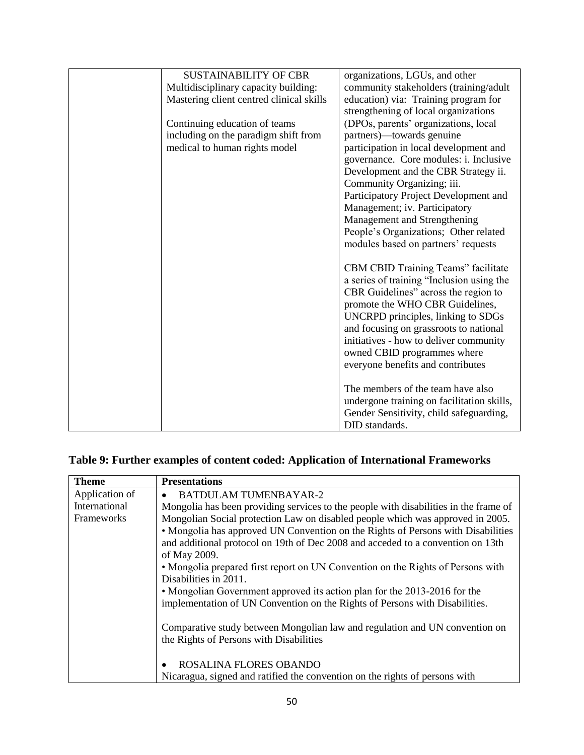| <b>SUSTAINABILITY OF CBR</b>             | organizations, LGUs, and other             |
|------------------------------------------|--------------------------------------------|
| Multidisciplinary capacity building:     | community stakeholders (training/adult     |
| Mastering client centred clinical skills | education) via: Training program for       |
|                                          | strengthening of local organizations       |
| Continuing education of teams            | (DPOs, parents' organizations, local       |
| including on the paradigm shift from     | partners)—towards genuine                  |
| medical to human rights model            | participation in local development and     |
|                                          | governance. Core modules: i. Inclusive     |
|                                          | Development and the CBR Strategy ii.       |
|                                          | Community Organizing; iii.                 |
|                                          | Participatory Project Development and      |
|                                          | Management; iv. Participatory              |
|                                          | Management and Strengthening               |
|                                          | People's Organizations; Other related      |
|                                          | modules based on partners' requests        |
|                                          |                                            |
|                                          | CBM CBID Training Teams" facilitate        |
|                                          | a series of training "Inclusion using the  |
|                                          | CBR Guidelines" across the region to       |
|                                          | promote the WHO CBR Guidelines,            |
|                                          | UNCRPD principles, linking to SDGs         |
|                                          | and focusing on grassroots to national     |
|                                          | initiatives - how to deliver community     |
|                                          | owned CBID programmes where                |
|                                          | everyone benefits and contributes          |
|                                          |                                            |
|                                          | The members of the team have also          |
|                                          | undergone training on facilitation skills, |
|                                          | Gender Sensitivity, child safeguarding,    |
|                                          | DID standards.                             |
|                                          |                                            |

# **Table 9: Further examples of content coded: Application of International Frameworks**

| <b>Theme</b>   | <b>Presentations</b>                                                                 |  |
|----------------|--------------------------------------------------------------------------------------|--|
| Application of | <b>BATDULAM TUMENBAYAR-2</b>                                                         |  |
| International  | Mongolia has been providing services to the people with disabilities in the frame of |  |
| Frameworks     | Mongolian Social protection Law on disabled people which was approved in 2005.       |  |
|                | • Mongolia has approved UN Convention on the Rights of Persons with Disabilities     |  |
|                | and additional protocol on 19th of Dec 2008 and acceded to a convention on 13th      |  |
|                | of May 2009.                                                                         |  |
|                | • Mongolia prepared first report on UN Convention on the Rights of Persons with      |  |
|                | Disabilities in 2011.                                                                |  |
|                | • Mongolian Government approved its action plan for the 2013-2016 for the            |  |
|                | implementation of UN Convention on the Rights of Persons with Disabilities.          |  |
|                |                                                                                      |  |
|                | Comparative study between Mongolian law and regulation and UN convention on          |  |
|                | the Rights of Persons with Disabilities                                              |  |
|                |                                                                                      |  |
|                | ROSALINA FLORES OBANDO                                                               |  |
|                | Nicaragua, signed and ratified the convention on the rights of persons with          |  |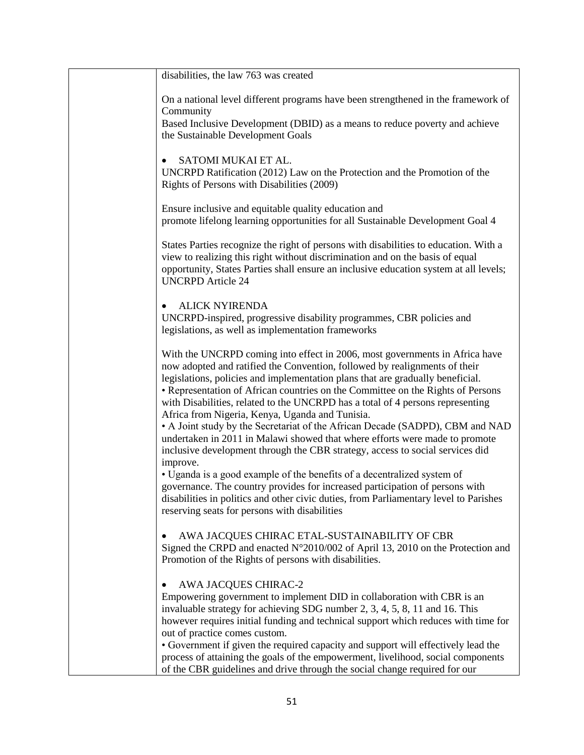| disabilities, the law 763 was created                                                                                                                                                                                                                                                                                                                                                                                                                                                                                                                                                                                                                                                                                |
|----------------------------------------------------------------------------------------------------------------------------------------------------------------------------------------------------------------------------------------------------------------------------------------------------------------------------------------------------------------------------------------------------------------------------------------------------------------------------------------------------------------------------------------------------------------------------------------------------------------------------------------------------------------------------------------------------------------------|
| On a national level different programs have been strengthened in the framework of<br>Community                                                                                                                                                                                                                                                                                                                                                                                                                                                                                                                                                                                                                       |
| Based Inclusive Development (DBID) as a means to reduce poverty and achieve<br>the Sustainable Development Goals                                                                                                                                                                                                                                                                                                                                                                                                                                                                                                                                                                                                     |
| SATOMI MUKAI ET AL.<br>UNCRPD Ratification (2012) Law on the Protection and the Promotion of the<br>Rights of Persons with Disabilities (2009)                                                                                                                                                                                                                                                                                                                                                                                                                                                                                                                                                                       |
| Ensure inclusive and equitable quality education and<br>promote lifelong learning opportunities for all Sustainable Development Goal 4                                                                                                                                                                                                                                                                                                                                                                                                                                                                                                                                                                               |
| States Parties recognize the right of persons with disabilities to education. With a<br>view to realizing this right without discrimination and on the basis of equal<br>opportunity, States Parties shall ensure an inclusive education system at all levels;<br><b>UNCRPD</b> Article 24                                                                                                                                                                                                                                                                                                                                                                                                                           |
| <b>ALICK NYIRENDA</b><br>UNCRPD-inspired, progressive disability programmes, CBR policies and<br>legislations, as well as implementation frameworks                                                                                                                                                                                                                                                                                                                                                                                                                                                                                                                                                                  |
| With the UNCRPD coming into effect in 2006, most governments in Africa have<br>now adopted and ratified the Convention, followed by realignments of their<br>legislations, policies and implementation plans that are gradually beneficial.<br>• Representation of African countries on the Committee on the Rights of Persons<br>with Disabilities, related to the UNCRPD has a total of 4 persons representing<br>Africa from Nigeria, Kenya, Uganda and Tunisia.<br>• A Joint study by the Secretariat of the African Decade (SADPD), CBM and NAD<br>undertaken in 2011 in Malawi showed that where efforts were made to promote<br>inclusive development through the CBR strategy, access to social services did |
| improve.<br>• Uganda is a good example of the benefits of a decentralized system of<br>governance. The country provides for increased participation of persons with<br>disabilities in politics and other civic duties, from Parliamentary level to Parishes<br>reserving seats for persons with disabilities                                                                                                                                                                                                                                                                                                                                                                                                        |
| AWA JACQUES CHIRAC ETAL-SUSTAINABILITY OF CBR<br>Signed the CRPD and enacted N°2010/002 of April 13, 2010 on the Protection and<br>Promotion of the Rights of persons with disabilities.                                                                                                                                                                                                                                                                                                                                                                                                                                                                                                                             |
| <b>AWA JACQUES CHIRAC-2</b><br>$\bullet$                                                                                                                                                                                                                                                                                                                                                                                                                                                                                                                                                                                                                                                                             |
| Empowering government to implement DID in collaboration with CBR is an                                                                                                                                                                                                                                                                                                                                                                                                                                                                                                                                                                                                                                               |
| invaluable strategy for achieving SDG number 2, 3, 4, 5, 8, 11 and 16. This<br>however requires initial funding and technical support which reduces with time for                                                                                                                                                                                                                                                                                                                                                                                                                                                                                                                                                    |
| out of practice comes custom.<br>• Government if given the required capacity and support will effectively lead the                                                                                                                                                                                                                                                                                                                                                                                                                                                                                                                                                                                                   |
| process of attaining the goals of the empowerment, livelihood, social components<br>of the CBR guidelines and drive through the social change required for our                                                                                                                                                                                                                                                                                                                                                                                                                                                                                                                                                       |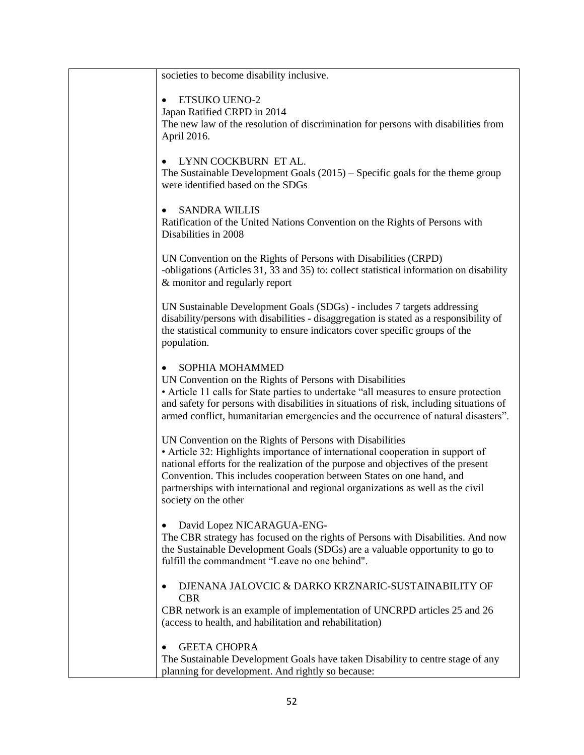| societies to become disability inclusive.                                                                                                                                                                                                                                                                                                                                                                           |
|---------------------------------------------------------------------------------------------------------------------------------------------------------------------------------------------------------------------------------------------------------------------------------------------------------------------------------------------------------------------------------------------------------------------|
| <b>ETSUKO UENO-2</b><br>Japan Ratified CRPD in 2014<br>The new law of the resolution of discrimination for persons with disabilities from<br>April 2016.                                                                                                                                                                                                                                                            |
| LYNN COCKBURN ET AL.<br>The Sustainable Development Goals $(2015)$ – Specific goals for the theme group<br>were identified based on the SDGs                                                                                                                                                                                                                                                                        |
| <b>SANDRA WILLIS</b><br>$\bullet$<br>Ratification of the United Nations Convention on the Rights of Persons with<br>Disabilities in 2008                                                                                                                                                                                                                                                                            |
| UN Convention on the Rights of Persons with Disabilities (CRPD)<br>-obligations (Articles 31, 33 and 35) to: collect statistical information on disability<br>& monitor and regularly report                                                                                                                                                                                                                        |
| UN Sustainable Development Goals (SDGs) - includes 7 targets addressing<br>disability/persons with disabilities - disaggregation is stated as a responsibility of<br>the statistical community to ensure indicators cover specific groups of the<br>population.                                                                                                                                                     |
| SOPHIA MOHAMMED<br>UN Convention on the Rights of Persons with Disabilities<br>• Article 11 calls for State parties to undertake "all measures to ensure protection<br>and safety for persons with disabilities in situations of risk, including situations of<br>armed conflict, humanitarian emergencies and the occurrence of natural disasters".                                                                |
| UN Convention on the Rights of Persons with Disabilities<br>• Article 32: Highlights importance of international cooperation in support of<br>national efforts for the realization of the purpose and objectives of the present<br>Convention. This includes cooperation between States on one hand, and<br>partnerships with international and regional organizations as well as the civil<br>society on the other |
| David Lopez NICARAGUA-ENG-<br>٠<br>The CBR strategy has focused on the rights of Persons with Disabilities. And now<br>the Sustainable Development Goals (SDGs) are a valuable opportunity to go to<br>fulfill the commandment "Leave no one behind".                                                                                                                                                               |
| DJENANA JALOVCIC & DARKO KRZNARIC-SUSTAINABILITY OF<br>٠<br><b>CBR</b><br>CBR network is an example of implementation of UNCRPD articles 25 and 26                                                                                                                                                                                                                                                                  |
| (access to health, and habilitation and rehabilitation)                                                                                                                                                                                                                                                                                                                                                             |
| <b>GEETA CHOPRA</b><br>The Sustainable Development Goals have taken Disability to centre stage of any<br>planning for development. And rightly so because:                                                                                                                                                                                                                                                          |